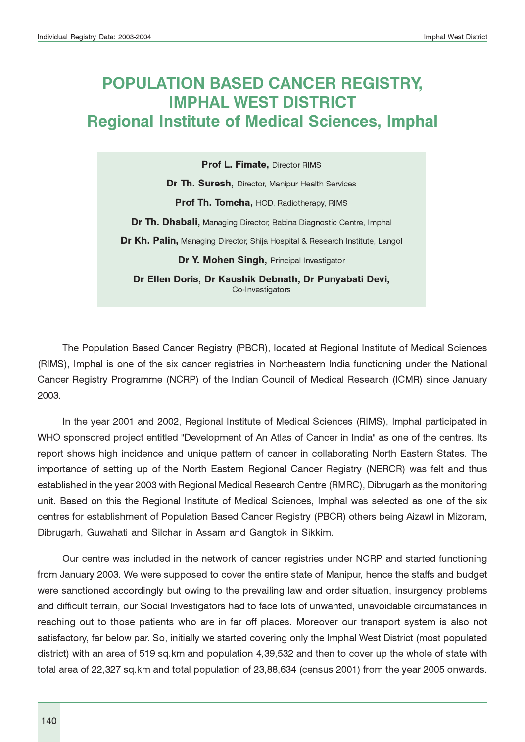# POPULATION BASED CANCER REGISTRY, IMPHAL WEST DISTRICT Regional Institute of Medical Sciences, Imphal

Prof L. Fimate, Director RIMS

Dr Th. Suresh, Director, Manipur Health Services

Prof Th. Tomcha, HOD, Radiotherapy, RIMS

Dr Th. Dhabali, Managing Director, Babina Diagnostic Centre, Imphal

Dr Kh. Palin, Managing Director, Shija Hospital & Research Institute, Langol

Dr Y. Mohen Singh, Principal Investigator

Dr Ellen Doris, Dr Kaushik Debnath, Dr Punyabati Devi, Co-Investigators

The Population Based Cancer Registry (PBCR), located at Regional Institute of Medical Sciences (RIMS), Imphal is one of the six cancer registries in Northeastern India functioning under the National Cancer Registry Programme (NCRP) of the Indian Council of Medical Research (ICMR) since January 2003.

In the year 2001 and 2002, Regional Institute of Medical Sciences (RIMS), Imphal participated in WHO sponsored project entitled "Development of An Atlas of Cancer in India" as one of the centres. Its report shows high incidence and unique pattern of cancer in collaborating North Eastern States. The importance of setting up of the North Eastern Regional Cancer Registry (NERCR) was felt and thus established in the year 2003 with Regional Medical Research Centre (RMRC), Dibrugarh as the monitoring unit. Based on this the Regional Institute of Medical Sciences, Imphal was selected as one of the six centres for establishment of Population Based Cancer Registry (PBCR) others being Aizawl in Mizoram, Dibrugarh, Guwahati and Silchar in Assam and Gangtok in Sikkim.

Our centre was included in the network of cancer registries under NCRP and started functioning from January 2003. We were supposed to cover the entire state of Manipur, hence the staffs and budget were sanctioned accordingly but owing to the prevailing law and order situation, insurgency problems and difficult terrain, our Social Investigators had to face lots of unwanted, unavoidable circumstances in reaching out to those patients who are in far off places. Moreover our transport system is also not satisfactory, far below par. So, initially we started covering only the Imphal West District (most populated district) with an area of 519 sq.km and population 4,39,532 and then to cover up the whole of state with total area of 22,327 sq.km and total population of 23,88,634 (census 2001) from the year 2005 onwards.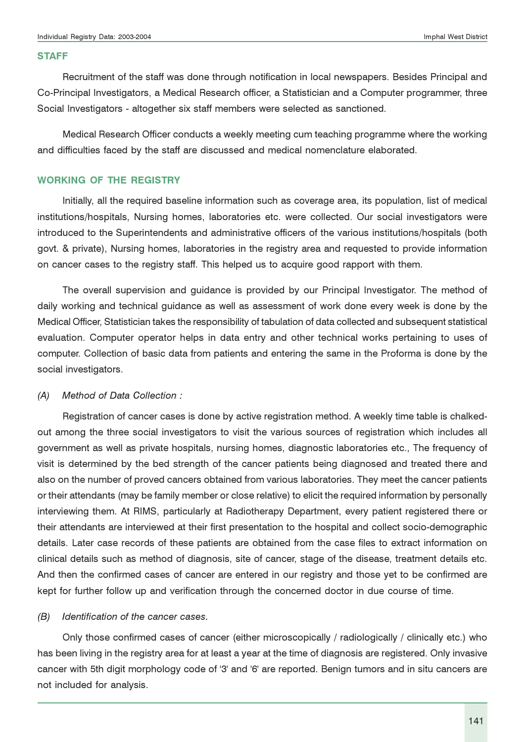#### **STAFF**

Recruitment of the staff was done through notification in local newspapers. Besides Principal and Co-Principal Investigators, a Medical Research officer, a Statistician and a Computer programmer, three Social Investigators - altogether six staff members were selected as sanctioned.

Medical Research Officer conducts a weekly meeting cum teaching programme where the working and difficulties faced by the staff are discussed and medical nomenclature elaborated.

#### WORKING OF THE REGISTRY

Initially, all the required baseline information such as coverage area, its population, list of medical institutions/hospitals, Nursing homes, laboratories etc. were collected. Our social investigators were introduced to the Superintendents and administrative officers of the various institutions/hospitals (both govt. & private), Nursing homes, laboratories in the registry area and requested to provide information on cancer cases to the registry staff. This helped us to acquire good rapport with them.

The overall supervision and guidance is provided by our Principal Investigator. The method of daily working and technical guidance as well as assessment of work done every week is done by the Medical Officer, Statistician takes the responsibility of tabulation of data collected and subsequent statistical evaluation. Computer operator helps in data entry and other technical works pertaining to uses of computer. Collection of basic data from patients and entering the same in the Proforma is done by the social investigators.

#### (A) Method of Data Collection :

Registration of cancer cases is done by active registration method. A weekly time table is chalkedout among the three social investigators to visit the various sources of registration which includes all government as well as private hospitals, nursing homes, diagnostic laboratories etc., The frequency of visit is determined by the bed strength of the cancer patients being diagnosed and treated there and also on the number of proved cancers obtained from various laboratories. They meet the cancer patients or their attendants (may be family member or close relative) to elicit the required information by personally interviewing them. At RIMS, particularly at Radiotherapy Department, every patient registered there or their attendants are interviewed at their first presentation to the hospital and collect socio-demographic details. Later case records of these patients are obtained from the case files to extract information on clinical details such as method of diagnosis, site of cancer, stage of the disease, treatment details etc. And then the confirmed cases of cancer are entered in our registry and those yet to be confirmed are kept for further follow up and verification through the concerned doctor in due course of time.

#### (B) Identification of the cancer cases.

Only those confirmed cases of cancer (either microscopically / radiologically / clinically etc.) who has been living in the registry area for at least a year at the time of diagnosis are registered. Only invasive cancer with 5th digit morphology code of '3' and '6' are reported. Benign tumors and in situ cancers are not included for analysis.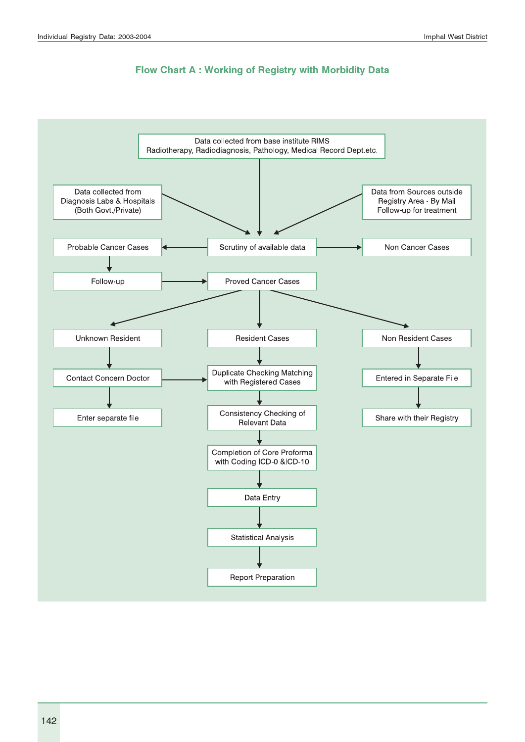#### Flow Chart A : Working of Registry with Morbidity Data

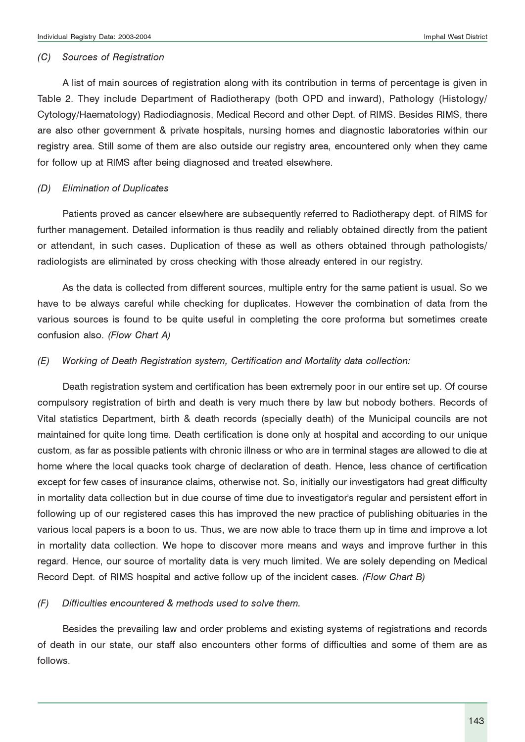#### (C) Sources of Registration

A list of main sources of registration along with its contribution in terms of percentage is given in Table 2. They include Department of Radiotherapy (both OPD and inward), Pathology (Histology/ Cytology/Haematology) Radiodiagnosis, Medical Record and other Dept. of RIMS. Besides RIMS, there are also other government & private hospitals, nursing homes and diagnostic laboratories within our registry area. Still some of them are also outside our registry area, encountered only when they came for follow up at RIMS after being diagnosed and treated elsewhere.

#### (D) Elimination of Duplicates

Patients proved as cancer elsewhere are subsequently referred to Radiotherapy dept. of RIMS for further management. Detailed information is thus readily and reliably obtained directly from the patient or attendant, in such cases. Duplication of these as well as others obtained through pathologists/ radiologists are eliminated by cross checking with those already entered in our registry.

As the data is collected from different sources, multiple entry for the same patient is usual. So we have to be always careful while checking for duplicates. However the combination of data from the various sources is found to be quite useful in completing the core proforma but sometimes create confusion also. (Flow Chart A)

#### (E) Working of Death Registration system, Certification and Mortality data collection:

Death registration system and certification has been extremely poor in our entire set up. Of course compulsory registration of birth and death is very much there by law but nobody bothers. Records of Vital statistics Department, birth & death records (specially death) of the Municipal councils are not maintained for quite long time. Death certification is done only at hospital and according to our unique custom, as far as possible patients with chronic illness or who are in terminal stages are allowed to die at home where the local quacks took charge of declaration of death. Hence, less chance of certification except for few cases of insurance claims, otherwise not. So, initially our investigators had great difficulty in mortality data collection but in due course of time due to investigator's regular and persistent effort in following up of our registered cases this has improved the new practice of publishing obituaries in the various local papers is a boon to us. Thus, we are now able to trace them up in time and improve a lot in mortality data collection. We hope to discover more means and ways and improve further in this regard. Hence, our source of mortality data is very much limited. We are solely depending on Medical Record Dept. of RIMS hospital and active follow up of the incident cases. (Flow Chart B)

#### (F) Difficulties encountered & methods used to solve them.

Besides the prevailing law and order problems and existing systems of registrations and records of death in our state, our staff also encounters other forms of difficulties and some of them are as follows.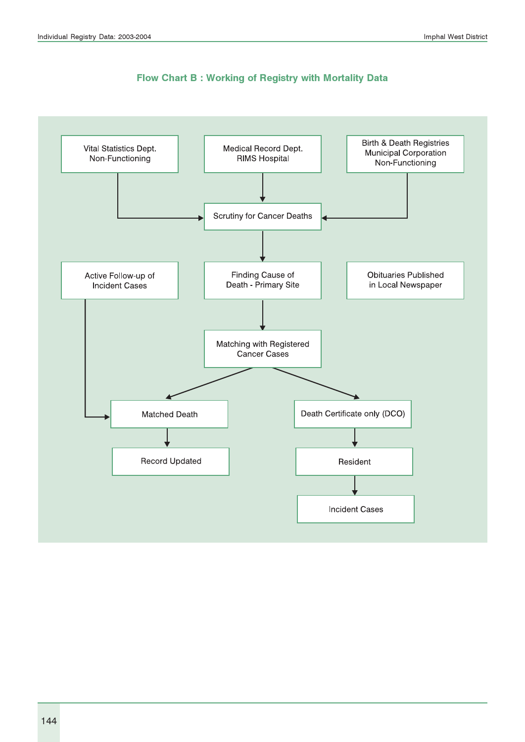

#### Flow Chart B : Working of Registry with Mortality Data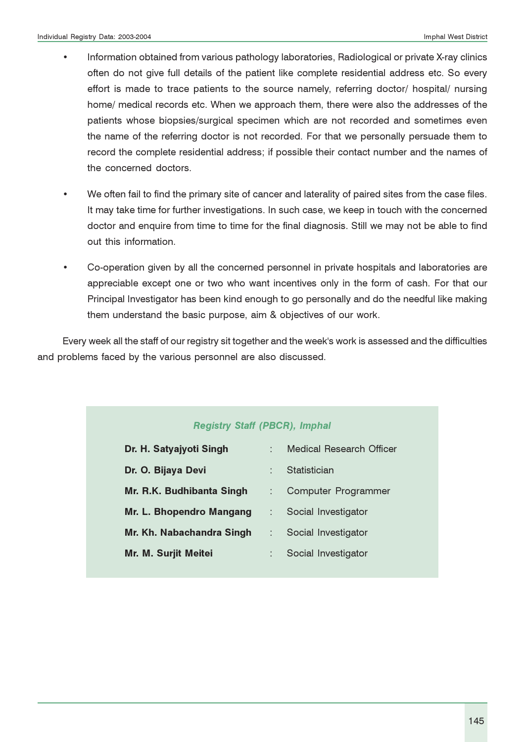- Information obtained from various pathology laboratories, Radiological or private X-ray clinics often do not give full details of the patient like complete residential address etc. So every effort is made to trace patients to the source namely, referring doctor/ hospital/ nursing home/ medical records etc. When we approach them, there were also the addresses of the patients whose biopsies/surgical specimen which are not recorded and sometimes even the name of the referring doctor is not recorded. For that we personally persuade them to record the complete residential address; if possible their contact number and the names of the concerned doctors.
- We often fail to find the primary site of cancer and laterality of paired sites from the case files. It may take time for further investigations. In such case, we keep in touch with the concerned doctor and enquire from time to time for the final diagnosis. Still we may not be able to find out this information.
- Co-operation given by all the concerned personnel in private hospitals and laboratories are appreciable except one or two who want incentives only in the form of cash. For that our Principal Investigator has been kind enough to go personally and do the needful like making them understand the basic purpose, aim & objectives of our work.

Every week all the staff of our registry sit together and the week's work is assessed and the difficulties and problems faced by the various personnel are also discussed.

#### Registry Staff (PBCR), Imphal

| Dr. H. Satyajyoti Singh   | ÷ | Medical Research Officer |
|---------------------------|---|--------------------------|
| Dr. O. Bijaya Devi        | ٠ | Statistician             |
| Mr. R.K. Budhibanta Singh |   | Computer Programmer      |
| Mr. L. Bhopendro Mangang  | ÷ | Social Investigator      |
| Mr. Kh. Nabachandra Singh |   | Social Investigator      |
| Mr. M. Surjit Meitei      | ÷ | Social Investigator      |
|                           |   |                          |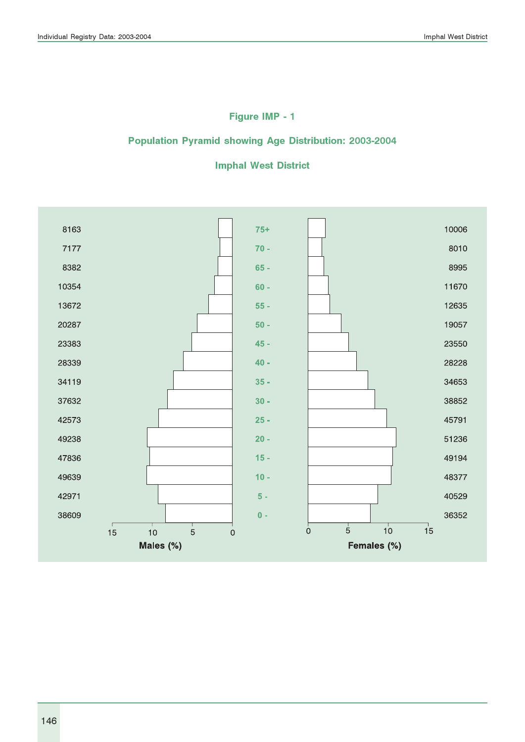## Figure IMP - 1

### Population Pyramid showing Age Distribution: 2003-2004

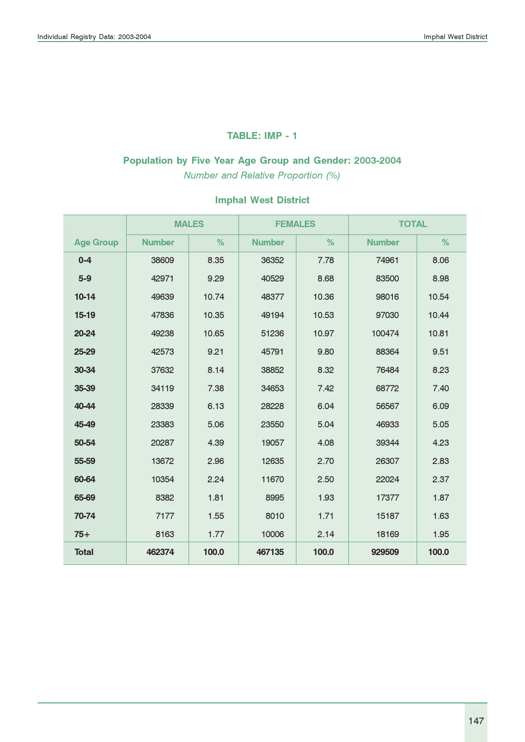#### TABLE: IMP - 1

# Population by Five Year Age Group and Gender: 2003-2004

Number and Relative Proportion (%)

|                  |               | <b>MALES</b> | <b>FEMALES</b> |       | <b>TOTAL</b>  |       |
|------------------|---------------|--------------|----------------|-------|---------------|-------|
| <b>Age Group</b> | <b>Number</b> | %            | <b>Number</b>  | %     | <b>Number</b> | %     |
| $0 - 4$          | 38609         | 8.35         | 36352          | 7.78  | 74961         | 8.06  |
| $5-9$            | 42971         | 9.29         | 40529          | 8.68  | 83500         | 8.98  |
| $10-14$          | 49639         | 10.74        | 48377          | 10.36 | 98016         | 10.54 |
| 15-19            | 47836         | 10.35        | 49194          | 10.53 | 97030         | 10.44 |
| 20-24            | 49238         | 10.65        | 51236          | 10.97 | 100474        | 10.81 |
| 25-29            | 42573         | 9.21         | 45791          | 9.80  | 88364         | 9.51  |
| 30-34            | 37632         | 8.14         | 38852          | 8.32  | 76484         | 8.23  |
| 35-39            | 34119         | 7.38         | 34653          | 7.42  | 68772         | 7.40  |
| 40-44            | 28339         | 6.13         | 28228          | 6.04  | 56567         | 6.09  |
| 45-49            | 23383         | 5.06         | 23550          | 5.04  | 46933         | 5.05  |
| 50-54            | 20287         | 4.39         | 19057          | 4.08  | 39344         | 4.23  |
| 55-59            | 13672         | 2.96         | 12635          | 2.70  | 26307         | 2.83  |
| 60-64            | 10354         | 2.24         | 11670          | 2.50  | 22024         | 2.37  |
| 65-69            | 8382          | 1.81         | 8995           | 1.93  | 17377         | 1.87  |
| 70-74            | 7177          | 1.55         | 8010           | 1.71  | 15187         | 1.63  |
| $75+$            | 8163          | 1.77         | 10006          | 2.14  | 18169         | 1.95  |
| <b>Total</b>     | 462374        | 100.0        | 467135         | 100.0 | 929509        | 100.0 |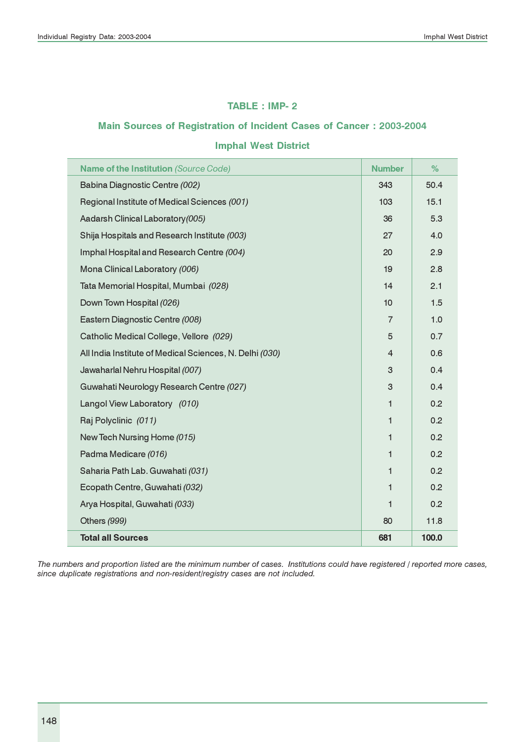#### TABLE : IMP- 2

#### Main Sources of Registration of Incident Cases of Cancer : 2003-2004

#### Imphal West District

| Name of the Institution (Source Code)                   | <b>Number</b>  | %     |
|---------------------------------------------------------|----------------|-------|
| Babina Diagnostic Centre (002)                          | 343            | 50.4  |
| Regional Institute of Medical Sciences (001)            | 103            | 15.1  |
| Aadarsh Clinical Laboratory (005)                       | 36             | 5.3   |
| Shija Hospitals and Research Institute (003)            | 27             | 4.0   |
| Imphal Hospital and Research Centre (004)               | 20             | 2.9   |
| Mona Clinical Laboratory (006)                          | 19             | 2.8   |
| Tata Memorial Hospital, Mumbai (028)                    | 14             | 2.1   |
| Down Town Hospital (026)                                | 10             | 1.5   |
| Eastern Diagnostic Centre (008)                         | $\overline{7}$ | 1.0   |
| Catholic Medical College, Vellore (029)                 | 5              | 0.7   |
| All India Institute of Medical Sciences, N. Delhi (030) | $\overline{4}$ | 0.6   |
| Jawaharlal Nehru Hospital (007)                         | 3              | 0.4   |
| Guwahati Neurology Research Centre (027)                | 3              | 0.4   |
| Langol View Laboratory (010)                            | 1              | 0.2   |
| Raj Polyclinic (011)                                    | $\mathbf{1}$   | 0.2   |
| New Tech Nursing Home (015)                             | $\mathbf{1}$   | 0.2   |
| Padma Medicare (016)                                    | $\mathbf{1}$   | 0.2   |
| Saharia Path Lab. Guwahati (031)                        | 1              | 0.2   |
| Ecopath Centre, Guwahati (032)                          | $\mathbf{1}$   | 0.2   |
| Arya Hospital, Guwahati (033)                           | $\mathbf{1}$   | 0.2   |
| Others (999)                                            | 80             | 11.8  |
| <b>Total all Sources</b>                                | 681            | 100.0 |

The numbers and proportion listed are the minimum number of cases. Institutions could have registered / reported more cases, since duplicate registrations and non-resident/registry cases are not included.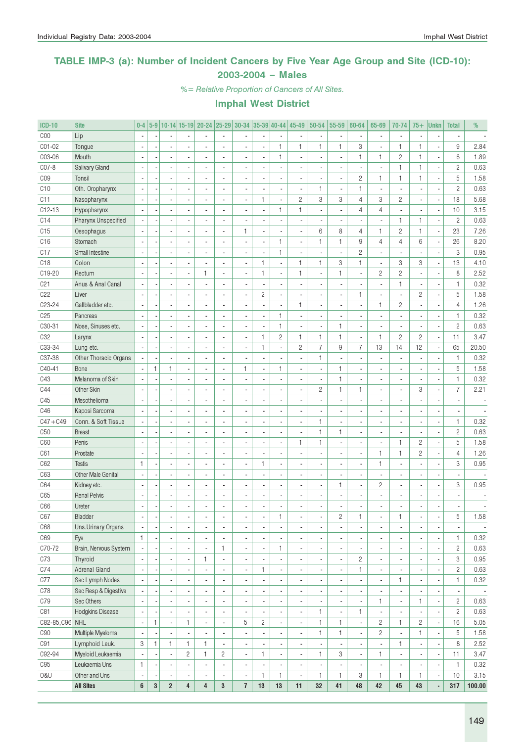### TABLE IMP-3 (a): Number of Incident Cancers by Five Year Age Group and Site (ICD-10): 2003-2004 – Males

%= Relative Proportion of Cancers of All Sites.

| <b>ICD-10</b>   | <b>Site</b>               | $0-4$        |              |                          |                          |    |                          | 5-9 10-14 15-19 20-24 25-29 30-34 35-39 40-44 |                |                          | 45-49                    | 50-54                    | 55-59                    | 60-64                    | 65-69                    | 70-74                    | $75+$          | <b>Unkn</b>                                          | <b>Total</b>   | %                        |
|-----------------|---------------------------|--------------|--------------|--------------------------|--------------------------|----|--------------------------|-----------------------------------------------|----------------|--------------------------|--------------------------|--------------------------|--------------------------|--------------------------|--------------------------|--------------------------|----------------|------------------------------------------------------|----------------|--------------------------|
| COO             | Lip                       |              |              |                          |                          |    |                          |                                               |                |                          |                          |                          | $\overline{\phantom{a}}$ |                          |                          | $\blacksquare$           |                |                                                      |                |                          |
| CO1-02          | Tongue                    |              |              |                          |                          |    | Ĭ.                       |                                               | ÷,             | $\mathbf{1}$             | 1                        | $\mathbf{1}$             | $\mathbf{1}$             | 3                        |                          | $\mathbf{1}$             | $\mathbf{1}$   | Ĭ.                                                   | 9              | 2.84                     |
| C03-06          | Mouth                     |              |              | ä,                       |                          |    | L,                       | ä,                                            |                | $\mathbf{1}$             |                          |                          | ÷,                       | 1                        | 1                        | $\sqrt{2}$               | $\mathbf{1}$   | ÷,                                                   | $6\,$          | 1.89                     |
| C07-8           | <b>Salivary Gland</b>     |              |              | ä,                       |                          |    | L,                       |                                               |                | i,                       |                          |                          | ÷,                       |                          | $\overline{\phantom{a}}$ | $\mathbf{1}$             | 1              | ÷,                                                   | $\overline{c}$ | 0.63                     |
| CO <sub>9</sub> | Tonsil                    |              |              | ä,                       |                          |    | L,                       |                                               |                | i,                       |                          |                          | $\blacksquare$           | $\mathbf{2}$             | $\mathbf{1}$             | $\mathbf{1}$             | 1              | ÷,                                                   | $\sqrt{5}$     | 1.58                     |
| C10             | Oth. Oropharynx           |              |              | ä,                       |                          |    | ä,                       |                                               |                | ÷,                       |                          | $\mathbf{1}$             | $\overline{\phantom{a}}$ | $\mathbf{1}$             |                          | $\overline{\phantom{a}}$ |                | $\overline{\phantom{a}}$                             | $\overline{c}$ | 0.63                     |
| C <sub>11</sub> | Nasopharynx               |              |              | ä,                       |                          |    | L,                       | ä,                                            | $\mathbf{1}$   | $\overline{a}$           | $\overline{c}$           | 3                        | 3                        | $\overline{4}$           | 3                        | $\sqrt{2}$               |                | ÷,                                                   | 18             | 5.68                     |
| $C12-13$        | Hypopharynx               |              |              | ä,                       |                          |    | L,                       |                                               |                | $\mathbf{1}$             | 1                        |                          | ÷,                       | $\overline{4}$           | 4                        | ÷,                       |                | ÷,                                                   | 10             | 3.15                     |
| C14             | Pharynx Unspecified       |              |              | ÷,                       |                          |    | ä,                       |                                               |                | Ĭ.                       |                          |                          | ÷,                       |                          |                          | $\mathbf{1}$             | $\mathbf{1}$   | ÷,                                                   | $\overline{c}$ | 0.63                     |
| C15             | Oesophagus                |              |              | ÷,                       |                          |    | Ĭ.                       | $\mathbf{1}$                                  | ×,             | $\overline{a}$           |                          | 6                        | 8                        | $\overline{4}$           | $\mathbf{1}$             | $\overline{c}$           | $\mathbf{1}$   | ÷,                                                   | 23             | 7.26                     |
| C16             | Stomach                   |              |              | ÷,                       |                          |    | Ĭ.                       | ÷,                                            |                | $\mathbf{1}$             | ä,                       | $\mathbf{1}$             | $\mathbf{1}$             | 9                        | $\overline{4}$           | $\overline{4}$           | 6              | ÷,                                                   | 26             | 8.20                     |
| C17             | Small Intestine           |              |              | ÷,                       |                          |    | Ĭ.                       | ÷,                                            |                | $\mathbf{1}$             |                          |                          | ÷,                       | $\overline{c}$           | ä,                       | $\overline{\phantom{a}}$ |                | ÷,                                                   | 3              | 0.95                     |
| C18             | Colon                     |              |              | ÷,                       |                          |    | Ĭ.                       | Ĭ.                                            | $\mathbf{1}$   | $\overline{\phantom{a}}$ | $\mathbf{1}$             | $\mathbf{1}$             | 3                        | $\mathbf{1}$             | ä,                       | 3                        | 3              | ÷,                                                   | 13             | 4.10                     |
| C19-20          | Rectum                    |              |              | ä,                       |                          | 1  | ä,                       | ÷,                                            | $\mathbf{1}$   | $\overline{a}$           | $\mathbf{1}$             |                          | $\mathbf{1}$             |                          | $\overline{c}$           | $\sqrt{2}$               |                | ÷,                                                   | 8              | 2.52                     |
| C <sub>21</sub> | Anus & Anal Canal         |              |              | $\overline{a}$           |                          |    | ä,                       |                                               |                | ÷,                       |                          |                          | Ĭ.                       |                          |                          | $\mathbf{1}$             |                | $\overline{\phantom{a}}$                             | $\mathbf{1}$   | 0.32                     |
| C22             | Liver                     |              |              | ä,                       |                          |    | L,                       | ä,                                            | $\mathbf{2}$   | $\overline{a}$           |                          |                          | ÷,                       | 1                        |                          | ÷,                       | $\overline{c}$ | ÷,                                                   | $\sqrt{5}$     | 1.58                     |
| C23-24          |                           |              |              | ä,                       |                          |    |                          |                                               |                | $\overline{a}$           | $\mathbf{1}$             |                          | l,                       |                          | $\mathbf{1}$             |                          |                |                                                      | $\sqrt{4}$     |                          |
|                 | Gallbladder etc.          |              |              |                          |                          |    | L,                       |                                               |                |                          |                          |                          |                          |                          |                          | $\sqrt{2}$               |                | ×,                                                   |                | 1.26                     |
| C <sub>25</sub> | Pancreas                  |              |              | ä,                       |                          |    | L,                       |                                               |                | $\mathbf{1}$             |                          |                          | l,                       |                          |                          | $\overline{\phantom{a}}$ |                | ÷,                                                   | $\mathbf{1}$   | 0.32                     |
| C30-31          | Nose, Sinuses etc.        |              |              | ä,                       |                          |    | L,                       | ä,                                            |                | $\mathbf{1}$             |                          |                          | $\mathbf{1}$             | $\overline{a}$           |                          | $\overline{\phantom{a}}$ |                | ł,                                                   | $\overline{c}$ | 0.63                     |
| C <sub>32</sub> | Larynx                    |              |              | ä,                       |                          |    | L,                       | ÷,                                            | $\mathbf{1}$   | $\sqrt{2}$               | $\mathbf{1}$             | $\mathbf{1}$             | $\mathbf{1}$             | $\overline{a}$           | $\mathbf{1}$             | $\overline{c}$           | $\overline{c}$ | ÷,                                                   | 11             | 3.47                     |
| C33-34          | Lung etc.                 |              |              | ÷,                       |                          |    | L,                       | ä,                                            | $\mathbf{1}$   | ÷                        | $\overline{c}$           | $\overline{7}$           | 9                        | $\overline{7}$           | 13                       | 14                       | 12             | ÷,                                                   | 65             | 20.50                    |
| C37-38          | Other Thoracic Organs     |              |              | ÷,                       |                          |    | L,                       |                                               |                | $\overline{a}$           |                          | $\mathbf{1}$             | l,                       |                          |                          | $\blacksquare$           |                | ÷,                                                   | $\mathbf{1}$   | 0.32                     |
| C40-41          | Bone                      |              | $\mathbf{1}$ | 1                        |                          | ä, | Ĭ.                       | $\mathbf{1}$                                  | ÷,             | $\mathbf{1}$             |                          |                          | $\mathbf{1}$             |                          |                          | $\blacksquare$           |                | ł,                                                   | 5              | 1.58                     |
| C43             | Melanoma of Skin          |              |              | ÷,                       |                          |    | Ĭ.                       | Ĭ.                                            |                | $\overline{a}$           |                          |                          | $\mathbf{1}$             |                          |                          | $\blacksquare$           |                | ł,                                                   | $\mathbf{1}$   | 0.32                     |
| C44             | Other Skin                |              |              | ä,                       |                          |    | Ĭ.                       |                                               |                | $\overline{a}$           |                          | $\sqrt{2}$               | $\mathbf{1}$             | $\mathbf{1}$             |                          | $\overline{\phantom{a}}$ | 3              | ÷,                                                   | $\overline{7}$ | 2.21                     |
| C45             | Mesothelioma              |              |              | ä,                       |                          |    | L,                       |                                               |                | $\overline{a}$           |                          |                          | $\overline{a}$           |                          |                          | $\overline{\phantom{a}}$ |                | ×,                                                   |                |                          |
| C46             | Kaposi Sarcoma            |              |              | ä,                       |                          |    |                          |                                               |                | $\overline{a}$           |                          |                          | Ĭ.                       |                          |                          | $\overline{\phantom{a}}$ |                | ÷,                                                   |                |                          |
| $C47 + C49$     | Conn. & Soft Tissue       |              |              | ä,                       |                          |    |                          |                                               |                | $\overline{a}$           | ä,                       | $\mathbf{1}$             | Ĭ.                       |                          |                          | $\overline{\phantom{a}}$ |                | ÷,                                                   | $\mathbf{1}$   | 0.32                     |
| C50             | <b>Breast</b>             |              |              | ä,                       |                          |    |                          |                                               |                | $\overline{a}$           |                          | $\mathbf{1}$             | $\mathbf{1}$             | $\overline{a}$           |                          | $\overline{\phantom{a}}$ |                | ÷,                                                   | $\overline{c}$ | 0.63                     |
| C60             | Penis                     |              |              | ä,                       |                          |    |                          |                                               |                | $\overline{a}$           | $\mathbf{1}$             | $\mathbf{1}$             | Ĭ.                       | $\overline{a}$           |                          | $\mathbf{1}$             | $\overline{c}$ | ÷,                                                   | $\sqrt{5}$     | 1.58                     |
| C61             | Prostate                  |              |              | ä,                       |                          |    |                          |                                               |                | $\overline{a}$           |                          |                          | ÷,                       | L,                       | $\mathbf{1}$             | $\mathbf{1}$             | $\overline{c}$ | ÷,                                                   | $\overline{4}$ | 1.26                     |
| C62             | <b>Testis</b>             | $\mathbf{1}$ |              | ä,                       |                          |    |                          | ä,                                            | $\mathbf{1}$   | $\overline{a}$           |                          |                          | ÷,                       |                          | $\mathbf{1}$             | $\overline{\phantom{a}}$ |                | ×,                                                   | 3              | 0.95                     |
| C63             | <b>Other Male Genital</b> |              |              | ÷,                       |                          |    |                          |                                               |                | $\frac{1}{2}$            |                          |                          | $\overline{a}$           | L,                       |                          | $\blacksquare$           |                | ×,                                                   |                |                          |
| C64             | Kidney etc.               |              |              | ÷,                       |                          | ä, | L,                       | Ĭ.                                            |                | $\overline{a}$           |                          |                          | $\mathbf{1}$             | ä,                       | $\overline{c}$           | $\blacksquare$           |                | ÷,                                                   | 3              | 0.95                     |
| C65             | <b>Renal Pelvis</b>       |              |              | ÷,                       |                          |    |                          | Ĭ.                                            |                | i,                       |                          |                          | l,                       |                          |                          | $\overline{\phantom{a}}$ |                |                                                      |                |                          |
| C66             | Ureter                    |              |              |                          |                          |    | L,                       |                                               |                |                          |                          |                          |                          |                          |                          |                          |                |                                                      |                |                          |
| C67             | Bladder                   | $\,$         |              |                          |                          |    |                          |                                               |                | 1                        |                          |                          | $\overline{\mathbf{c}}$  | 1                        |                          | 1                        |                |                                                      | 5              | 1.58                     |
| C68             | Uns.Urinary Organs        |              |              | $\overline{\phantom{a}}$ | $\blacksquare$           |    | ä,                       | ×,                                            |                | $\blacksquare$           | ٠                        | $\overline{\phantom{a}}$ | $\overline{\phantom{a}}$ | ٠                        | $\blacksquare$           | $\overline{\phantom{a}}$ |                | $\overline{\phantom{a}}$                             |                |                          |
| C69             | Eye                       | 1            |              | $\overline{\phantom{a}}$ | ÷,                       |    | ä,                       | $\blacksquare$                                |                | $\blacksquare$           | ٠                        | ٠                        | $\overline{\phantom{a}}$ | ٠                        | $\overline{\phantom{a}}$ | $\overline{\phantom{a}}$ |                | ÷,                                                   | $\mathbf{1}$   | 0.32                     |
| C70-72          | Brain, Nervous System     |              |              | $\overline{\phantom{a}}$ | $\blacksquare$           |    | 1                        | $\blacksquare$                                |                | $\mathbf{1}$             | ٠                        | $\overline{\phantom{a}}$ | $\overline{\phantom{a}}$ |                          | $\overline{\phantom{a}}$ | $\overline{\phantom{a}}$ |                | ÷,                                                   | $\sqrt{2}$     | 0.63                     |
| C73             | Thyroid                   |              |              | $\overline{\phantom{a}}$ |                          | 1  | ä,                       | $\overline{\phantom{a}}$                      |                | $\overline{\phantom{a}}$ | ٠                        |                          | $\overline{\phantom{a}}$ | $\mathbf{2}$             | $\overline{\phantom{a}}$ | $\overline{\phantom{a}}$ |                | ÷,                                                   | 3              | 0.95                     |
| C74             | <b>Adrenal Gland</b>      |              |              | $\overline{\phantom{a}}$ |                          |    | ä,                       | $\blacksquare$                                | 1              | $\overline{\phantom{a}}$ |                          | ÷,                       | ÷,                       | 1                        | $\overline{\phantom{a}}$ | $\overline{\phantom{a}}$ |                | ÷,                                                   | $\overline{c}$ | 0.63                     |
| C77             | Sec Lymph Nodes           |              |              | $\overline{\phantom{a}}$ |                          |    | ä,                       | ÷,                                            |                | $\overline{\phantom{a}}$ | ٠                        | $\blacksquare$           | $\blacksquare$           |                          | $\overline{\phantom{a}}$ | 1                        |                | ÷,                                                   | $\mathbf{1}$   | 0.32                     |
| C78             | Sec Resp & Digestive      |              |              | $\overline{\phantom{a}}$ |                          |    | ä,                       | ÷,                                            |                | $\blacksquare$           |                          | $\blacksquare$           | $\overline{\phantom{a}}$ | ٠                        | $\blacksquare$           | $\overline{\phantom{a}}$ |                | ÷,                                                   | ×,             | $\overline{\phantom{a}}$ |
| C79             | Sec Others                |              |              | $\overline{\phantom{a}}$ |                          |    | ä,                       | ÷,                                            |                | $\blacksquare$           |                          |                          | $\overline{\phantom{a}}$ |                          | $\mathbf{1}$             | $\overline{\phantom{a}}$ | 1              | $\overline{\phantom{a}}$                             | $\mathbf{2}$   | 0.63                     |
| C81             | Hodgkins Disease          |              |              | $\overline{\phantom{a}}$ |                          |    | ä,                       | ÷,                                            |                | $\overline{\phantom{a}}$ |                          | $\mathbf{1}$             | $\blacksquare$           | $\mathbf{1}$             |                          | $\overline{\phantom{a}}$ |                | $\overline{\phantom{a}}$                             | $\mathbf{2}$   | 0.63                     |
| C82-85, C96 NHL |                           |              | $\mathbf{1}$ | $\overline{\phantom{a}}$ | $\mathbf{1}$             |    | $\frac{1}{2}$            | 5                                             | $\overline{c}$ | $\overline{\phantom{a}}$ |                          | $\mathbf{1}$             | 1                        | ٠                        | $\overline{c}$           | $\mathbf{1}$             | $\mathbf{2}$   | $\overline{\phantom{a}}$                             | 16             | 5.05                     |
| C90             | Multiple Myeloma          |              |              | $\overline{\phantom{a}}$ |                          |    | $\frac{1}{2}$            | ×,                                            |                |                          |                          | $\mathbf{1}$             | 1                        | ٠                        | 2                        | $\overline{\phantom{a}}$ | 1              |                                                      | 5              | 1.58                     |
| C91             | Lymphoid Leuk.            | 3            | $\mathbf{1}$ | 1                        | $\mathbf{1}$             | 1  | ÷,                       | $\blacksquare$                                |                | $\overline{\phantom{a}}$ |                          |                          | ÷,                       | ٠                        |                          | $\mathbf{1}$             |                | $\overline{\phantom{a}}$<br>$\overline{\phantom{a}}$ | 8              | 2.52                     |
|                 |                           |              |              |                          |                          | 1  |                          |                                               | $\mathbf{1}$   | $\overline{\phantom{a}}$ |                          | $\mathbf{1}$             |                          |                          | $\mathbf{1}$             |                          |                |                                                      |                |                          |
| C92-94          | Myeloid Leukaemia         |              |              | $\overline{\phantom{a}}$ | $\mathbf{2}$             |    | $\mathbf{2}$             | $\blacksquare$                                |                | $\overline{\phantom{a}}$ |                          |                          | 3                        | ٠                        |                          | $\blacksquare$           |                | $\overline{\phantom{a}}$                             | 11             | 3.47                     |
| C95             | Leukaemia Uns             | 1            |              | $\overline{\phantom{a}}$ | $\overline{\phantom{a}}$ |    | $\overline{\phantom{a}}$ | $\overline{\phantom{a}}$                      |                | $\overline{\phantom{a}}$ | $\overline{\phantom{a}}$ | $\overline{\phantom{a}}$ | $\overline{\phantom{a}}$ | $\overline{\phantom{a}}$ | $\overline{\phantom{a}}$ | $\overline{\phantom{a}}$ |                | $\overline{\phantom{a}}$                             | $\mathbf{1}$   | 0.32                     |
| 0&U             | Other and Uns             |              |              | $\overline{\phantom{a}}$ | $\blacksquare$           |    | $\overline{\phantom{a}}$ | $\overline{\phantom{a}}$                      | $\mathbf{1}$   | $\mathbf{1}$             | $\overline{\phantom{a}}$ | $\mathbf{1}$             | $\mathbf{1}$             | 3                        | $\mathbf{1}$             | $\mathbf{1}$             | 1              | $\blacksquare$                                       | 10             | 3.15                     |
|                 | <b>All Sites</b>          | 6            | $\bf 3$      | $\overline{2}$           | 4                        | 4  | 3                        | $\bf 7$                                       | 13             | 13                       | 11                       | 32                       | 41                       | 48                       | 42                       | 45                       | 43             | $\centerdot$                                         | 317            | 100.00                   |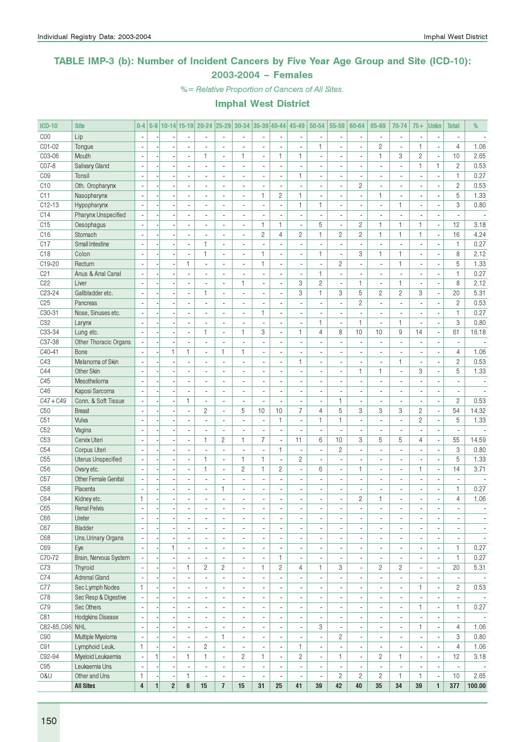### TABLE IMP-3 (b): Number of Incident Cancers by Five Year Age Group and Site (ICD-10): 2003-2004 – Females

%= Relative Proportion of Cancers of All Sites.

| <b>ICD-10</b>   | <b>Site</b>               | $0-4$                    |              |                  |                          |                          |                                            | 5-9 10-14 15-19 20-24 25-29 30-34 35-39 40-44 |                               |                                | 45-49                    | 50-54                                      | 55-59                         | 60-64                                      | 65-69                                          | 70-74                                    | $75+$                    | <b>Unkn</b>                                          | <b>Total</b>             | %                        |
|-----------------|---------------------------|--------------------------|--------------|------------------|--------------------------|--------------------------|--------------------------------------------|-----------------------------------------------|-------------------------------|--------------------------------|--------------------------|--------------------------------------------|-------------------------------|--------------------------------------------|------------------------------------------------|------------------------------------------|--------------------------|------------------------------------------------------|--------------------------|--------------------------|
| COO             | Lip                       |                          |              |                  |                          |                          | ÷,                                         |                                               |                               | ÷,                             |                          |                                            | ÷,                            |                                            |                                                | $\blacksquare$                           |                          |                                                      |                          |                          |
| C01-02          | Tongue                    | $\overline{\phantom{a}}$ |              |                  | $\overline{a}$           | L.                       | L.                                         | $\overline{a}$                                | $\overline{a}$                | ä,                             |                          | 1                                          | ÷,                            | $\overline{a}$                             | $\overline{c}$                                 | $\overline{\phantom{a}}$                 | $\mathbf{1}$             | ÷,                                                   | $\overline{4}$           | 1.06                     |
| C03-06          | Mouth                     | $\sim$                   |              | $\overline{a}$   | $\overline{\phantom{a}}$ | 1                        | $\overline{\phantom{a}}$                   | 1.                                            | $\overline{\phantom{a}}$      | 1                              | 1                        | $\blacksquare$                             | $\blacksquare$                | $\blacksquare$                             | $\mathbf{1}$                                   | 3                                        | $\overline{c}$           | ÷,                                                   | 10                       | 2.65                     |
| C07-8           | Salivary Gland            | ÷,                       |              |                  | $\blacksquare$           | $\overline{a}$           | ä,                                         | $\blacksquare$                                | $\blacksquare$                | $\blacksquare$                 | ä,                       |                                            | $\overline{\phantom{a}}$      | $\blacksquare$                             | $\overline{\phantom{a}}$                       | $\overline{\phantom{a}}$                 | 1                        | 1                                                    | $\overline{c}$           | 0.53                     |
| C <sub>09</sub> | Tonsil                    |                          |              |                  |                          |                          |                                            | $\overline{a}$                                |                               | $\frac{1}{2}$                  | 1                        |                                            | ä,                            | $\overline{\phantom{a}}$                   |                                                | $\overline{a}$                           |                          | ×,                                                   | $\mathbf{1}$             | 0.27                     |
| C10             | Oth. Oropharynx           |                          |              |                  | $\overline{a}$           | $\overline{a}$           | ÷,                                         | $\blacksquare$                                | $\overline{a}$                | $\overline{\phantom{a}}$       | ä,                       | $\overline{a}$                             | ÷,                            | $\mathbf{2}$                               | $\overline{\phantom{a}}$                       | $\overline{\phantom{a}}$                 | $\overline{a}$           | $\blacksquare$                                       | $\overline{c}$           | 0.53                     |
| C11             | Nasopharynx               |                          |              |                  |                          |                          | ÷,                                         | ä,                                            | $\mathbf{1}$                  | $\mathbf{2}$                   | $\mathbf{1}$             |                                            | ÷,                            | ÷.                                         | $\mathbf{1}$                                   | $\overline{\phantom{a}}$                 |                          | $\overline{\phantom{a}}$                             | 5                        | 1.33                     |
| $C12-13$        | Hypopharynx               |                          |              |                  |                          |                          | ä,                                         | $\overline{a}$                                |                               | $\overline{\phantom{a}}$       | 1                        | $\mathbf{1}$                               | ×,                            |                                            | $\overline{\phantom{a}}$                       | $\mathbf{1}$                             |                          | ×,                                                   | 3                        | 0.80                     |
| C14             | Pharynx Unspecified       | $\sim$                   |              |                  | $\overline{\phantom{a}}$ | ä,                       | $\overline{a}$                             | ä,                                            | $\blacksquare$                | $\overline{\phantom{a}}$       |                          | $\overline{\phantom{a}}$                   | ÷,                            | $\overline{\phantom{a}}$                   | ÷.                                             | $\overline{\phantom{a}}$                 | ÷.                       | ÷,                                                   | $\overline{\phantom{a}}$ | $\overline{\phantom{a}}$ |
| C15             | Oesophagus                | $\sim$                   |              |                  | $\overline{\phantom{a}}$ | $\overline{a}$           | ÷.                                         | $\blacksquare$                                | $\mathbf{1}$                  | $\mathbf{1}$                   | $\overline{\phantom{a}}$ | 5                                          | $\overline{\phantom{a}}$      | $\mathbf{2}$                               | $\mathbf{1}$                                   | $\mathbf{1}$                             | $\mathbf{1}$             | ÷,                                                   | 12                       | 3.18                     |
| C16             | Stomach                   |                          |              |                  | $\blacksquare$           |                          | $\overline{a}$                             | $\frac{1}{2}$                                 | $\mathbf{2}$                  | $\overline{4}$                 | $\overline{c}$           | 1                                          | $\overline{c}$                | $\mathbf{2}$                               | $\mathbf{1}$                                   | $\mathbf{1}$                             | 1                        | $\overline{\phantom{a}}$                             | 16                       | 4.24                     |
| C17             | <b>Small Intestine</b>    | ÷,                       |              |                  | $\overline{a}$           | 1                        | $\overline{a}$                             | $\overline{a}$                                |                               | ÷,                             |                          |                                            | $\blacksquare$                | $\overline{a}$                             | ÷,                                             | $\overline{\phantom{a}}$                 | ÷,                       | $\overline{\phantom{a}}$                             | $\mathbf{1}$             | 0.27                     |
|                 |                           |                          |              |                  |                          |                          |                                            |                                               |                               |                                |                          |                                            |                               | 3                                          |                                                |                                          |                          |                                                      |                          |                          |
| C18             | Colon                     |                          |              |                  | $\overline{\phantom{a}}$ | 1                        | $\overline{\phantom{a}}$                   | $\blacksquare$                                | $\mathbf{1}$                  | ÷,                             | ÷,                       | $\mathbf{1}$                               | $\overline{\phantom{a}}$      |                                            | $\mathbf{1}$                                   | $\mathbf{1}$                             | ÷,                       | $\blacksquare$                                       | 8                        | 2.12                     |
| C19-20          | Rectum                    |                          |              |                  | $\mathbf{1}$             |                          | L,                                         | $\overline{\phantom{a}}$                      | $\mathbf{1}$                  | $\blacksquare$                 |                          | ä,                                         | $\overline{c}$                | ä,                                         |                                                | $\mathbf{1}$                             |                          | ÷,                                                   | 5                        | 1.33                     |
| C21             | Anus & Anal Canal         |                          |              |                  |                          |                          | ÷,                                         | $\overline{a}$                                |                               | $\blacksquare$                 |                          | $\mathbf{1}$                               | ÷,                            |                                            |                                                | $\overline{a}$                           |                          | ÷,                                                   | $\mathbf{1}$             | 0.27                     |
| C <sub>22</sub> | Liver                     | $\sim$                   |              |                  | $\overline{\phantom{a}}$ | $\overline{a}$           | $\blacksquare$                             | 1                                             | $\blacksquare$                | $\overline{\phantom{a}}$       | 3                        | $\overline{c}$                             | $\sim$                        | $\mathbf{1}$                               | ä,                                             | $\mathbf{1}$                             | ä,                       | ÷,                                                   | 8                        | 2.12                     |
| C23-24          | Gallbladder etc.          | $\overline{\phantom{a}}$ |              |                  | $\overline{\phantom{a}}$ | 1                        | $\overline{a}$                             | $\overline{a}$                                | $\blacksquare$                | ÷,                             | 3                        | $\mathbf{1}$                               | 3                             | 5                                          | $\overline{c}$                                 | $\overline{c}$                           | 3                        | ÷,                                                   | 20                       | 5.31                     |
| C <sub>25</sub> | Pancreas                  |                          |              |                  |                          |                          | L,                                         | $\frac{1}{2}$                                 |                               | ٠                              | ٠                        |                                            | $\overline{\phantom{a}}$      | $\overline{c}$                             |                                                | $\blacksquare$                           |                          | $\overline{\phantom{a}}$                             | $\overline{c}$           | 0.53                     |
| C30-31          | Nose, Sinuses etc.        |                          |              |                  | $\overline{a}$           |                          | Ĭ.                                         | ä,                                            | $\mathbf{1}$                  | $\overline{a}$                 | ٠                        |                                            | $\overline{\phantom{a}}$      | ä,                                         | $\overline{\phantom{a}}$                       | $\overline{\phantom{a}}$                 |                          | $\overline{\phantom{a}}$                             | $\mathbf{1}$             | 0.27                     |
| C32             | Larynx                    | $\sim$                   |              |                  | $\overline{\phantom{a}}$ | $\overline{a}$           | $\overline{a}$                             | $\overline{\phantom{a}}$                      | $\overline{a}$                | ÷,                             | ٠                        | $\mathbf{1}$                               | $\overline{\phantom{a}}$      | $\mathbf{1}$                               | ÷.                                             | $\mathbf{1}$                             |                          | ÷,                                                   | 3                        | 0.80                     |
| $C33 - 34$      | Lung etc.                 |                          |              |                  | $\blacksquare$           | 1                        | ä,                                         | 1                                             | 3                             | $\frac{1}{2}$                  | $\mathbf{1}$             | 4                                          | 8                             | 10                                         | 10                                             | 9                                        | 14                       | ÷,                                                   | 61                       | 16.18                    |
| C37-38          | Other Thoracic Organs     | $\sim$                   |              |                  | $\overline{a}$           | $\overline{a}$           | $\overline{a}$                             | $\overline{a}$                                |                               | ÷,                             |                          |                                            | ÷,                            |                                            |                                                | $\overline{a}$                           |                          | ÷,                                                   | $\overline{a}$           |                          |
| C40-41          | Bone                      | $\sim$                   |              | $\mathbf{1}$     | $\mathbf{1}$             | ä,                       | $\mathbf{1}$                               | 1                                             | $\blacksquare$                | ÷,                             | ٠                        | $\overline{a}$                             | $\blacksquare$                | $\overline{\phantom{a}}$                   | $\overline{\phantom{a}}$                       | $\overline{\phantom{a}}$                 | ÷.                       | ÷,                                                   | $\overline{4}$           | 1.06                     |
| C43             | Melanoma of Skin          | $\overline{\phantom{a}}$ |              |                  | $\blacksquare$           | $\overline{\phantom{a}}$ | ä,                                         | $\blacksquare$                                | $\blacksquare$                | $\blacksquare$                 | 1                        |                                            | $\overline{\phantom{a}}$      | $\overline{\phantom{a}}$                   |                                                | $\mathbf{1}$                             | $\blacksquare$           | ÷,                                                   | $\overline{c}$           | 0.53                     |
| C44             | Other Skin                |                          |              |                  |                          |                          |                                            | $\blacksquare$                                |                               | $\qquad \qquad \blacksquare$   | $\overline{\phantom{a}}$ |                                            | $\overline{\phantom{a}}$      | 1                                          | 1                                              | $\overline{\phantom{a}}$                 | 3                        | $\overline{\phantom{a}}$                             | 5                        | 1.33                     |
| C45             | Mesothelioma              |                          |              |                  | $\overline{\phantom{a}}$ | $\overline{a}$           | ÷,                                         | $\overline{\phantom{a}}$                      |                               | ä,                             |                          |                                            | ä,                            | ä,                                         | ÷.                                             | $\overline{\phantom{a}}$                 | ÷,                       | ÷,                                                   | $\mathbf{r}$             | $\overline{\phantom{a}}$ |
| C46             | Kaposi Sarcoma            |                          |              |                  | $\overline{\phantom{a}}$ |                          | $\overline{a}$                             | $\overline{\phantom{a}}$                      | ÷,                            | ÷,                             | ÷,                       |                                            | ÷,                            |                                            |                                                | $\overline{\phantom{a}}$                 |                          | $\overline{\phantom{a}}$                             | $\overline{\phantom{a}}$ |                          |
| $C47 + C49$     | Conn. & Soft Tissue       |                          |              |                  | $\mathbf{1}$             | ä,                       | $\overline{\phantom{a}}$                   | $\overline{\phantom{a}}$                      |                               | ٠                              | ٠                        |                                            | $\mathbf{1}$                  | ٠                                          |                                                | $\blacksquare$                           |                          | ÷,                                                   | $\overline{c}$           | 0.53                     |
| C50             | <b>Breast</b>             | $\sim$                   |              |                  | $\overline{\phantom{a}}$ | $\overline{c}$           | L.                                         | 5                                             | 10                            | 10                             | $\overline{7}$           | $\overline{4}$                             | 5                             | 3                                          | 3                                              | 3                                        | $\overline{c}$           | ÷,                                                   | 54                       | 14.32                    |
| C51             | Vulva                     | $\sim$                   |              | ÷,               | $\blacksquare$           | $\overline{a}$           | $\overline{a}$                             | $\blacksquare$                                | $\blacksquare$                | $\mathbf{1}$                   | ٠                        | $\mathbf{1}$                               | $\mathbf{1}$                  | $\overline{\phantom{a}}$                   | ÷.                                             | $\overline{\phantom{a}}$                 | $\overline{c}$           | ÷,                                                   | 5                        | 1.33                     |
| C52             | Vagina                    |                          |              |                  | $\blacksquare$           |                          | ä,                                         | $\overline{\phantom{a}}$                      | ×,                            | $\blacksquare$                 |                          | ä,                                         | ÷,                            | $\blacksquare$                             |                                                | $\blacksquare$                           |                          | $\overline{\phantom{a}}$                             |                          |                          |
| C53             | Cervix Uteri              |                          |              |                  | $\overline{a}$           | 1                        | $\overline{c}$                             | $\mathbf{1}$                                  | $\overline{7}$                | $\overline{\phantom{a}}$       | 11                       | 6                                          | 10                            | 3                                          | 5                                              | 5                                        | $\overline{4}$           | ÷,                                                   | 55                       | 14.59                    |
| C54             | Corpus Uteri              | $\overline{\phantom{a}}$ |              |                  | $\overline{\phantom{a}}$ | $\overline{a}$           | ÷.                                         | $\overline{\phantom{a}}$                      | $\blacksquare$                | $\mathbf{1}$                   | $\blacksquare$           | $\overline{\phantom{a}}$                   | $\overline{c}$                | $\overline{\phantom{a}}$                   | $\overline{a}$                                 | $\overline{\phantom{a}}$                 | $\overline{a}$           | $\blacksquare$                                       | 3                        | 0.80                     |
| C55             | <b>Uterus Unspecified</b> |                          |              |                  | $\overline{\phantom{a}}$ | 1                        | ä,                                         | 1                                             | $\mathbf{1}$                  | $\overline{\phantom{a}}$       | $\overline{c}$           | ä,                                         | ÷,                            | ä,                                         |                                                | $\overline{\phantom{a}}$                 |                          | $\overline{\phantom{a}}$                             | 5                        | 1.33                     |
| C <sub>56</sub> | Ovary etc.                |                          |              |                  | $\blacksquare$           | 1                        | ä,                                         | $\overline{c}$                                | $\mathbf{1}$                  | $\overline{c}$                 |                          | 6                                          | $\blacksquare$                | 1                                          | $\overline{\phantom{a}}$                       | $\blacksquare$                           | $\mathbf{1}$             | ÷,                                                   | 14                       | 3.71                     |
| C57             | Other Female Genital      | $\overline{\phantom{a}}$ |              |                  | $\blacksquare$           | ä,                       | ÷,                                         | $\overline{\phantom{a}}$                      | $\blacksquare$                | ÷,                             |                          |                                            | $\blacksquare$                | ä,                                         | $\overline{\phantom{a}}$                       | $\overline{\phantom{a}}$                 | ä,                       | ÷,                                                   | $\overline{\phantom{a}}$ |                          |
| C58             | Placenta                  | $\overline{\phantom{a}}$ |              | Ĭ.               | $\overline{\phantom{a}}$ | ä,                       | $\mathbf{1}$                               | $\blacksquare$                                | $\blacksquare$                | ÷,                             | $\blacksquare$           | $\overline{\phantom{a}}$                   | $\blacksquare$                | $\overline{\phantom{a}}$                   | ÷.                                             | $\overline{\phantom{a}}$                 | ä,                       | $\blacksquare$                                       | $\mathbf{1}$             | 0.27                     |
| C64             | Kidney etc.               | 1                        |              |                  |                          |                          |                                            | $\frac{1}{2}$                                 |                               | $\qquad \qquad \blacksquare$   | ٠                        |                                            | $\overline{\phantom{a}}$      | 2                                          | $\mathbf{1}$                                   | $\overline{\phantom{a}}$                 | ٠                        | ×                                                    | 4                        | 1.06                     |
| C65             | <b>Renal Pelvis</b>       |                          |              |                  |                          |                          |                                            |                                               |                               | $\overline{a}$                 |                          |                                            | $\overline{a}$                |                                            |                                                | L.                                       |                          |                                                      | $\overline{a}$           |                          |
| C66             | Ureter                    | $\overline{\phantom{a}}$ |              |                  | $\overline{\phantom{a}}$ |                          | $\qquad \qquad \blacksquare$               | ٠                                             | $\blacksquare$                | $\overline{\phantom{a}}$       |                          | ٠                                          | ٠                             | $\overline{\phantom{a}}$                   |                                                | $\blacksquare$                           | ٠                        | $\overline{\phantom{a}}$                             |                          |                          |
| C67             | Bladder                   |                          |              |                  | $\blacksquare$           | $\overline{\phantom{a}}$ | $\blacksquare$                             | $\overline{\phantom{a}}$                      | $\overline{\phantom{a}}$      | $\overline{\phantom{a}}$       |                          | ٠                                          | $\overline{\phantom{a}}$      | $\overline{\phantom{a}}$                   | ٠                                              | $\overline{\phantom{a}}$                 |                          | ÷,                                                   |                          | $\overline{\phantom{a}}$ |
| C68             | Uns.Urinary Organs        |                          |              |                  | $\overline{\phantom{a}}$ | $\overline{\phantom{a}}$ | $\blacksquare$                             | $\blacksquare$                                |                               | $\overline{\phantom{a}}$       |                          | $\blacksquare$                             | $\overline{\phantom{a}}$      | ٠                                          | ٠                                              | $\overline{\phantom{a}}$                 |                          | $\overline{\phantom{a}}$                             | $\blacksquare$           | $\overline{\phantom{a}}$ |
| C69             | Eye                       | $\mathcal{L}$            |              | $\mathbf{1}$     | $\overline{\phantom{a}}$ | ä,                       | ä,                                         | $\overline{\phantom{a}}$                      | $\blacksquare$                | $\overline{\phantom{a}}$       |                          | $\overline{\phantom{a}}$                   | $\blacksquare$                | ä,                                         | $\overline{\phantom{a}}$                       | $\overline{\phantom{a}}$                 |                          | ÷,                                                   | $\mathbf{1}$             | 0.27                     |
| C70-72          | Brain, Nervous System     | $\overline{\phantom{a}}$ |              |                  | $\overline{\phantom{a}}$ | $\overline{\phantom{a}}$ | $\overline{\phantom{a}}$                   | $\overline{\phantom{a}}$                      | $\overline{\phantom{a}}$      | $\mathbf{1}$                   | $\overline{\phantom{a}}$ | $\overline{\phantom{a}}$                   | $\blacksquare$                | $\overline{\phantom{a}}$                   | $\overline{\phantom{a}}$                       | $\overline{\phantom{a}}$                 | ٠                        | $\overline{\phantom{a}}$                             | $\mathbf{1}$             | 0.27                     |
| C73             | Thyroid                   |                          |              |                  | 1                        | $\overline{c}$           | $\overline{c}$                             | $\overline{\phantom{a}}$                      | 1                             | $\overline{c}$                 | 4                        | 1                                          | 3                             | $\blacksquare$                             | $\overline{c}$                                 | $\mathbf{2}$                             | $\overline{\phantom{a}}$ | $\overline{\phantom{a}}$                             | 20                       | 5.31                     |
| C74             | <b>Adrenal Gland</b>      |                          |              |                  | $\overline{\phantom{a}}$ |                          | ٠                                          | $\overline{\phantom{a}}$                      | $\overline{\phantom{a}}$      | $\overline{\phantom{a}}$       | ٠                        | $\blacksquare$                             | $\blacksquare$                | $\overline{\phantom{a}}$                   | $\overline{\phantom{a}}$                       | $\overline{\phantom{a}}$                 |                          | $\overline{\phantom{a}}$                             | $\overline{\phantom{a}}$ |                          |
| C77             | Sec Lymph Nodes           | $\mathbf{1}$             |              |                  | $\blacksquare$           |                          | ä,                                         | $\overline{\phantom{a}}$                      |                               | $\frac{1}{2}$                  |                          |                                            | $\overline{\phantom{a}}$      | ٠                                          | $\overline{\phantom{a}}$                       | $\overline{\phantom{a}}$                 | 1                        | ÷,                                                   | $\overline{c}$           | 0.53                     |
| C78             | Sec Resp & Digestive      |                          |              |                  | $\overline{\phantom{a}}$ | $\overline{a}$           | $\overline{\phantom{a}}$                   | $\blacksquare$                                |                               | ÷,                             | $\overline{\phantom{a}}$ | $\overline{a}$                             | $\blacksquare$                | $\overline{\phantom{a}}$                   | ٠                                              | $\overline{\phantom{a}}$                 |                          | ÷,                                                   | $\overline{\phantom{a}}$ | $\sim$                   |
| C79             | Sec Others                |                          |              |                  | $\blacksquare$           | $\blacksquare$           | $\overline{\phantom{a}}$                   | $\overline{\phantom{a}}$                      |                               | $\overline{\phantom{a}}$       |                          |                                            | $\overline{\phantom{a}}$      | $\overline{\phantom{a}}$                   | $\qquad \qquad \blacksquare$                   | $\overline{\phantom{a}}$                 | 1                        | $\overline{\phantom{a}}$                             | $\mathbf{1}$             | 0.27                     |
| C81             | <b>Hodgkins Disease</b>   | ÷,                       |              |                  | ÷,                       | ä,                       | $\overline{\phantom{a}}$                   | $\overline{a}$                                |                               | $\blacksquare$                 |                          |                                            | $\blacksquare$                | ä,                                         | ä,                                             | $\overline{\phantom{a}}$                 |                          | ÷,                                                   | $\blacksquare$           | $\sim$                   |
| C82-85, C96 NHL |                           | $\sim$                   |              |                  | $\blacksquare$           | $\overline{\phantom{a}}$ | $\overline{\phantom{a}}$                   | $\overline{\phantom{a}}$                      | $\blacksquare$                | $\overline{\phantom{a}}$       | ٠                        | 3                                          | $\overline{\phantom{a}}$      | $\blacksquare$                             | ٠                                              | $\overline{\phantom{a}}$                 | 1                        | ÷,                                                   | $\overline{4}$           | 1.06                     |
| C90             | Multiple Myeloma          | $\overline{\phantom{a}}$ |              | $\overline{a}$   | $\overline{\phantom{a}}$ | ä,                       | $\mathbf{1}$                               | $\overline{\phantom{a}}$                      | $\overline{\phantom{a}}$      | $\overline{\phantom{a}}$       | $\blacksquare$           | $\blacksquare$                             | $\overline{c}$                | $\overline{\phantom{a}}$                   | $\blacksquare$                                 | $\overline{\phantom{a}}$                 | $\overline{\phantom{a}}$ | $\overline{\phantom{a}}$                             | 3                        | 0.80                     |
| C91             | Lymphoid Leuk.            | $\mathbf{1}$             |              |                  | $\overline{\phantom{a}}$ | $\overline{c}$           |                                            |                                               |                               |                                | 1                        |                                            |                               |                                            |                                                |                                          |                          |                                                      | 4                        | 1.06                     |
| C92-94          | Myeloid Leukaemia         | $\overline{\phantom{a}}$ | $\mathbf{1}$ |                  | $\mathbf{1}$             | 1                        | $\overline{\phantom{a}}$<br>$\blacksquare$ | $\overline{\phantom{a}}$<br>$\overline{2}$    | $\overline{\phantom{a}}$<br>1 | $\overline{\phantom{a}}$<br>÷, | $\overline{2}$           | $\overline{\phantom{a}}$<br>$\blacksquare$ | $\overline{\phantom{a}}$<br>1 | $\overline{\phantom{a}}$<br>$\overline{a}$ | $\qquad \qquad \blacksquare$<br>$\overline{c}$ | $\overline{\phantom{a}}$<br>$\mathbf{1}$ | ٠<br>ä,                  | $\overline{\phantom{a}}$<br>$\overline{\phantom{a}}$ | 12                       | 3.18                     |
| C95             | Leukaemia Uns             | ÷,                       |              |                  | $\blacksquare$           | $\overline{\phantom{a}}$ | $\overline{\phantom{a}}$                   | $\overline{\phantom{a}}$                      | $\blacksquare$                | $\overline{\phantom{a}}$       | ٠                        | $\blacksquare$                             | $\overline{\phantom{a}}$      | $\blacksquare$                             | ٠                                              | $\overline{\phantom{a}}$                 |                          | $\overline{\phantom{a}}$                             | $\overline{\phantom{a}}$ |                          |
| 0&U             | Other and Uns             | 1                        |              |                  | 1                        |                          | $\overline{\phantom{a}}$                   |                                               |                               | $\blacksquare$                 |                          | $\overline{\phantom{a}}$                   | $\overline{2}$                | $\overline{c}$                             | $\overline{c}$                                 | $\mathbf{1}$                             | 1                        | $\overline{\phantom{a}}$                             | 10                       | $\sim$<br>2.65           |
|                 | <b>All Sites</b>          | 4                        | $\mathbf{1}$ | $\boldsymbol{2}$ | 6                        | 15                       | $\overline{1}$                             | 15                                            | 31                            | 25                             | 41                       | 39                                         | 42                            | 40                                         | 35                                             | 34                                       | 39                       | $\mathbf{1}$                                         | 377                      | 100.00                   |
|                 |                           |                          |              |                  |                          |                          |                                            |                                               |                               |                                |                          |                                            |                               |                                            |                                                |                                          |                          |                                                      |                          |                          |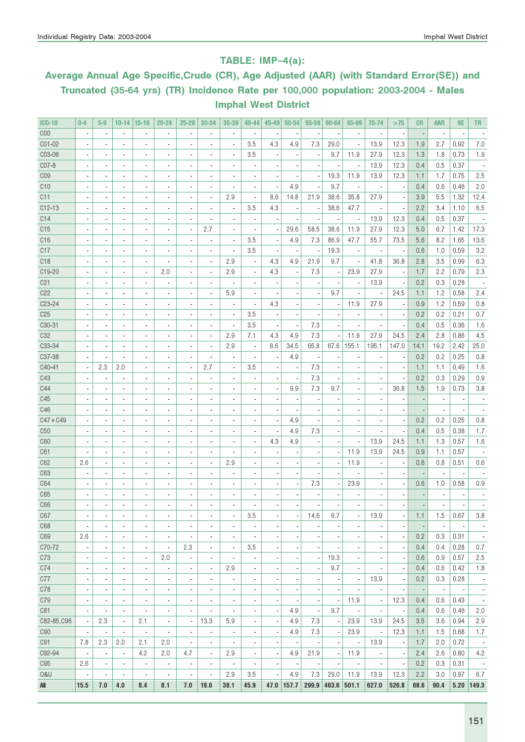#### TABLE: IMP–4(a):

# Average Annual Age Specific,Crude (CR), Age Adjusted (AAR) (with Standard Error(SE)) and Truncated (35-64 yrs) (TR) Incidence Rate per 100,000 population: 2003-2004 - Males Imphal West District

| <b>ICD-10</b>   | $0 - 4$                                    | $5-9$                    | $10 - 14$                | $15 - 19$                | 20-24                    | $25 - 29$                | 30-34                    | 35-39                    | 40-44                    | 45-49 | $50 - 54$ | 55-59                    | 60-64                        | 65-69                    | 70-74                    | >75                      | <b>CR</b> | <b>AAR</b>               | <b>SE</b>                | <b>TR</b>                |
|-----------------|--------------------------------------------|--------------------------|--------------------------|--------------------------|--------------------------|--------------------------|--------------------------|--------------------------|--------------------------|-------|-----------|--------------------------|------------------------------|--------------------------|--------------------------|--------------------------|-----------|--------------------------|--------------------------|--------------------------|
| C <sub>00</sub> | $\blacksquare$                             | $\overline{\phantom{a}}$ | $\overline{\phantom{a}}$ | ä,                       | $\blacksquare$           | ÷,                       |                          | ä,                       | $\blacksquare$           |       |           | ×,                       |                              | $\overline{\phantom{a}}$ | ÷,                       | $\overline{\phantom{a}}$ |           | $\blacksquare$           |                          |                          |
| CO1-02          | ä,                                         |                          | $\overline{\phantom{a}}$ | ä,                       | $\overline{a}$           | $\overline{a}$           |                          | ÷,                       | 3.5                      | 4.3   | 4.9       | 7.3                      | 29.0                         | ÷,                       | 13.9                     | 12.3                     | 1.9       | 2.7                      | 0.92                     | $7.0\,$                  |
| C03-06          |                                            | $\overline{\phantom{a}}$ | $\blacksquare$           | $\overline{\phantom{a}}$ | $\blacksquare$           | i,                       |                          | ÷,                       | 3.5                      |       |           | $\overline{\phantom{a}}$ | 9.7                          | 11.9                     | 27.9                     | 12.3                     | 1.3       | 1.8                      | 0.73                     | 1.9                      |
| C07-8           | $\overline{\phantom{a}}$                   |                          | ÷,                       | $\overline{\phantom{a}}$ | ÷,                       |                          |                          |                          |                          |       |           |                          |                              | $\overline{\phantom{a}}$ | 13.9                     | 12.3                     | 0.4       | 0.5                      | 0.37                     |                          |
| CO <sub>9</sub> | ÷,                                         | $\overline{\phantom{a}}$ | $\blacksquare$           | $\overline{a}$           | ×,                       | i,                       |                          | ł,                       |                          |       |           |                          | 19.3                         | 11.9                     | 13.9                     | 12.3                     | 1.1       | 1.7                      | 0.75                     | 2.5                      |
| C10             | ÷,                                         | $\overline{\phantom{a}}$ | $\overline{\phantom{a}}$ | $\overline{\phantom{a}}$ | $\blacksquare$           | $\overline{a}$           | $\blacksquare$           | ä,                       |                          |       | 4.9       |                          | 9.7                          | $\overline{\phantom{a}}$ | $\overline{\phantom{a}}$ |                          | 0.4       | 0.6                      | 0.46                     | 2.0                      |
| C11             | ÷,                                         | $\overline{\phantom{a}}$ | $\overline{\phantom{a}}$ | $\overline{\phantom{a}}$ | $\blacksquare$           | $\overline{a}$           | $\overline{\phantom{a}}$ | 2.9                      | $\overline{\phantom{a}}$ | 8.6   | 14.8      | 21.9                     | 38.6                         | 35.8                     | 27.9                     | $\overline{\phantom{a}}$ | 3.9       | 5.5                      | 1.32                     | 12.4                     |
| $C12-13$        | $\overline{\phantom{a}}$                   | $\overline{\phantom{a}}$ | $\overline{\phantom{a}}$ | $\overline{\phantom{a}}$ | $\blacksquare$           | $\overline{a}$           | $\blacksquare$           | ×,                       | 3.5                      | 4.3   |           | $\overline{\phantom{a}}$ | 38.6                         | 47.7                     | $\overline{\phantom{a}}$ | $\overline{\phantom{a}}$ | 2.2       | 3.4                      | 1.10                     | 6.5                      |
| C14             | $\overline{\phantom{a}}$                   | $\overline{\phantom{a}}$ | $\overline{\phantom{a}}$ | $\overline{\phantom{a}}$ | $\blacksquare$           | $\overline{a}$           |                          | ä,                       | $\overline{\phantom{a}}$ |       |           |                          |                              | $\overline{\phantom{a}}$ | 13.9                     | 12.3                     | 0.4       | 0.5                      | 0.37                     |                          |
| C15             | $\overline{\phantom{a}}$                   | $\blacksquare$           | $\blacksquare$           | $\blacksquare$           | $\blacksquare$           | $\overline{\phantom{a}}$ | 2.7                      | ä,                       | $\blacksquare$           |       | 29.6      | 58.5                     | 38.6                         | 11.9                     | 27.9                     | 12.3                     | 5.0       | 6.7                      | 1.42                     | 17.3                     |
| C16             | $\blacksquare$                             | $\blacksquare$           | $\blacksquare$           | $\overline{\phantom{a}}$ | ٠                        | $\overline{a}$           | $\blacksquare$           | ×,                       | 3.5                      |       | 4.9       | 7.3                      | 86.9                         | 47.7                     | 55.7                     | 73.5                     | 5.6       | 8.2                      | 1.65                     | 13.6                     |
| C17             | $\blacksquare$                             | $\blacksquare$           | $\blacksquare$           | $\overline{\phantom{a}}$ | $\overline{a}$           | $\overline{a}$           | $\overline{\phantom{a}}$ | ÷,                       | 3.5                      |       |           |                          | 19.3                         | $\blacksquare$           | $\overline{\phantom{a}}$ |                          | 0.6       | 1.0                      | 0.59                     | 3.2                      |
| C <sub>18</sub> | $\blacksquare$                             | $\overline{a}$           | $\overline{a}$           | $\overline{a}$           | $\overline{\phantom{a}}$ | $\overline{a}$           | $\overline{a}$           | 2.9                      | $\overline{a}$           | 4.3   | 4.9       | 21.9                     | 9.7                          | $\overline{\phantom{a}}$ | 41.8                     | 36.8                     | 2.8       | 3.5                      | 0.99                     | 6.3                      |
| C19-20          | $\blacksquare$                             | $\overline{\phantom{a}}$ | ٠                        | ٠                        | 2.0                      | $\overline{a}$           | $\overline{\phantom{a}}$ | 2.9                      |                          | 4.3   |           | 7.3                      |                              | 23.9                     | 27.9                     | $\overline{\phantom{a}}$ | 1.7       | 2.2                      | 0.79                     | 2.3                      |
| C <sub>21</sub> | $\overline{a}$                             | $\overline{a}$           | $\overline{a}$           | $\overline{a}$           | $\overline{\phantom{a}}$ |                          | $\overline{\phantom{a}}$ |                          | $\overline{a}$           |       |           |                          |                              | $\overline{\phantom{a}}$ | 13.9                     |                          | 0.2       | 0.3                      | 0.28                     |                          |
| C22             | $\overline{\phantom{a}}$                   | $\overline{a}$           | $\overline{a}$           | $\overline{a}$           | $\overline{a}$           |                          | ÷,                       | 5.9                      | $\overline{a}$           |       |           | $\overline{a}$           | 9.7                          |                          | $\overline{a}$           | 24.5                     | 1.1       | 1.2                      | 0.58                     | 2.4                      |
| C23-24          | $\blacksquare$                             | $\overline{a}$           | ä,                       | $\overline{\phantom{a}}$ | $\overline{a}$           |                          |                          | ä,                       | $\blacksquare$           | 4.3   |           |                          |                              | 11.9                     | 27.9                     | ÷,                       | 0.9       | 1.2                      | 0.59                     | 0.8                      |
| C <sub>25</sub> | $\blacksquare$                             | $\overline{a}$           | $\blacksquare$           | $\overline{\phantom{a}}$ | $\overline{\phantom{a}}$ |                          |                          | ä,                       | 3.5                      |       |           |                          |                              | $\overline{\phantom{a}}$ | $\overline{a}$           | $\overline{a}$           | 0.2       | 0.2                      | 0.21                     | 0.7                      |
| C30-31          | $\blacksquare$                             | $\overline{\phantom{a}}$ | $\overline{\phantom{a}}$ | $\overline{\phantom{a}}$ | $\overline{\phantom{a}}$ |                          |                          | ä,                       | 3.5                      |       |           | 7.3                      |                              | $\overline{\phantom{a}}$ | ä,                       | $\overline{\phantom{a}}$ | 0.4       | 0.5                      | 0.36                     | 1.6                      |
| C <sub>32</sub> | $\blacksquare$                             | $\blacksquare$           | $\blacksquare$           | $\overline{\phantom{a}}$ | $\overline{\phantom{a}}$ |                          | $\overline{\phantom{a}}$ | 2.9                      | 7.1                      | 4.3   | 4.9       | 7.3                      |                              | 11.9                     | 27.9                     | 24.5                     | 2.4       | 2.8                      | 0.86                     | 4.5                      |
| C33-34          | $\blacksquare$                             | $\blacksquare$           | $\overline{\phantom{a}}$ | $\overline{\phantom{a}}$ | ٠                        | $\overline{a}$           | $\overline{a}$           | 2.9                      | $\blacksquare$           | 8.6   | 34.5      | 65.8                     | 67.6                         | 155.1                    | 195.1                    | 147.0                    | 14.1      | 19.2                     | 2.42                     | 25.0                     |
| C37-38          |                                            | $\overline{\phantom{a}}$ | ä,                       | $\overline{\phantom{a}}$ | ÷,                       | $\overline{a}$           | ä,                       | ä,                       | $\overline{\phantom{a}}$ |       | 4.9       |                          |                              | $\overline{\phantom{a}}$ | ä,                       |                          | 0.2       | 0.2                      | 0.25                     | 0.8                      |
| C40-41          |                                            | 2.3                      | 2.0                      | $\overline{\phantom{a}}$ | ä,                       | $\overline{a}$           | 2.7                      | ÷,                       | 3.5                      |       |           | 7.3                      |                              |                          | $\overline{\phantom{a}}$ | ×,                       | 1.1       | 1.1                      | 0.49                     | 1.6                      |
| C43             | $\overline{\phantom{a}}$<br>$\blacksquare$ | $\overline{a}$           | $\overline{\phantom{a}}$ | $\blacksquare$           | ä,                       |                          | ä,                       | ä,                       | $\overline{\phantom{a}}$ |       |           | 7.3                      |                              |                          |                          |                          | 0.2       | 0.3                      | 0.29                     | 0.9                      |
|                 | $\blacksquare$                             | $\overline{a}$           |                          |                          | $\overline{a}$           |                          |                          | ÷,                       | $\overline{a}$           |       |           | 7.3                      | 9.7                          |                          | $\overline{a}$           |                          |           |                          |                          |                          |
| C44             |                                            |                          | $\overline{\phantom{a}}$ | $\overline{\phantom{a}}$ |                          |                          |                          |                          |                          |       | 9.9       |                          |                              |                          |                          | 36.8                     | 1.5       | 1.9                      | 0.73                     | 3.8                      |
| C45             | $\blacksquare$                             | $\overline{a}$           | ä,                       | $\overline{\phantom{a}}$ | $\overline{a}$           |                          |                          | ä,                       | $\overline{a}$           |       |           |                          |                              |                          |                          |                          |           | $\overline{\phantom{a}}$ |                          | $\overline{\phantom{a}}$ |
| C46             | $\blacksquare$                             | $\overline{\phantom{a}}$ | $\overline{\phantom{a}}$ | $\overline{\phantom{a}}$ | $\overline{a}$           |                          |                          | ä,                       | $\overline{a}$           |       |           |                          |                              |                          |                          |                          |           | ÷,                       |                          |                          |
| $C47 + C49$     | $\blacksquare$                             | $\overline{\phantom{a}}$ | $\overline{\phantom{a}}$ | $\overline{\phantom{a}}$ | $\overline{\phantom{a}}$ |                          |                          | ä,                       | $\overline{a}$           |       | 4.9       |                          |                              | $\overline{\phantom{a}}$ |                          | ÷,                       | 0.2       | 0.2                      | 0.25                     | 0.8                      |
| C50             | $\blacksquare$                             | $\overline{a}$           | $\blacksquare$           | $\overline{\phantom{a}}$ | $\overline{a}$           |                          |                          | ä,                       |                          |       | 4.9       | 7.3                      |                              | ä,                       | $\overline{\phantom{a}}$ |                          | 0.4       | 0.5                      | 0.38                     | 1.7                      |
| C60             | $\blacksquare$                             | $\overline{a}$           | $\overline{\phantom{a}}$ | $\overline{a}$           | $\overline{a}$           |                          |                          | ä,                       | $\blacksquare$           | 4.3   | 4.9       |                          |                              | $\blacksquare$           | 13.9                     | 24.5                     | 1.1       | 1.3                      | 0.57                     | 1.6                      |
| C61             | $\blacksquare$                             |                          | $\overline{\phantom{a}}$ | $\overline{a}$           | $\overline{a}$           |                          |                          | ÷,                       |                          |       |           |                          |                              | 11.9                     | 13.9                     | 24.5                     | 0.9       | 1.1                      | 0.57                     |                          |
| C62             | 2.6                                        |                          | $\blacksquare$           | $\overline{a}$           | $\overline{a}$           |                          |                          | 2.9                      | $\overline{\phantom{a}}$ |       |           |                          |                              | 11.9                     | ä,                       |                          | 0.6       | 0.8                      | 0.51                     | 0.6                      |
| C63             | $\blacksquare$                             |                          | ä,                       | $\overline{\phantom{a}}$ | $\overline{a}$           |                          |                          | ä,                       | $\overline{\phantom{a}}$ |       |           |                          |                              |                          |                          |                          |           | $\overline{a}$           |                          |                          |
| C64             | $\blacksquare$                             | $\overline{a}$           | $\blacksquare$           | $\overline{\phantom{a}}$ | $\overline{a}$           |                          |                          | ä,                       | $\overline{\phantom{a}}$ |       |           | 7.3                      |                              | 23.9                     |                          |                          | 0.6       | 1.0                      | 0.58                     | 0.9                      |
| C65             | $\blacksquare$                             |                          | $\overline{\phantom{a}}$ | ÷.                       |                          |                          |                          | ä,                       |                          |       |           |                          |                              |                          |                          |                          |           | $\overline{a}$           |                          |                          |
| C66             | $\overline{\phantom{a}}$                   |                          | $\overline{\phantom{a}}$ |                          |                          |                          |                          |                          |                          |       |           |                          |                              |                          |                          |                          |           |                          |                          |                          |
| C67             | $\overline{\phantom{a}}$                   |                          | $\overline{\phantom{a}}$ | $\overline{\phantom{a}}$ | $\overline{\phantom{a}}$ | $\overline{\phantom{a}}$ |                          | $\overline{\phantom{a}}$ | 3.5                      |       |           | 14.6                     | 9.7                          |                          | 13.9                     | $\overline{\phantom{a}}$ | 1.1       | 1.5                      | 0.67                     | 3.8                      |
| C68             | $\overline{\phantom{a}}$                   | $\overline{\phantom{a}}$ | $\overline{\phantom{a}}$ | $\overline{\phantom{a}}$ | $\overline{\phantom{a}}$ | $\overline{a}$           | ÷,                       | $\overline{\phantom{a}}$ | ٠                        |       |           |                          |                              |                          | $\overline{\phantom{a}}$ | ٠                        |           | $\overline{\phantom{a}}$ |                          | $\overline{\phantom{a}}$ |
| C69             | 2.6                                        | $\overline{\phantom{a}}$ | $\overline{\phantom{a}}$ | $\overline{\phantom{a}}$ | $\overline{\phantom{a}}$ | ÷,                       | $\overline{\phantom{a}}$ | $\overline{\phantom{a}}$ | $\overline{\phantom{a}}$ |       |           |                          |                              | $\overline{\phantom{a}}$ | $\frac{1}{2}$            | $\overline{\phantom{a}}$ | 0.2       | 0.3                      | 0.31                     | $\sim$                   |
| C70-72          | $\blacksquare$                             | $\overline{\phantom{a}}$ | $\overline{\phantom{a}}$ | $\overline{\phantom{a}}$ | $\overline{\phantom{a}}$ | 2.3                      | $\overline{\phantom{a}}$ | $\overline{\phantom{a}}$ | 3.5                      |       |           |                          |                              | ÷,                       | $\overline{\phantom{a}}$ | $\overline{\phantom{a}}$ | 0.4       | 0.4                      | 0.28                     | 0.7                      |
| C73             | $\overline{\phantom{a}}$                   | $\overline{\phantom{a}}$ | $\blacksquare$           | $\overline{\phantom{a}}$ | 2.0                      | ÷,                       | $\overline{\phantom{a}}$ | $\overline{\phantom{a}}$ | $\overline{\phantom{a}}$ |       |           | $\overline{\phantom{a}}$ | 19.3                         | ÷,                       | $\frac{1}{2}$            | $\overline{\phantom{a}}$ | 0.6       | 0.9                      | 0.57                     | 2.5                      |
| C74             | $\overline{\phantom{a}}$                   | $\overline{\phantom{a}}$ | $\overline{\phantom{a}}$ | $\overline{\phantom{a}}$ | $\overline{\phantom{a}}$ | $\blacksquare$           | $\overline{\phantom{a}}$ | 2.9                      | $\overline{\phantom{a}}$ |       |           | ÷,                       | 9.7                          | $\overline{\phantom{a}}$ | $\frac{1}{2}$            | $\overline{\phantom{a}}$ | 0.4       | 0.6                      | 0.42                     | 1.8                      |
| C77             | $\overline{\phantom{a}}$                   | $\overline{\phantom{a}}$ | $\overline{\phantom{a}}$ | $\overline{\phantom{a}}$ | $\overline{\phantom{a}}$ | $\frac{1}{2}$            | $\overline{\phantom{a}}$ | $\overline{\phantom{a}}$ | $\overline{\phantom{a}}$ |       |           |                          | ÷,                           | $\overline{\phantom{a}}$ | 13.9                     | $\overline{\phantom{a}}$ | 0.2       | 0.3                      | 0.28                     | $\overline{\phantom{a}}$ |
| C78             | $\overline{\phantom{a}}$                   | $\blacksquare$           | $\overline{\phantom{a}}$ | $\overline{\phantom{a}}$ | $\overline{\phantom{a}}$ | $\overline{a}$           | $\overline{\phantom{a}}$ | $\overline{\phantom{a}}$ | $\overline{\phantom{a}}$ |       |           |                          |                              | ÷,                       | $\overline{\phantom{a}}$ | $\blacksquare$           |           | $\overline{\phantom{a}}$ | $\overline{\phantom{a}}$ | $\overline{\phantom{a}}$ |
| C79             | $\overline{\phantom{a}}$                   | $\blacksquare$           | $\overline{\phantom{a}}$ | $\overline{a}$           | ×,                       | $\overline{a}$           | $\overline{\phantom{a}}$ | $\overline{\phantom{a}}$ | $\overline{\phantom{a}}$ |       |           | $\overline{\phantom{a}}$ | $\overline{\phantom{a}}$     | 11.9                     | $\overline{\phantom{a}}$ | 12.3                     | 0.4       | 0.6                      | 0.43                     | $\sim$                   |
| C81             | $\blacksquare$                             | $\blacksquare$           | $\blacksquare$           | $\overline{a}$           | ×,                       | $\overline{a}$           | $\overline{\phantom{a}}$ | ×,                       | $\overline{\phantom{a}}$ | ٠     | 4.9       | $\overline{\phantom{a}}$ | 9.7                          | $\overline{\phantom{a}}$ | $\overline{\phantom{a}}$ | $\overline{\phantom{a}}$ | 0.4       | 0.6                      | 0.46                     | 2.0                      |
| C82-85, C96     | $\overline{\phantom{a}}$                   | 2.3                      | $\blacksquare$           | 2.1                      | $\overline{\phantom{a}}$ | $\overline{\phantom{a}}$ | 13.3                     | 5.9                      | $\overline{\phantom{a}}$ |       | 4.9       | 7.3                      |                              | 23.9                     | 13.9                     | 24.5                     | 3.5       | 3.6                      | 0.94                     | 2.9                      |
| <b>C90</b>      | $\overline{\phantom{a}}$                   | $\overline{\phantom{a}}$ | $\overline{\phantom{a}}$ | $\overline{\phantom{a}}$ | $\overline{\phantom{a}}$ | $\overline{a}$           | $\overline{\phantom{a}}$ | $\overline{\phantom{a}}$ | $\overline{\phantom{a}}$ |       | 4.9       | 7.3                      | $\qquad \qquad \blacksquare$ | 23.9                     | $\overline{\phantom{a}}$ | 12.3                     | 1.1       | 1.5                      | 0.68                     | 1.7                      |
| C91             | 7.8                                        | 2.3                      | 2.0                      | 2.1                      | 2.0                      | $\overline{\phantom{a}}$ | $\overline{\phantom{a}}$ | $\overline{\phantom{a}}$ |                          |       |           |                          |                              | $\blacksquare$           | 13.9                     | $\overline{\phantom{a}}$ | 1.7       | 2.0                      | 0.72                     | $\sim$                   |
| C92-94          | $\overline{\phantom{a}}$                   | $\overline{\phantom{a}}$ | $\blacksquare$           | 4.2                      | 2.0                      | 4.7                      | $\overline{\phantom{a}}$ | 2.9                      | $\overline{\phantom{a}}$ |       | 4.9       | 21.9                     | $\frac{1}{2}$                | 11.9                     | $\overline{\phantom{a}}$ | $\overline{\phantom{a}}$ | 2.4       | 2.6                      | 0.80                     | 4.2                      |
| C <sub>95</sub> | 2.6                                        | $\overline{\phantom{a}}$ | $\overline{\phantom{a}}$ | $\overline{a}$           | $\overline{\phantom{a}}$ | $\overline{\phantom{a}}$ | $\overline{\phantom{a}}$ | $\overline{\phantom{a}}$ | $\overline{\phantom{a}}$ |       |           | $\overline{\phantom{a}}$ | ÷,                           | $\blacksquare$           | $\overline{\phantom{a}}$ | $\overline{\phantom{a}}$ | 0.2       | 0.3                      | 0.31                     | $\sim$                   |
| 0&U             | $\overline{\phantom{a}}$                   | $\overline{\phantom{a}}$ | $\overline{\phantom{a}}$ | $\overline{\phantom{a}}$ | ×,                       | $\overline{\phantom{a}}$ | $\overline{\phantom{a}}$ | 2.9                      | 3.5                      |       | 4.9       | 7.3                      | 29.0                         | 11.9                     | 13.9                     | 12.3                     | 2.2       | 3.0                      | 0.97                     | 6.7                      |
| All             | 15.5                                       | 7.0                      | 4.0                      | 8.4                      | 8.1                      | 7.0                      | 18.6                     | 38.1                     | 45.9                     | 47.0  | 157.7     |                          | $299.9$ 463.6                | 501.1                    | 627.0                    | 526.8                    | 68.6      | 90.4                     |                          | 5.20 149.3               |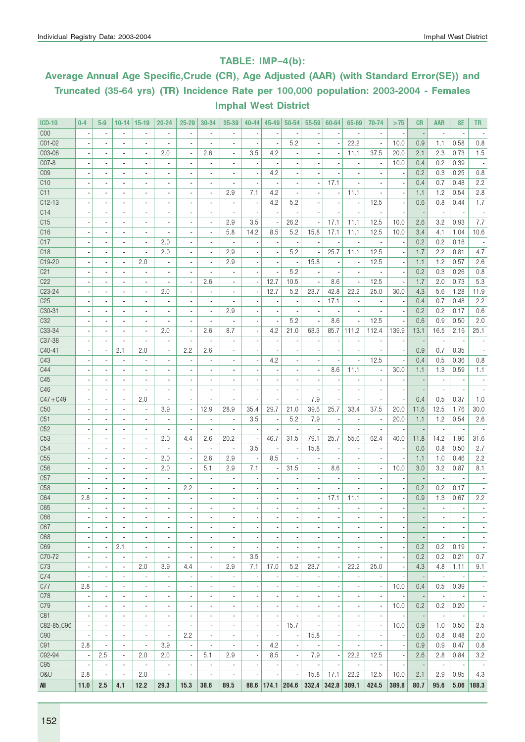### TABLE: IMP–4(b):

# Average Annual Age Specific,Crude (CR), Age Adjusted (AAR) (with Standard Error(SE)) and Truncated (35-64 yrs) (TR) Incidence Rate per 100,000 population: 2003-2004 - Females Imphal West District

| <b>ICD-10</b>   | $0 - 4$                  | $5-9$                    | $10 - 14$                | $15-19$                  | $20 - 24$                | $25 - 29$                | 30-34                        | 35-39                        | 40-44                    | $45 - 49$                | 50-54                    | 55-59                    | 60-64                    | 65-69                        | 70-74                    | >75                      | <b>CR</b>                | <b>AAR</b>               | <b>SE</b>                | TR                       |
|-----------------|--------------------------|--------------------------|--------------------------|--------------------------|--------------------------|--------------------------|------------------------------|------------------------------|--------------------------|--------------------------|--------------------------|--------------------------|--------------------------|------------------------------|--------------------------|--------------------------|--------------------------|--------------------------|--------------------------|--------------------------|
| C <sub>00</sub> |                          | $\blacksquare$           | $\overline{a}$           |                          | $\overline{\phantom{a}}$ | $\blacksquare$           | $\overline{\phantom{a}}$     |                              |                          |                          |                          |                          |                          | $\blacksquare$               | ×,                       | $\overline{\phantom{a}}$ |                          | $\overline{\phantom{a}}$ | $\overline{\phantom{a}}$ |                          |
| C01-02          |                          |                          |                          |                          |                          |                          |                              |                              |                          |                          | 5.2                      |                          |                          | 22.2                         |                          | 10.0                     | 0.9                      | 1.1                      | 0.58                     | 0.8                      |
| C03-06          |                          | $\blacksquare$           | $\overline{\phantom{a}}$ | $\overline{\phantom{a}}$ | 2.0                      | ÷,                       | 2.6                          | ÷,                           | 3.5                      | 4.2                      |                          |                          |                          | 11.1                         | 37.5                     | 20.0                     | 2.1                      | 2.3                      | 0.73                     | 1.5                      |
| C07-8           |                          | $\blacksquare$           | $\overline{\phantom{a}}$ | $\blacksquare$           | $\overline{a}$           | $\blacksquare$           | $\overline{\phantom{a}}$     | $\overline{\phantom{a}}$     |                          |                          |                          |                          |                          | $\overline{\phantom{a}}$     | $\overline{\phantom{a}}$ | 10.0                     | 0.4                      | 0.2                      | 0.39                     |                          |
| C <sub>09</sub> | $\blacksquare$           | $\blacksquare$           | $\blacksquare$           | $\overline{\phantom{a}}$ | $\blacksquare$           | $\overline{\phantom{a}}$ | $\overline{\phantom{a}}$     | ä,                           | $\blacksquare$           | 4.2                      |                          | ÷,                       |                          | ä,                           | ä,                       | $\overline{\phantom{a}}$ | 0.2                      | 0.3                      | 0.25                     | 0.8                      |
| C10             |                          |                          | $\overline{\phantom{a}}$ | $\frac{1}{2}$            | $\overline{a}$           | $\frac{1}{2}$            | $\qquad \qquad \blacksquare$ | ٠                            | $\overline{a}$           |                          |                          |                          | 17.1                     |                              | ٠                        |                          | 0.4                      | 0.7                      | 0.48                     | 2.2                      |
| C11             |                          |                          | $\overline{a}$           | $\overline{a}$           |                          | $\overline{a}$           | ä,                           | 2.9                          | 7.1                      | 4.2                      |                          |                          |                          | 11.1                         |                          | $\overline{\phantom{a}}$ | 1.1                      | 1.2                      | 0.54                     | 2.8                      |
| $C12-13$        |                          | $\overline{\phantom{a}}$ | $\overline{\phantom{a}}$ | $\overline{a}$           | $\overline{\phantom{a}}$ | $\overline{a}$           | $\overline{\phantom{a}}$     | ä,                           | $\overline{a}$           | 4.2                      | 5.2                      |                          |                          | $\overline{\phantom{a}}$     | 12.5                     | $\overline{\phantom{a}}$ | 0.6                      | 0.8                      | 0.44                     | 1.7                      |
| C14             |                          | $\overline{\phantom{a}}$ | $\blacksquare$           | $\overline{a}$           | $\overline{\phantom{a}}$ | $\overline{a}$           | ä,                           | ä,                           |                          |                          |                          |                          |                          | $\overline{\phantom{a}}$     | ٠                        | $\overline{\phantom{a}}$ |                          | $\overline{\phantom{a}}$ | $\overline{\phantom{a}}$ |                          |
| C15             |                          |                          | $\frac{1}{2}$            | $\overline{a}$           |                          | $\frac{1}{2}$            | ä,                           | 2.9                          | 3.5                      |                          | 26.2                     |                          | 17.1                     | 11.1                         | 12.5                     | 10.0                     | 2.6                      | 3.2                      | 0.93                     | 7.7                      |
| C16             |                          | $\blacksquare$           | $\overline{a}$           | $\overline{a}$           |                          | $\overline{\phantom{a}}$ | ÷,                           | 5.8                          | 14.2                     | 8.5                      | 5.2                      | 15.8                     | 17.1                     | 11.1                         | 12.5                     | 10.0                     | 3.4                      | 4.1                      | 1.04                     | 10.6                     |
| C17             |                          | $\blacksquare$           | $\frac{1}{2}$            | $\blacksquare$           | 2.0                      | $\overline{\phantom{a}}$ | $\overline{\phantom{a}}$     | ÷,                           |                          |                          |                          |                          |                          | $\overline{\phantom{a}}$     | ×,                       | $\overline{\phantom{a}}$ | 0.2                      | 0.2                      | 0.16                     |                          |
| C <sub>18</sub> | $\blacksquare$           | $\blacksquare$           | $\blacksquare$           | $\overline{\phantom{a}}$ | 2.0                      | $\blacksquare$           | $\overline{\phantom{a}}$     | 2.9                          | $\overline{\phantom{a}}$ | $\overline{\phantom{a}}$ | 5.2                      | $\overline{\phantom{a}}$ | 25.7                     | 11.1                         | 12.5                     | $\overline{\phantom{a}}$ | 1.7                      | 2.2                      | 0.81                     | 4.7                      |
| C19-20          |                          |                          | $\blacksquare$           | 2.0                      |                          | $\overline{\phantom{a}}$ | $\blacksquare$               | 2.9                          |                          | ÷                        |                          | 15.8                     |                          | $\overline{\phantom{a}}$     | 12.5                     | ÷                        | 1.1                      | 1.2                      | 0.57                     | 2.6                      |
| C <sub>21</sub> |                          |                          | $\blacksquare$           | $\overline{\phantom{a}}$ |                          | $\overline{a}$           | ä,                           |                              |                          |                          | 5.2                      |                          |                          | $\overline{\phantom{a}}$     | ×,                       | $\overline{\phantom{a}}$ | 0.2                      | 0.3                      | 0.26                     | 0.8                      |
| C22             |                          | $\overline{\phantom{a}}$ | $\overline{a}$           | $\overline{a}$           | $\overline{\phantom{a}}$ | $\blacksquare$           | 2.6                          | $\overline{\phantom{a}}$     |                          | 12.7                     | 10.5                     | $\overline{\phantom{a}}$ | 8.6                      | $\overline{\phantom{a}}$     | 12.5                     | $\overline{\phantom{a}}$ | 1.7                      | 2.0                      | 0.73                     | 5.3                      |
| C23-24          |                          |                          | $\overline{\phantom{a}}$ | $\overline{\phantom{a}}$ | 2.0                      |                          | $\overline{\phantom{a}}$     |                              |                          | 12.7                     | 5.2                      | 23.7                     | 42.8                     | 22.2                         | 25.0                     | 30.0                     | 4.3                      | 5.6                      | 1.28                     | 11.9                     |
| C <sub>25</sub> |                          | $\blacksquare$           | $\overline{\phantom{a}}$ | $\overline{\phantom{a}}$ |                          | $\overline{\phantom{a}}$ | ÷,                           |                              |                          |                          |                          | ×,                       | 17.1                     | ä,                           | ÷,                       | ÷,                       | 0.4                      | 0.7                      | 0.48                     | 2.2                      |
| C30-31          |                          | $\blacksquare$           | $\overline{\phantom{a}}$ | $\blacksquare$           | $\overline{a}$           | $\blacksquare$           | $\overline{\phantom{a}}$     | 2.9                          |                          |                          |                          | $\blacksquare$           |                          | $\overline{\phantom{a}}$     | $\overline{\phantom{a}}$ | $\overline{\phantom{a}}$ | 0.2                      | 0.2                      | 0.17                     | 0.6                      |
| C32             | $\blacksquare$           | $\blacksquare$           | $\blacksquare$           | $\blacksquare$           | $\overline{a}$           | $\overline{\phantom{a}}$ | $\blacksquare$               | ä,                           |                          | $\overline{\phantom{a}}$ | 5.2                      | $\overline{\phantom{a}}$ | 8.6                      | ÷,                           | 12.5                     | $\overline{\phantom{a}}$ | 0.6                      | 0.9                      | 0.50                     | 2.0                      |
| C33-34          |                          |                          | $\blacksquare$           | $\blacksquare$           | 2.0                      | $\overline{\phantom{a}}$ | 2.6                          | 8.7                          |                          | 4.2                      | 21.0                     | 63.3                     | 85.7                     | 111.2                        | 112.4                    | 139.9                    | 13.1                     | 16.5                     | 2.16                     | 25.1                     |
| C37-38          |                          |                          | $\overline{a}$           |                          |                          | $\blacksquare$           | ä,                           | ä,                           |                          |                          |                          |                          |                          |                              |                          |                          |                          | ä,                       |                          |                          |
| C40-41          |                          | $\blacksquare$           | 2.1                      | 2.0                      | $\blacksquare$           | 2.2                      | 2.6                          | $\blacksquare$               |                          |                          |                          |                          |                          | $\overline{a}$               | ٠                        | $\overline{\phantom{a}}$ | 0.9                      | 0.7                      | 0.35                     |                          |
| C43             |                          |                          | $\blacksquare$           | $\overline{\phantom{a}}$ |                          | $\blacksquare$           | $\overline{\phantom{a}}$     | ä,                           |                          | 4.2                      |                          |                          |                          | ä,                           | 12.5                     | $\overline{\phantom{a}}$ | 0.4                      | 0.5                      | 0.36                     | 0.8                      |
| C44             |                          | $\blacksquare$           | $\overline{\phantom{a}}$ | ä,                       |                          | ÷,                       |                              |                              |                          |                          |                          | ×,                       | 8.6                      | 11.1                         | ×,                       | 30.0                     | 1.1                      | 1.3                      | 0.59                     | 1.1                      |
| C45             |                          | $\blacksquare$           | $\overline{\phantom{a}}$ | $\blacksquare$           | $\overline{a}$           | $\blacksquare$           | $\blacksquare$               | $\overline{\phantom{a}}$     |                          |                          |                          | ÷,                       |                          | $\overline{\phantom{a}}$     | $\blacksquare$           | $\overline{\phantom{a}}$ |                          | $\blacksquare$           | $\overline{\phantom{a}}$ |                          |
| C46             | $\blacksquare$           | $\blacksquare$           | $\blacksquare$           | ä,                       | Ĭ.                       | $\blacksquare$           | $\overline{\phantom{a}}$     | ä,                           | $\overline{a}$           | $\overline{\phantom{a}}$ | ä,                       | $\blacksquare$           | $\blacksquare$           | $\overline{\phantom{a}}$     | $\overline{\phantom{a}}$ | $\overline{\phantom{a}}$ | $\overline{\phantom{a}}$ | $\blacksquare$           | $\overline{\phantom{a}}$ |                          |
| $C47 + C49$     |                          | $\overline{\phantom{a}}$ | $\overline{\phantom{a}}$ | 2.0                      | $\overline{a}$           | $\overline{\phantom{a}}$ | ٠                            |                              |                          |                          |                          | 7.9                      |                          | $\qquad \qquad \blacksquare$ | $\overline{\phantom{a}}$ |                          | 0.4                      | 0.5                      | 0.37                     | 1.0                      |
| C50             |                          |                          | $\blacksquare$           | $\overline{\phantom{a}}$ | 3.9                      | $\overline{\phantom{a}}$ | 12.9                         | 28.9                         | 35.4                     | 29.7                     | 21.0                     | 39.6                     | 25.7                     | 33.4                         | 37.5                     | 20.0                     | 11.6                     | 12.5                     | 1.76                     | 30.0                     |
| C51             |                          | $\blacksquare$           | $\blacksquare$           | $\overline{\phantom{a}}$ | $\overline{\phantom{a}}$ | $\blacksquare$           | $\blacksquare$               | $\blacksquare$               | 3.5                      |                          | 5.2                      | 7.9                      |                          | $\blacksquare$               | $\blacksquare$           | 20.0                     | 1.1                      | 1.2                      | 0.54                     | 2.6                      |
| C52             |                          | $\blacksquare$           | $\blacksquare$           | $\overline{\phantom{a}}$ |                          | $\blacksquare$           | ä,                           |                              |                          |                          |                          |                          |                          |                              |                          |                          |                          |                          |                          |                          |
| C53             |                          | $\blacksquare$           | $\blacksquare$           | $\blacksquare$           | 2.0                      | 4.4                      | 2.6                          | 20.2                         |                          | 46.7                     | 31.5                     | 79.1                     | 25.7                     | 55.6                         | 62.4                     | 40.0                     | 11.8                     | 14.2                     | 1.96                     | 31.6                     |
| C54             |                          | $\blacksquare$           | $\overline{\phantom{a}}$ | $\blacksquare$           | $\overline{\phantom{a}}$ | $\overline{\phantom{a}}$ | $\overline{\phantom{a}}$     | $\overline{\phantom{a}}$     | 3.5                      | $\overline{\phantom{a}}$ |                          | 15.8                     |                          | $\overline{\phantom{a}}$     | $\blacksquare$           | $\overline{\phantom{a}}$ | 0.6                      | 0.8                      | 0.50                     | 2.7                      |
| C55             | $\blacksquare$           | $\blacksquare$           | $\blacksquare$           | $\overline{\phantom{a}}$ | 2.0                      | $\overline{\phantom{a}}$ | 2.6                          | 2.9                          | $\overline{\phantom{a}}$ | 8.5                      |                          | ×,                       |                          | $\overline{\phantom{a}}$     | $\overline{\phantom{a}}$ | $\overline{\phantom{a}}$ | 1.1                      | 1.0                      | 0.46                     | 2.2                      |
| C56             |                          | $\blacksquare$           | $\overline{\phantom{a}}$ | $\blacksquare$           | 2.0                      | $\overline{\phantom{a}}$ | 5.1                          | 2.9                          | 7.1                      |                          | 31.5                     | ٠                        | 8.6                      |                              | $\overline{\phantom{a}}$ | 10.0                     | 3.0                      | 3.2                      | 0.87                     | 8.1                      |
| C57             |                          |                          | $\overline{a}$           |                          |                          | $\blacksquare$           |                              |                              |                          |                          |                          |                          |                          |                              |                          |                          |                          |                          |                          |                          |
| C <sub>58</sub> |                          |                          | $\overline{\phantom{a}}$ | $\overline{a}$           | $\overline{\phantom{a}}$ | 2.2                      | $\overline{\phantom{a}}$     | $\overline{\phantom{a}}$     |                          |                          |                          |                          |                          | ٠                            |                          | $\overline{\phantom{a}}$ | 0.2                      | 0.2                      | 0.17                     |                          |
| C64             | 2.8                      |                          | $\overline{\phantom{a}}$ | $\overline{a}$           |                          | $\overline{\phantom{a}}$ |                              |                              |                          |                          |                          |                          | 17.1                     | 11.1                         |                          |                          | 0.9                      | 1.3                      | 0.67                     | 2.2                      |
| C65             |                          |                          |                          |                          |                          |                          |                              |                              |                          |                          |                          |                          |                          |                              |                          |                          |                          |                          |                          |                          |
| C66             | $\overline{\phantom{a}}$ | $\overline{\phantom{a}}$ | $\overline{\phantom{a}}$ | $\overline{\phantom{a}}$ | $\overline{\phantom{a}}$ | $\overline{\phantom{a}}$ | $\overline{\phantom{a}}$     | $\overline{\phantom{a}}$     | $\overline{\phantom{a}}$ | ×                        |                          | $\overline{\phantom{a}}$ | ٠                        | $\overline{\phantom{a}}$     | ÷                        | $\overline{\phantom{a}}$ |                          | $\overline{\phantom{a}}$ | ×,                       | $\overline{\phantom{a}}$ |
| C67             | $\overline{\phantom{a}}$ | $\overline{\phantom{a}}$ | $\overline{\phantom{a}}$ | $\overline{\phantom{a}}$ | $\overline{\phantom{a}}$ | $\overline{\phantom{a}}$ | $\overline{\phantom{a}}$     | $\overline{\phantom{a}}$     | $\overline{\phantom{a}}$ | $\overline{\phantom{a}}$ | $\overline{\phantom{a}}$ | $\overline{\phantom{a}}$ | $\overline{\phantom{a}}$ | $\overline{\phantom{a}}$     | $\overline{\phantom{a}}$ | $\overline{\phantom{a}}$ | $\blacksquare$           | $\overline{\phantom{a}}$ | $\overline{\phantom{a}}$ | $\overline{\phantom{a}}$ |
| C68             | $\overline{\phantom{a}}$ | $\overline{\phantom{a}}$ | $\overline{\phantom{a}}$ | $\overline{\phantom{a}}$ | ×,                       | $\overline{\phantom{a}}$ | $\overline{\phantom{a}}$     | $\overline{\phantom{a}}$     | $\overline{\phantom{m}}$ |                          | $\overline{\phantom{m}}$ | ٠                        | $\overline{\phantom{a}}$ | $\qquad \qquad \blacksquare$ | $\overline{\phantom{a}}$ | $\overline{\phantom{a}}$ | $\overline{\phantom{m}}$ | $\overline{\phantom{a}}$ | $\overline{\phantom{a}}$ | $\overline{\phantom{a}}$ |
| C69             |                          | $\overline{\phantom{a}}$ | 2.1                      | ä,                       | $\overline{a}$           | ÷,                       | $\overline{\phantom{a}}$     | ä,                           |                          | ×                        | $\overline{\phantom{m}}$ | ٠                        | $\overline{\phantom{a}}$ | ä,                           | ÷,                       | $\overline{\phantom{a}}$ | 0.2                      | 0.2                      | 0.19                     | $\overline{\phantom{a}}$ |
| C70-72          | $\overline{a}$           | $\overline{\phantom{a}}$ | $\overline{\phantom{a}}$ | $\overline{\phantom{a}}$ | ×,                       | $\overline{\phantom{a}}$ | $\overline{\phantom{a}}$     | $\overline{\phantom{a}}$     | 3.5                      | ٠                        | ٠                        | ٠                        |                          | $\overline{\phantom{a}}$     | $\overline{\phantom{a}}$ | $\overline{\phantom{a}}$ | 0.2                      | 0.2                      | 0.21                     | 0.7                      |
| C73             | $\overline{\phantom{a}}$ | $\overline{\phantom{a}}$ | $\overline{\phantom{a}}$ | 2.0                      | 3.9                      | 4.4                      | $\overline{\phantom{a}}$     | 2.9                          | 7.1                      | 17.0                     | 5.2                      | 23.7                     | $\overline{\phantom{a}}$ | 22.2                         | 25.0                     | $\overline{\phantom{a}}$ | 4.3                      | 4.8                      | 1.11                     | 9.1                      |
| C74             | $\overline{a}$           | $\overline{\phantom{a}}$ | $\overline{\phantom{a}}$ | $\overline{\phantom{a}}$ | $\overline{\phantom{a}}$ | $\overline{\phantom{a}}$ | $\overline{\phantom{a}}$     | $\qquad \qquad \blacksquare$ | $\overline{a}$           |                          |                          | ,                        |                          | $\qquad \qquad \blacksquare$ | $\overline{a}$           | $\overline{\phantom{a}}$ | $\overline{\phantom{a}}$ | $\overline{\phantom{a}}$ | $\overline{\phantom{a}}$ | $\overline{\phantom{a}}$ |
| C77             | 2.8                      | $\overline{\phantom{a}}$ | $\overline{\phantom{a}}$ | $\blacksquare$           | $\blacksquare$           | $\overline{\phantom{a}}$ | $\overline{\phantom{a}}$     | $\overline{\phantom{a}}$     | ÷,                       | ×,                       | ÷,                       | ÷,                       | ×,                       | $\overline{\phantom{a}}$     | $\overline{\phantom{a}}$ | 10.0                     | 0.4                      | 0.5                      | 0.39                     | $\overline{\phantom{a}}$ |
| C78             | $\overline{\phantom{a}}$ | $\blacksquare$           | $\overline{\phantom{a}}$ | $\overline{\phantom{a}}$ | $\overline{\phantom{a}}$ | $\overline{\phantom{a}}$ | $\overline{\phantom{a}}$     | $\overline{\phantom{a}}$     | $\overline{\phantom{a}}$ | $\overline{\phantom{a}}$ | $\overline{a}$           | $\overline{\phantom{a}}$ | $\blacksquare$           | ٠                            | $\overline{\phantom{a}}$ | $\overline{\phantom{a}}$ | $\sim$                   | $\overline{\phantom{a}}$ | $\overline{\phantom{a}}$ | $\overline{\phantom{a}}$ |
| C79             | $\overline{\phantom{a}}$ | $\overline{\phantom{a}}$ | $\overline{\phantom{a}}$ | $\overline{\phantom{a}}$ | $\frac{1}{2}$            | $\overline{\phantom{a}}$ | $\qquad \qquad \blacksquare$ | ٠                            | $\overline{\phantom{m}}$ | ,                        | $\overline{\phantom{m}}$ | ,                        | $\overline{\phantom{a}}$ | $\qquad \qquad \blacksquare$ | $\overline{\phantom{a}}$ | 10.0                     | 0.2                      | 0.2                      | 0.20                     | $\overline{\phantom{a}}$ |
| C81             |                          | $\blacksquare$           | $\overline{\phantom{a}}$ | $\overline{\phantom{a}}$ | $\overline{a}$           | $\overline{\phantom{a}}$ | ä,                           | $\overline{\phantom{a}}$     | $\overline{\phantom{a}}$ | ×,                       | $\overline{\phantom{m}}$ | ×                        |                          | ä,                           | $\overline{\phantom{a}}$ | $\overline{\phantom{a}}$ | $\overline{\phantom{a}}$ | $\overline{\phantom{a}}$ | $\overline{\phantom{a}}$ | $\overline{\phantom{a}}$ |
| C82-85, C96     | $\overline{\phantom{a}}$ | $\blacksquare$           | $\overline{\phantom{a}}$ | $\overline{\phantom{a}}$ | ×,                       | $\overline{\phantom{a}}$ | $\overline{\phantom{a}}$     | $\overline{\phantom{a}}$     | ×,                       | $\overline{\phantom{a}}$ | 15.7                     | ×,                       |                          | $\overline{\phantom{a}}$     | $\overline{\phantom{a}}$ | 10.0                     | 0.9                      | 1.0                      | 0.50                     | 2.5                      |
| C90             | $\overline{\phantom{a}}$ | $\blacksquare$           | $\blacksquare$           | $\blacksquare$           | $\overline{\phantom{a}}$ | 2.2                      | $\blacksquare$               | $\overline{\phantom{a}}$     | $\blacksquare$           |                          | ٠                        | 15.8                     | $\blacksquare$           | ٠                            | $\blacksquare$           | $\overline{\phantom{a}}$ | 0.6                      | 0.8                      | 0.48                     | 2.0                      |
| C91             | 2.8                      | $\overline{\phantom{a}}$ | $\overline{\phantom{a}}$ | $\overline{\phantom{a}}$ | 3.9                      | $\overline{\phantom{a}}$ | $\overline{\phantom{a}}$     | ٠                            | $\overline{\phantom{a}}$ | 4.2                      |                          | ÷,                       |                          | $\qquad \qquad \blacksquare$ | $\overline{\phantom{a}}$ | $\overline{\phantom{a}}$ | 0.9                      | 0.9                      | 0.47                     | 0.8                      |
| C92-94          | ×,                       | 2.5                      | $\overline{\phantom{a}}$ | 2.0                      | 2.0                      | $\overline{\phantom{a}}$ | 5.1                          | 2.9                          | $\overline{\phantom{a}}$ | 8.5                      | $\overline{\phantom{a}}$ | 7.9                      |                          | 22.2                         | 12.5                     | $\overline{\phantom{a}}$ | 2.6                      | 2.8                      | 0.84                     | 3.2                      |
| C95             | $\overline{\phantom{a}}$ | $\overline{\phantom{a}}$ | $\overline{\phantom{a}}$ | $\overline{\phantom{a}}$ | $\overline{\phantom{a}}$ | $\overline{\phantom{a}}$ | $\overline{\phantom{a}}$     | $\blacksquare$               | $\overline{\phantom{a}}$ | $\overline{\phantom{a}}$ | ٠                        | $\overline{\phantom{a}}$ | $\overline{\phantom{a}}$ | $\overline{\phantom{a}}$     | $\overline{\phantom{a}}$ | $\overline{\phantom{a}}$ | $\overline{\phantom{a}}$ | $\overline{\phantom{a}}$ | $\overline{\phantom{a}}$ | $\overline{\phantom{a}}$ |
| 0&U             | 2.8                      | $\overline{\phantom{a}}$ | $\blacksquare$           | 2.0                      | $\overline{a}$           | $\overline{\phantom{a}}$ | ÷,                           | ÷,                           | ×,                       | $\overline{\phantom{a}}$ |                          | 15.8                     | 17.1                     | 22.2                         | 12.5                     | 10.0                     | 2.1                      | 2.9                      | 0.95                     | 4.3                      |
| All             | 11.0                     | 2.5                      | 4.1                      | 12.2                     | 29.3                     | 15.3                     | 38.6                         | 89.5                         | 88.6                     | $174.1$ 204.6            |                          | $332.4$ 342.8            |                          | 389.1                        | 424.5                    | 389.8                    | 80.7                     | 95.6                     |                          | $5.06$   188.3           |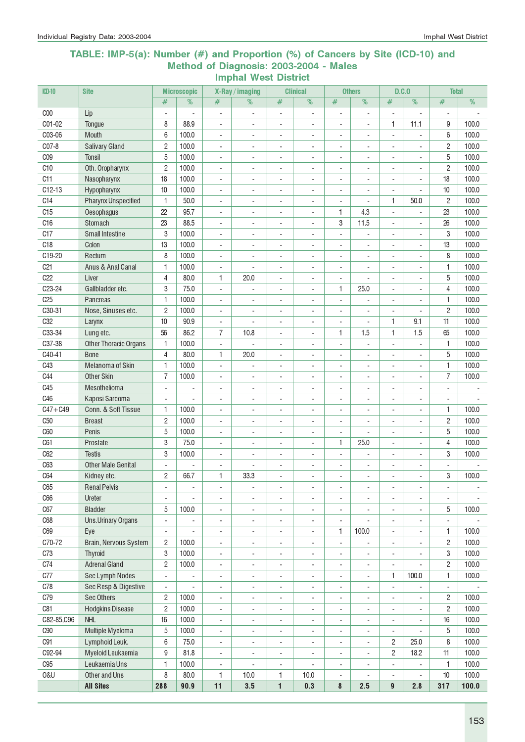#### TABLE: IMP-5(a): Number (#) and Proportion (%) of Cancers by Site (ICD-10) and Method of Diagnosis: 2003-2004 - Males Imphal West District

| <b>ICD-10</b>   | <b>Site</b>                  |                              | <b>Microscopic</b>       |                          | X-Ray / imaging          |                              | <b>Clinical</b>              |                          | <b>Others</b>            |                              | D.C.0                    | <b>Total</b>             |                          |
|-----------------|------------------------------|------------------------------|--------------------------|--------------------------|--------------------------|------------------------------|------------------------------|--------------------------|--------------------------|------------------------------|--------------------------|--------------------------|--------------------------|
|                 |                              | #                            | $\%$                     | #                        | $\frac{9}{6}$            | $\#$                         | $\frac{9}{6}$                | #                        | $\frac{9}{6}$            | #                            | $\frac{9}{6}$            | #                        | $\frac{9}{6}$            |
| C <sub>00</sub> | Lip                          | $\overline{a}$               |                          | $\overline{a}$           |                          | ÷,                           |                              | ÷,                       | L.                       |                              |                          | ÷,                       |                          |
| C01-02          | Tongue                       | 8                            | 88.9                     | $\overline{\phantom{a}}$ | $\sim$                   | $\overline{\phantom{a}}$     | $\overline{a}$               | $\overline{\phantom{a}}$ | $\blacksquare$           | 1                            | 11.1                     | 9                        | 100.0                    |
| C03-06          | <b>Mouth</b>                 | 6                            | 100.0                    | $\blacksquare$           | $\overline{\phantom{a}}$ | $\overline{\phantom{a}}$     | $\overline{\phantom{a}}$     | $\blacksquare$           | $\blacksquare$           | ÷,                           | ÷,                       | 6                        | 100.0                    |
| C07-8           | <b>Salivary Gland</b>        | $\overline{c}$               | 100.0                    | $\blacksquare$           | $\sim$                   | ÷,                           | L.                           | $\blacksquare$           | $\blacksquare$           | ÷,                           | ÷,                       | $\overline{c}$           | 100.0                    |
| C <sub>09</sub> | <b>Tonsil</b>                | 5                            | 100.0                    | $\blacksquare$           | $\sim$                   | $\blacksquare$               | $\overline{\phantom{a}}$     | $\blacksquare$           | $\blacksquare$           | ÷.                           | $\blacksquare$           | 5                        | 100.0                    |
| C <sub>10</sub> | Oth. Oropharynx              | $\overline{c}$               | 100.0                    | $\blacksquare$           | ÷.                       | $\sim$                       | ä,                           | ÷.                       | ÷.                       | ÷.                           | ÷,                       | $\overline{c}$           | 100.0                    |
| C11             | Nasopharynx                  | 18                           | 100.0                    | $\overline{\phantom{a}}$ | $\sim$                   | ÷,                           | L,                           | $\blacksquare$           | ÷.                       | ÷,                           | ÷,                       | 18                       | 100.0                    |
| $C12-13$        | Hypopharynx                  | 10                           | 100.0                    | $\overline{\phantom{a}}$ |                          | $\overline{\phantom{a}}$     | L,                           |                          |                          |                              |                          | 10                       | 100.0                    |
| C14             | <b>Pharynx Unspecified</b>   | 1                            | 50.0                     | $\overline{\phantom{a}}$ | $\overline{\phantom{a}}$ | $\overline{a}$               | ÷                            | $\overline{a}$           |                          | 1                            | 50.0                     | $\overline{c}$           | 100.0                    |
| C15             | Oesophagus                   | 22                           | 95.7                     | $\overline{\phantom{a}}$ | $\overline{\phantom{a}}$ | $\overline{a}$               | $\qquad \qquad \blacksquare$ | 1                        | 4.3                      | $\overline{a}$               | $\overline{a}$           | 23                       | 100.0                    |
| C16             | Stomach                      | 23                           | 88.5                     | $\overline{\phantom{a}}$ | $\overline{\phantom{a}}$ | ÷,                           | $\overline{a}$               | 3                        | 11.5                     | $\overline{\phantom{0}}$     | $\overline{\phantom{a}}$ | 26                       | 100.0                    |
| C17             | <b>Small Intestine</b>       | 3                            | 100.0                    | $\overline{\phantom{a}}$ | $\overline{\phantom{a}}$ | ÷,                           | $\overline{a}$               | $\blacksquare$           | ÷,                       | $\overline{\phantom{0}}$     | $\overline{\phantom{a}}$ | 3                        | 100.0                    |
| C18             | Colon                        | 13                           | 100.0                    | $\overline{\phantom{a}}$ | $\overline{\phantom{a}}$ | ÷,                           | ÷,                           | $\blacksquare$           | $\overline{\phantom{a}}$ | ÷,                           | $\blacksquare$           | 13                       | 100.0                    |
| C19-20          | Rectum                       | 8                            | 100.0                    | $\overline{\phantom{a}}$ | $\sim$                   | ÷,                           | L,                           | $\sim$                   | $\blacksquare$           |                              | ÷,                       | 8                        | 100.0                    |
| C <sub>21</sub> | Anus & Anal Canal            | 1                            | 100.0                    | $\overline{\phantom{a}}$ |                          | $\overline{a}$               | L,                           | $\overline{\phantom{a}}$ | $\blacksquare$           | ÷,                           |                          | 1                        | 100.0                    |
| C22             | Liver                        | $\overline{4}$               | 80.0                     | 1                        | 20.0                     | $\overline{\phantom{a}}$     | $\overline{\phantom{a}}$     | $\blacksquare$           |                          | ä,                           | ä,                       | 5                        | 100.0                    |
| C23-24          | Gallbladder etc.             | 3                            | 75.0                     | $\overline{\phantom{a}}$ |                          | ÷,                           | $\blacksquare$               | 1                        | 25.0                     | ä,                           | ÷,                       | $\overline{4}$           | 100.0                    |
| C <sub>25</sub> | Pancreas                     | 1                            | 100.0                    | $\blacksquare$           | $\sim$                   | $\blacksquare$               | $\overline{\phantom{a}}$     | $\blacksquare$           | ä,                       | ÷.                           | $\blacksquare$           | 1                        | 100.0                    |
| C30-31          | Nose, Sinuses etc.           | $\overline{c}$               | 100.0                    | $\blacksquare$           | ÷.                       | ÷.                           | ä,                           | ÷.                       | ×.                       | ÷.                           | ÷,                       | $\overline{c}$           | 100.0                    |
| C <sub>32</sub> | Larynx                       | 10                           | 90.9                     | $\overline{\phantom{a}}$ |                          | $\overline{\phantom{a}}$     | L,                           | $\blacksquare$           | $\overline{\phantom{a}}$ | 1                            | 9.1                      | 11                       | 100.0                    |
| C33-34          | Lung etc.                    | 56                           | 86.2                     | 7                        | 10.8                     | ÷,                           |                              | 1                        | 1.5                      | 1                            | 1.5                      | 65                       | 100.0                    |
| C37-38          | <b>Other Thoracic Organs</b> | 1                            | 100.0                    | $\blacksquare$           |                          | $\overline{a}$               | ÷,                           | $\overline{\phantom{a}}$ | ÷,                       |                              |                          | 1                        | 100.0                    |
| C40-41          | <b>Bone</b>                  | 4                            | 80.0                     | 1                        | 20.0                     | $\overline{\phantom{a}}$     | $\qquad \qquad \blacksquare$ | $\overline{\phantom{a}}$ | $\overline{\phantom{a}}$ | $\qquad \qquad \blacksquare$ |                          | 5                        | 100.0                    |
| C43             | Melanoma of Skin             | 1                            | 100.0                    | $\overline{\phantom{a}}$ | $\ddot{\phantom{0}}$     | $\overline{\phantom{a}}$     | $\overline{\phantom{a}}$     | $\overline{\phantom{a}}$ | $\overline{\phantom{a}}$ | $\overline{\phantom{0}}$     | $\overline{\phantom{a}}$ | 1                        | 100.0                    |
| C44             | <b>Other Skin</b>            | $\overline{7}$               | 100.0                    | $\overline{\phantom{a}}$ | $\overline{\phantom{a}}$ | ÷,                           | $\overline{a}$               | $\overline{\phantom{a}}$ | $\overline{\phantom{a}}$ | $\overline{\phantom{0}}$     | $\sim$                   | $\overline{7}$           | 100.0                    |
| C45             | Mesothelioma                 | $\overline{\phantom{a}}$     | ÷,                       | ÷,                       | $\overline{\phantom{a}}$ | ÷,                           | ÷,                           | $\overline{\phantom{a}}$ | $\blacksquare$           | $\blacksquare$               | ÷,                       | $\overline{\phantom{a}}$ |                          |
| C46             | Kaposi Sarcoma               |                              |                          | $\blacksquare$           | $\overline{\phantom{a}}$ | ÷,                           | ÷,                           | $\overline{\phantom{a}}$ | $\blacksquare$           |                              |                          | $\overline{\phantom{a}}$ |                          |
| $C47 + C49$     | Conn. & Soft Tissue          | 1                            | 100.0                    | $\overline{\phantom{a}}$ | $\overline{\phantom{a}}$ | $\overline{a}$               | L,                           | $\overline{\phantom{a}}$ | $\blacksquare$           | ÷,                           |                          | 1                        | 100.0                    |
| C <sub>50</sub> | <b>Breast</b>                | $\mathbf{2}$                 | 100.0                    | $\overline{\phantom{a}}$ | $\overline{\phantom{a}}$ | $\overline{\phantom{a}}$     | $\overline{\phantom{a}}$     | $\overline{\phantom{a}}$ | $\overline{\phantom{a}}$ | ÷,                           | $\overline{\phantom{a}}$ | 2                        | 100.0                    |
| C60             | Penis                        | 5                            | 100.0                    | $\overline{\phantom{a}}$ | $\overline{\phantom{a}}$ | ÷,                           | $\overline{\phantom{a}}$     | $\sim$                   | ÷,                       | ÷,                           | ÷,                       | 5                        | 100.0                    |
| C61             | Prostate                     | 3                            | 75.0                     | $\blacksquare$           | ÷.                       | ÷.                           | ä,                           | 1                        | 25.0                     | ÷.                           | ÷,                       | 4                        | 100.0                    |
| C62             | <b>Testis</b>                | 3                            | 100.0                    | $\overline{\phantom{a}}$ | $\sim$                   | ÷,                           | L,                           | $\blacksquare$           | L.                       | ÷,                           | ÷,                       | 3                        | 100.0                    |
| C63             | <b>Other Male Genital</b>    |                              |                          | ÷                        |                          | ä,                           | L,                           | $\blacksquare$           |                          | $\overline{a}$               |                          |                          |                          |
| C64             | Kidney etc.                  | $\overline{c}$               | 66.7                     | 1                        | 33.3                     | ٠                            | $\overline{a}$               | $\overline{a}$           | ÷.                       | ÷                            |                          | 3                        | 100.0                    |
| C65             | <b>Renal Pelvis</b>          | $\qquad \qquad \blacksquare$ | $\overline{\phantom{a}}$ | $\overline{\phantom{0}}$ | $\overline{\phantom{a}}$ | $\overline{\phantom{a}}$     | $\overline{\phantom{a}}$     | $\overline{\phantom{a}}$ | $\overline{\phantom{a}}$ | $\overline{\phantom{a}}$     | $\overline{\phantom{a}}$ | $\overline{\phantom{a}}$ | $\overline{\phantom{a}}$ |
| C66             | Ureter                       | $\overline{\phantom{a}}$     | $\overline{\phantom{a}}$ | -                        | $\overline{\phantom{a}}$ | $\overline{\phantom{a}}$     | $\overline{\phantom{a}}$     | $\overline{\phantom{a}}$ | $\overline{\phantom{a}}$ | $\overline{\phantom{0}}$     | $\overline{\phantom{a}}$ | $\blacksquare$           |                          |
| C67             | <b>Bladder</b>               | 5                            | 100.0                    | ÷,                       | $\overline{\phantom{a}}$ | $\overline{a}$               | 4                            | $\blacksquare$           | ÷,                       | ÷,                           | ÷,                       | 5                        | 100.0                    |
| C68             | <b>Uns.Urinary Organs</b>    | $\blacksquare$               | $\overline{\phantom{a}}$ | 4                        | $\overline{\phantom{a}}$ | $\overline{\phantom{a}}$     | 4                            | $\overline{\phantom{a}}$ | ä,                       | ÷,                           |                          | $\blacksquare$           |                          |
| C69             | Eye                          | $\overline{\phantom{a}}$     | $\overline{\phantom{a}}$ | $\blacksquare$           | $\blacksquare$           | $\overline{\phantom{a}}$     | $\blacksquare$               | 1                        | 100.0                    | ÷,                           | ÷,                       | 1                        | 100.0                    |
| C70-72          | Brain, Nervous System        | $\mathbf{2}$                 | 100.0                    | $\overline{\phantom{a}}$ | $\overline{\phantom{a}}$ | $\blacksquare$               | $\overline{\phantom{a}}$     | $\overline{\phantom{a}}$ |                          | $\overline{a}$               | ÷,                       | 2                        | 100.0                    |
| C73             | <b>Thyroid</b>               | 3                            | 100.0                    | $\overline{\phantom{a}}$ | $\overline{\phantom{a}}$ | $\overline{\phantom{a}}$     | $\overline{\phantom{a}}$     | $\overline{\phantom{a}}$ | $\blacksquare$           | ÷.                           | ÷,                       | 3                        | 100.0                    |
| C74             | <b>Adrenal Gland</b>         | $\mathbf{2}$                 | 100.0                    | $\overline{\phantom{a}}$ | $\blacksquare$           | ÷,                           | ÷,                           | $\blacksquare$           | $\blacksquare$           | ä,                           |                          | $\overline{c}$           | 100.0                    |
| C77             | Sec Lymph Nodes              | $\frac{1}{2}$                | $\overline{\phantom{a}}$ | $\blacksquare$           | $\overline{\phantom{a}}$ | ÷,                           | ÷,                           | $\blacksquare$           | $\overline{\phantom{a}}$ | 1                            | 100.0                    | 1                        | 100.0                    |
| C78             | Sec Resp & Digestive         | $\blacksquare$               |                          | $\overline{\phantom{a}}$ | $\overline{\phantom{a}}$ | $\qquad \qquad \blacksquare$ | $\overline{\phantom{0}}$     | $\overline{\phantom{a}}$ | $\blacksquare$           | $\blacksquare$               |                          | $\blacksquare$           |                          |
| C79             | <b>Sec Others</b>            | 2                            | 100.0                    | $\overline{\phantom{a}}$ | $\overline{\phantom{a}}$ | $\qquad \qquad \blacksquare$ | -                            | $\overline{\phantom{a}}$ | $\overline{\phantom{a}}$ | -                            | $\overline{\phantom{a}}$ | 2                        | 100.0                    |
| C81             | <b>Hodgkins Disease</b>      | $\overline{c}$               | 100.0                    | $\overline{\phantom{a}}$ | $\overline{\phantom{a}}$ | $\qquad \qquad \blacksquare$ | $\overline{\phantom{a}}$     | $\overline{\phantom{a}}$ | $\blacksquare$           | $\frac{1}{2}$                | $\overline{\phantom{a}}$ | $\overline{c}$           | 100.0                    |
| C82-85,C96      | <b>NHL</b>                   | 16                           | 100.0                    | $\blacksquare$           | $\overline{\phantom{a}}$ | $\blacksquare$               | $\overline{\phantom{0}}$     | $\overline{\phantom{a}}$ | $\overline{\phantom{a}}$ | ÷,                           | $\blacksquare$           | 16                       | 100.0                    |
| C90             | Multiple Myeloma             | 5                            | 100.0                    | $\blacksquare$           | $\overline{\phantom{a}}$ | $\blacksquare$               | 4                            | $\overline{\phantom{a}}$ | $\overline{\phantom{a}}$ | ÷,                           | ÷,                       | 5                        | 100.0                    |
| C91             | Lymphoid Leuk.               | 6                            | 75.0                     | $\overline{\phantom{a}}$ | $\overline{\phantom{a}}$ | $\blacksquare$               | ÷,                           | $\overline{\phantom{a}}$ | $\overline{\phantom{a}}$ | $\overline{c}$               | 25.0                     | 8                        | 100.0                    |
| C92-94          | Myeloid Leukaemia            | 9                            | 81.8                     | $\blacksquare$           | $\overline{\phantom{a}}$ | $\blacksquare$               | ÷,                           | $\overline{\phantom{a}}$ | $\Box$                   | $\overline{c}$               | 18.2                     | 11                       | 100.0                    |
| C <sub>95</sub> | Leukaemia Uns                | $\mathbf{1}$                 | 100.0                    | $\overline{\phantom{a}}$ | ÷,                       | $\overline{\phantom{a}}$     |                              | $\blacksquare$           | L.                       | ä,                           |                          | 1                        | 100.0                    |
| <b>0&amp;U</b>  | Other and Uns                | 8                            | 80.0                     | 1                        | 10.0                     | 1                            | 10.0                         | $\overline{\phantom{a}}$ |                          |                              |                          | $10$                     | 100.0                    |
|                 | <b>All Sites</b>             | 288                          | 90.9                     | 11                       | 3.5                      | $\mathbf{1}$                 | 0.3                          | 8                        | 2.5                      | 9                            | 2.8                      | 317                      | 100.0                    |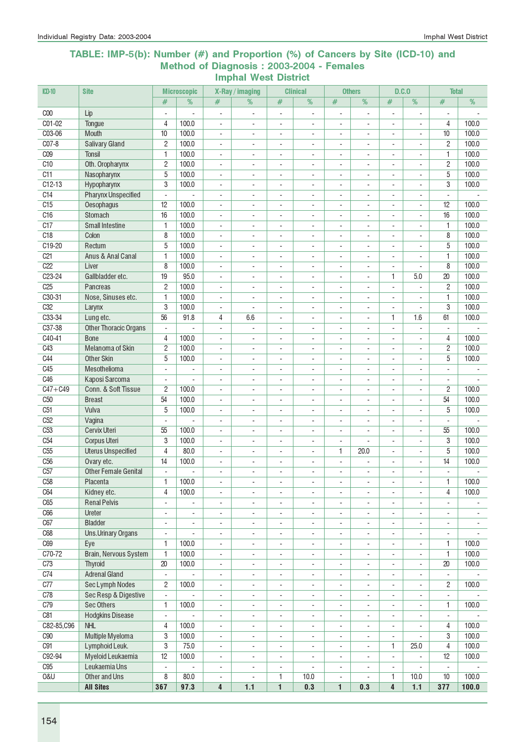#### TABLE: IMP-5(b): Number (#) and Proportion (%) of Cancers by Site (ICD-10) and Method of Diagnosis : 2003-2004 - Females Imphal West District

| $CD-10$                | <b>Site</b>                  |                          | <b>Microscopic</b>       |                          | X-Ray / imaging          |                          | <b>Clinical</b>              |                          | <b>Others</b>            | D.C.0                    |                          | <b>Total</b>             |                          |
|------------------------|------------------------------|--------------------------|--------------------------|--------------------------|--------------------------|--------------------------|------------------------------|--------------------------|--------------------------|--------------------------|--------------------------|--------------------------|--------------------------|
|                        |                              | #                        | %                        | #                        | %                        | #                        | %                            | #                        | %                        | #                        | %                        | #                        | %                        |
| C <sub>00</sub>        | Lip                          | ÷,                       |                          | ÷,                       |                          | ÷,                       | ÷,                           |                          | ÷,                       |                          | ä,                       | ÷                        |                          |
| C01-02                 | Tonque                       | $\overline{4}$           | 100.0                    | $\overline{\phantom{a}}$ | $\overline{\phantom{a}}$ | $\overline{\phantom{a}}$ | $\overline{\phantom{a}}$     | $\overline{\phantom{a}}$ | $\overline{\phantom{a}}$ | $\overline{\phantom{a}}$ | $\blacksquare$           | 4                        | 100.0                    |
| C03-06                 | Mouth                        | 10                       | 100.0                    | $\overline{\phantom{a}}$ | $\overline{\phantom{a}}$ | $\overline{\phantom{a}}$ | $\overline{\phantom{a}}$     | $\overline{\phantom{a}}$ | $\blacksquare$           | $\blacksquare$           | $\blacksquare$           | 10                       | 100.0                    |
| $CO7-8$                | <b>Salivary Gland</b>        | $\overline{2}$           | 100.0                    | $\blacksquare$           | $\overline{\phantom{a}}$ | $\blacksquare$           | L,                           | $\sim$                   | $\blacksquare$           | $\overline{a}$           | $\overline{a}$           | 2                        | 100.0                    |
| C <sub>09</sub>        | <b>Tonsil</b>                | 1                        | 100.0                    | $\overline{\phantom{a}}$ | $\overline{\phantom{a}}$ | $\overline{\phantom{a}}$ | $\overline{a}$               | $\overline{\phantom{a}}$ | $\overline{\phantom{a}}$ | $\overline{\phantom{a}}$ | $\overline{\phantom{a}}$ | 1                        | 100.0                    |
| C <sub>10</sub>        | Oth. Oropharynx              | $\overline{2}$           | 100.0                    | $\overline{\phantom{a}}$ | ٠                        | $\overline{a}$           | $\overline{a}$               | $\overline{\phantom{a}}$ |                          |                          | $\overline{a}$           | 2                        | 100.0                    |
| C11                    | Nasopharynx                  | 5                        | 100.0                    | $\sim$                   |                          | $\overline{\phantom{a}}$ |                              |                          |                          |                          | ä,                       | 5                        | 100.0                    |
| $C12-13$               | Hypopharynx                  | 3                        | 100.0                    | $\sim$                   | $\overline{\phantom{a}}$ | $\sim$                   | $\overline{a}$               | $\sim$                   | ÷.                       | $\overline{a}$           | $\sim$                   | 3                        | 100.0                    |
| C <sub>14</sub>        | <b>Pharynx Unspecified</b>   | $\overline{a}$           |                          | $\blacksquare$           | ÷                        | ÷.                       | ÷.                           | ÷.                       | ×.                       | ÷.                       | ÷.                       | $\sim$                   |                          |
| C15                    | Oesophagus                   | 12                       | 100.0                    | $\blacksquare$           | $\overline{\phantom{a}}$ | $\blacksquare$           | $\overline{a}$               | $\blacksquare$           | ×.                       | ä,                       | ÷.                       | 12                       | 100.0                    |
| C <sub>16</sub>        | Stomach                      | 16                       | 100.0                    | $\blacksquare$           | ÷,                       | $\sim$                   | ÷,                           | $\overline{\phantom{a}}$ | $\sim$                   |                          | ÷,                       | 16                       | 100.0                    |
| C17                    | <b>Small Intestine</b>       | $\mathbf{1}$             | 100.0                    | $\overline{\phantom{a}}$ | $\overline{a}$           | $\overline{\phantom{a}}$ | $\overline{a}$               | $\overline{\phantom{a}}$ | $\overline{\phantom{a}}$ |                          | $\overline{a}$           | 1                        | 100.0                    |
| C18                    | Colon                        | 8                        | 100.0                    | $\overline{a}$           | $\blacksquare$           | $\overline{\phantom{a}}$ | $\overline{a}$               | $\blacksquare$           | $\sim$                   | $\overline{a}$           | L.                       | 8                        | 100.0                    |
| C19-20                 | Rectum                       | 5                        | 100.0                    | $\mathbf{r}$             | $\blacksquare$           | ÷,                       | ÷,                           | $\blacksquare$           | ÷.                       | $\blacksquare$           | $\blacksquare$           | 5                        | 100.0                    |
| C <sub>21</sub>        | Anus & Anal Canal            | $\mathbf{1}$             | 100.0                    | $\overline{\phantom{a}}$ | $\overline{\phantom{a}}$ | $\overline{\phantom{a}}$ | ÷,                           | $\overline{\phantom{a}}$ | $\blacksquare$           | $\blacksquare$           | $\sim$                   | 1                        | 100.0                    |
| C22                    | Liver                        | 8                        | 100.0                    | $\blacksquare$           | $\overline{\phantom{a}}$ | $\overline{\phantom{a}}$ | $\overline{\phantom{a}}$     | $\overline{\phantom{a}}$ | $\sim$                   | $\overline{\phantom{a}}$ | $\sim$                   | 8                        | 100.0                    |
| $C23-24$               | Gallbladder etc.             | 19                       | 95.0                     | $\blacksquare$           | $\blacksquare$           | $\sim$                   | $\overline{a}$               | $\blacksquare$           | $\sim$                   | 1                        | 5.0                      | 20                       | 100.0                    |
| C <sub>25</sub>        | Pancreas                     | $\overline{2}$           | 100.0                    | $\overline{\phantom{a}}$ | $\blacksquare$           | $\overline{\phantom{a}}$ | $\overline{\phantom{a}}$     | $\overline{\phantom{a}}$ | $\blacksquare$           | $\blacksquare$           | $\blacksquare$           | $\overline{2}$           | 100.0                    |
| C30-31                 | Nose, Sinuses etc.           | 1                        | 100.0                    | $\blacksquare$           | ÷,                       | $\blacksquare$           | $\overline{a}$               | $\sim$                   | $\blacksquare$           | $\overline{a}$           | ÷,                       | 1                        | 100.0                    |
| C32                    | Larynx                       | 3                        | 100.0                    | $\overline{\phantom{a}}$ |                          | $\overline{a}$           | $\qquad \qquad \blacksquare$ | $\overline{\phantom{a}}$ | $\overline{\phantom{a}}$ | $\overline{a}$           |                          | 3                        | 100.0                    |
| C33-34                 | Lung etc.                    | 56                       | 91.8                     | 4                        | 6.6                      | $\overline{a}$           | $\qquad \qquad \blacksquare$ | $\overline{\phantom{a}}$ | $\overline{\phantom{a}}$ | 1                        | 1.6                      | 61                       | 100.0                    |
| C37-38                 | <b>Other Thoracic Organs</b> | ä,                       |                          | ÷,                       |                          | $\sim$                   | ÷,                           | $\sim$                   | ÷,                       |                          |                          | $\overline{\phantom{a}}$ |                          |
| C40-41                 | <b>Bone</b>                  | $\overline{4}$           | 100.0                    | $\blacksquare$           | ÷,                       | ÷,                       | ÷,                           | $\sim$                   | $\blacksquare$           | ÷,                       | $\blacksquare$           | 4                        | 100.0                    |
| C43                    | Melanoma of Skin             | $\overline{c}$           | 100.0                    | $\blacksquare$           | ÷,                       | $\sim$                   | $\overline{a}$               | $\sim$                   | ÷.                       | $\overline{a}$           | ÷,                       | 2                        | 100.0                    |
| C44                    | <b>Other Skin</b>            | 5                        | 100.0                    | $\overline{\phantom{a}}$ | $\overline{\phantom{a}}$ | $\sim$                   | $\blacksquare$               | $\blacksquare$           | ÷.                       | $\overline{a}$           | $\overline{a}$           | 5                        | 100.0                    |
| C45                    | Mesothelioma                 | ÷.                       | $\sim$                   | $\blacksquare$           | $\overline{\phantom{a}}$ | $\blacksquare$           | $\overline{a}$               | $\sim$                   | $\blacksquare$           | $\overline{a}$           | $\sim$                   | $\blacksquare$           | $\sim$                   |
| C46                    | Kaposi Sarcoma               | ÷.                       | ÷,                       | $\blacksquare$           | $\overline{\phantom{a}}$ | $\blacksquare$           | $\overline{\phantom{a}}$     | $\overline{\phantom{a}}$ | $\blacksquare$           | ÷,                       | ÷,                       | $\blacksquare$           |                          |
| $\overline{C47 + C49}$ | Conn. & Soft Tissue          | $\overline{2}$           | 100.0                    | $\overline{\phantom{a}}$ | $\overline{\phantom{a}}$ | $\overline{\phantom{a}}$ | $\overline{\phantom{a}}$     | $\overline{\phantom{a}}$ | $\sim$                   | $\overline{\phantom{a}}$ | $\sim$                   | 2                        | 100.0                    |
| C50                    | <b>Breast</b>                | 54                       | 100.0                    | $\overline{\phantom{a}}$ | $\blacksquare$           | $\blacksquare$           | $\overline{\phantom{a}}$     | $\overline{\phantom{a}}$ | $\sim$                   | $\blacksquare$           | $\sim$                   | 54                       | 100.0                    |
| C51                    | Vulva                        | 5                        | 100.0                    | $\blacksquare$           | $\overline{\phantom{a}}$ | $\blacksquare$           | $\overline{a}$               | $\sim$                   | $\blacksquare$           | $\blacksquare$           |                          | 5                        | 100.0                    |
| C <sub>52</sub>        | Vagina                       |                          |                          | ÷,                       | $\blacksquare$           | $\sim$                   | $\overline{a}$               | $\sim$                   |                          | ÷,                       |                          |                          |                          |
| C <sub>53</sub>        | <b>Cervix Uteri</b>          | 55                       | 100.0                    | $\blacksquare$           | ÷,                       | $\sim$                   | $\overline{a}$               | $\blacksquare$           | ÷,                       | $\overline{\phantom{a}}$ | ÷,                       | 55                       | 100.0                    |
| C <sub>54</sub>        | <b>Corpus Uteri</b>          | 3                        | 100.0                    | $\overline{\phantom{a}}$ | $\overline{\phantom{a}}$ | $\overline{\phantom{a}}$ | $\overline{\phantom{a}}$     | $\overline{\phantom{a}}$ | $\blacksquare$           | $\blacksquare$           | $\sim$                   | 3                        | 100.0                    |
| C <sub>55</sub>        | <b>Uterus Unspecified</b>    | $\overline{4}$           | 80,0                     | $\blacksquare$           | $\overline{\phantom{a}}$ | $\blacksquare$           | $\overline{\phantom{a}}$     | 1                        | 20.0                     | $\overline{\phantom{a}}$ | ÷.                       | 5                        | 100.0                    |
| C <sub>56</sub>        | Ovary etc.                   | 14                       | 100.0                    | $\overline{\phantom{a}}$ | $\overline{\phantom{a}}$ | $\overline{\phantom{a}}$ | $\overline{\phantom{a}}$     | $\overline{\phantom{a}}$ | ÷,                       | $\blacksquare$           | $\blacksquare$           | 14                       | 100.0                    |
| C57                    | <b>Other Female Genital</b>  | ÷.                       |                          | ä,                       | $\overline{\phantom{a}}$ | $\overline{\phantom{a}}$ | ÷.                           | $\overline{\phantom{a}}$ | ÷                        |                          |                          | $\blacksquare$           |                          |
| C <sub>58</sub>        | Placenta                     | 1                        | 100.0                    | $\overline{\phantom{a}}$ | ۰                        | $\overline{\phantom{a}}$ | $\overline{\phantom{a}}$     | $\overline{\phantom{a}}$ | $\overline{\phantom{a}}$ | $\overline{\phantom{a}}$ | $\blacksquare$           | 1                        | 100.0                    |
| C64                    | Kidney etc.                  | $\sqrt{4}$               | 100.0                    | $\overline{\phantom{a}}$ | $\overline{\phantom{a}}$ | $\overline{\phantom{a}}$ | $\overline{\phantom{a}}$     | $\overline{\phantom{a}}$ | $\overline{\phantom{a}}$ |                          | $\overline{\phantom{a}}$ | 4                        | 100.0                    |
| C65                    | <b>Renal Pelvis</b>          | ä,                       | $\mathbf{r}$             | $\overline{\phantom{a}}$ | ÷,                       | $\sim$                   | $\overline{\phantom{a}}$     | $\blacksquare$           | $\overline{\phantom{a}}$ | ä,                       | ÷,                       | $\overline{\phantom{a}}$ |                          |
| C66                    | Ureter                       | ÷,                       | ÷,                       | $\overline{\phantom{a}}$ | ÷,                       | $\overline{\phantom{a}}$ | ÷,                           | $\overline{\phantom{a}}$ | $\overline{\phantom{a}}$ | $\blacksquare$           | $\overline{\phantom{a}}$ | $\overline{\phantom{a}}$ | $\overline{\phantom{a}}$ |
| C67                    | <b>Bladder</b>               | ÷,                       | $\overline{\phantom{a}}$ | $\overline{\phantom{a}}$ | ÷,                       | $\overline{\phantom{a}}$ | ÷,                           | $\overline{\phantom{a}}$ | $\overline{\phantom{a}}$ | $\overline{\phantom{a}}$ | $\overline{\phantom{a}}$ | $\overline{\phantom{a}}$ | $\overline{\phantom{a}}$ |
| C68                    | <b>Uns.Urinary Organs</b>    | $\overline{\phantom{a}}$ |                          | $\overline{\phantom{a}}$ | $\overline{\phantom{a}}$ | $\overline{\phantom{a}}$ | $\overline{\phantom{a}}$     | $\overline{\phantom{a}}$ | $\overline{\phantom{a}}$ | $\overline{\phantom{a}}$ | $\overline{\phantom{a}}$ | $\overline{\phantom{a}}$ |                          |
| C69                    | Eye                          | $\mathbf{1}$             | 100.0                    | $\overline{\phantom{a}}$ | $\blacksquare$           | $\overline{\phantom{a}}$ | $\blacksquare$               | $\overline{\phantom{a}}$ | $\overline{\phantom{a}}$ | ä,                       | $\blacksquare$           | 1                        | 100.0                    |
| C70-72                 | Brain, Nervous System        | $\mathbf{1}$             | 100.0                    | $\blacksquare$           | $\blacksquare$           | $\mathbf{r}$             | $\overline{\phantom{a}}$     | $\overline{\phantom{a}}$ | $\sim$                   | ä,                       | $\blacksquare$           | 1                        | 100.0                    |
| C73                    | <b>Thyroid</b>               | 20                       | 100.0                    | $\overline{\phantom{a}}$ | ÷,                       | $\overline{\phantom{a}}$ | $\overline{\phantom{a}}$     | $\overline{\phantom{a}}$ | ÷.                       | $\blacksquare$           | ÷,                       | 20                       | 100.0                    |
| C74                    | <b>Adrenal Gland</b>         | $\overline{\phantom{0}}$ |                          | $\overline{\phantom{a}}$ | ۰                        | $\overline{\phantom{a}}$ | $\overline{\phantom{a}}$     | $\overline{\phantom{a}}$ | $\overline{\phantom{a}}$ |                          |                          | $\overline{\phantom{a}}$ |                          |
| C77                    | Sec Lymph Nodes              | $\mathbf{2}$             | 100.0                    | $\overline{\phantom{a}}$ | $\overline{\phantom{a}}$ | $\overline{\phantom{a}}$ | $\overline{\phantom{a}}$     | $\overline{\phantom{a}}$ | $\overline{\phantom{a}}$ | $\overline{\phantom{a}}$ | ÷,                       | 2                        | 100.0                    |
| C78                    | Sec Resp & Digestive         | $\overline{a}$           | ä,                       | $\overline{\phantom{a}}$ | $\overline{\phantom{a}}$ | $\overline{\phantom{a}}$ | $\overline{\phantom{a}}$     | $\blacksquare$           | $\overline{\phantom{a}}$ | $\overline{a}$           | L.                       | ÷.                       |                          |
| C79                    | <b>Sec Others</b>            | 1                        | 100.0                    | $\overline{\phantom{a}}$ | $\overline{\phantom{a}}$ | $\overline{\phantom{a}}$ | $\blacksquare$               | $\overline{\phantom{a}}$ | $\mathbf{r}$             | $\overline{a}$           | $\blacksquare$           | 1                        | 100.0                    |
| C81                    | <b>Hodgkins Disease</b>      | ÷,                       | ä,                       | $\overline{\phantom{a}}$ | $\overline{\phantom{a}}$ | $\overline{\phantom{a}}$ | $\overline{\phantom{a}}$     | $\overline{\phantom{a}}$ | $\overline{\phantom{a}}$ | $\overline{\phantom{a}}$ | $\blacksquare$           | $\overline{\phantom{a}}$ |                          |
| C82-85, C96            | <b>NHL</b>                   | $\overline{4}$           | 100.0                    | $\overline{\phantom{a}}$ | $\overline{\phantom{a}}$ | $\overline{\phantom{a}}$ | $\overline{\phantom{a}}$     | $\overline{\phantom{a}}$ | $\overline{\phantom{a}}$ | $\overline{\phantom{a}}$ | $\sim$                   | 4                        | 100.0                    |
| C90                    | Multiple Myeloma             | 3                        | 100.0                    | $\blacksquare$           | $\overline{\phantom{a}}$ | $\overline{\phantom{a}}$ | $\overline{\phantom{a}}$     | $\blacksquare$           | $\overline{\phantom{a}}$ | $\blacksquare$           |                          | 3                        | 100.0                    |
| C91                    | Lymphoid Leuk.               | $\overline{3}$           | 75.0                     | $\overline{\phantom{a}}$ | $\overline{\phantom{a}}$ | $\overline{\phantom{a}}$ | $\overline{\phantom{a}}$     | $\overline{\phantom{a}}$ | $\overline{\phantom{a}}$ | 1.                       | 25.0                     | 4                        | 100.0                    |
| C92-94                 | Myeloid Leukaemia            | 12                       | 100.0                    | $\overline{\phantom{a}}$ | $\overline{\phantom{a}}$ | $\overline{\phantom{a}}$ | $\overline{\phantom{a}}$     | $\overline{\phantom{a}}$ | $\blacksquare$           | $\overline{a}$           | $\overline{\phantom{a}}$ | 12                       | 100.0                    |
| C95                    | Leukaemia Uns                | $\blacksquare$           |                          | $\blacksquare$           | $\overline{\phantom{a}}$ | $\overline{\phantom{a}}$ | ÷,                           | $\overline{\phantom{a}}$ | $\overline{\phantom{a}}$ | $\overline{\phantom{a}}$ | $\overline{\phantom{a}}$ | ÷,                       |                          |
| <b>0&amp;U</b>         | Other and Uns                | 8                        | 80.0                     | $\overline{\phantom{a}}$ |                          | 1                        | 10.0                         | $\overline{\phantom{a}}$ |                          | 1                        | 10.0                     | 10                       | 100.0                    |
|                        | <b>All Sites</b>             | 367                      | 97.3                     | 4                        | 1.1                      | $\overline{1}$           | 0.3                          | 1                        | 0.3                      | $\overline{\mathbf{4}}$  | 1.1                      | 377                      | 100.0                    |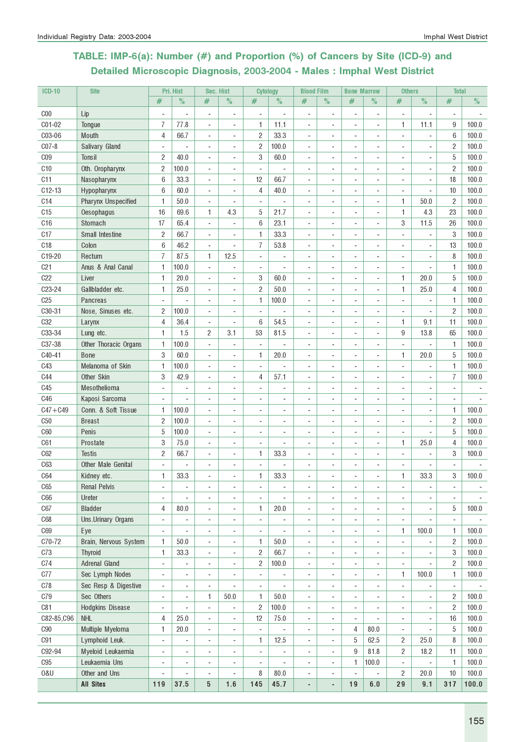# TABLE: IMP-6(a): Number (#) and Proportion (%) of Cancers by Site (ICD-9) and Detailed Microscopic Diagnosis, 2003-2004 - Males : Imphal West District

| <b>ICD-10</b>   | <b>Site</b>                |                          | Pri. Hist                | Sec. Hist                |                          | <b>Cytology</b>          |                          | <b>Blood Film</b>            |                          | <b>Bone Marrow</b>           |                | <b>Others</b>            |                          | <b>Total</b>             |       |
|-----------------|----------------------------|--------------------------|--------------------------|--------------------------|--------------------------|--------------------------|--------------------------|------------------------------|--------------------------|------------------------------|----------------|--------------------------|--------------------------|--------------------------|-------|
|                 |                            | #                        | $\%$                     | #                        | $\%$                     | #                        | $\%$                     | #                            | $\%$                     | #                            | $\%$           | #                        | $\%$                     | #                        | $\%$  |
| C <sub>00</sub> | Lip                        |                          |                          | $\overline{a}$           | $\overline{a}$           | ÷,                       |                          |                              |                          |                              | $\overline{a}$ | ÷,                       | $\overline{\phantom{a}}$ |                          |       |
| C01-02          | Tongue                     | 7                        | 77.8                     | ÷,                       | $\overline{\phantom{a}}$ | 1                        | 11.1                     | $\overline{\phantom{a}}$     |                          | ٠                            | ÷,             | 1                        | 11.1                     | 9                        | 100.0 |
| C03-06          | <b>Mouth</b>               | 4                        | 66.7                     | $\overline{a}$           | $\overline{\phantom{a}}$ | $\overline{2}$           | 33.3                     | $\overline{\phantom{a}}$     | $\overline{\phantom{a}}$ | ٠                            | ٠              | $\blacksquare$           | $\overline{\phantom{a}}$ | 6                        | 100.0 |
| $CO7-8$         | Salivary Gland             |                          |                          | $\overline{a}$           | ÷,                       | $\overline{c}$           | 100.0                    |                              |                          |                              | ÷              |                          | ÷,                       | $\overline{c}$           | 100.0 |
| C <sub>09</sub> | Tonsil                     | 2                        | 40.0                     | ÷,                       |                          | 3                        | 60.0                     |                              |                          |                              | ٠              |                          |                          | 5                        | 100.0 |
| C10             | Oth. Oropharynx            | 2                        | 100.0                    | ÷,                       |                          |                          |                          |                              |                          |                              | ٠              |                          |                          | $\overline{c}$           | 100.0 |
| C <sub>11</sub> | Nasopharynx                | 6                        | 33.3                     | $\overline{a}$           | $\overline{\phantom{a}}$ | 12                       | 66.7                     |                              |                          |                              | ٠              |                          | $\overline{\phantom{a}}$ | 18                       | 100.0 |
| $C12-13$        | Hypopharynx                | 6                        | 60.0                     | ÷,                       | $\overline{\phantom{a}}$ | 4                        | 40.0                     |                              |                          | ٠                            | ÷,             | ÷,                       | $\blacksquare$           | 10                       | 100.0 |
| C <sub>14</sub> | <b>Pharynx Unspecified</b> | 1                        | 50.0                     | ÷,                       | $\blacksquare$           | $\blacksquare$           |                          | $\sim$                       |                          | ٠                            | ä,             | 1                        | 50.0                     | $\overline{c}$           | 100.0 |
| C15             | Oesophagus                 | 16                       | 69.6                     | 1                        | 4.3                      | 5                        | 21.7                     |                              |                          | $\overline{a}$               | ÷.             | 1                        | 4.3                      | 23                       | 100.0 |
| C16             | Stomach                    | 17                       | 65.4                     | ÷,                       | $\sim$                   | 6                        | 23.1                     |                              |                          |                              | ä,             | 3                        | 11.5                     | 26                       | 100.0 |
| C17             | <b>Small Intestine</b>     | 2                        | 66.7                     | ÷,                       | $\sim$                   | 1                        | 33.3                     |                              |                          |                              | ÷,             |                          |                          | 3                        | 100.0 |
| C18             | Colon                      | 6                        | 46.2                     | ÷,                       | ÷,                       | $\overline{7}$           | 53.8                     |                              |                          |                              | ٠              |                          |                          | 13                       | 100.0 |
| C19-20          | Rectum                     | 7                        | 87.5                     | 1                        | 12.5                     | ÷,                       |                          |                              |                          |                              | ٠              | ÷                        |                          | 8                        | 100.0 |
| C <sub>21</sub> | Anus & Anal Canal          | 1                        | 100.0                    | ÷,                       | $\overline{\phantom{a}}$ | ÷,                       | ä,                       |                              |                          |                              | ÷,             | ä,                       | ÷,                       | 1                        | 100.0 |
| C22             | Liver                      | 1                        | 20.0                     | ÷,                       | $\overline{\phantom{a}}$ | 3                        | 60.0                     | $\sim$                       | $\blacksquare$           | ٠                            | ä,             | 1                        | 20.0                     | 5                        | 100.0 |
| C23-24          | Gallbladder etc.           | 1                        | 25.0                     | ÷,                       | $\blacksquare$           | $\overline{c}$           | 50.0                     |                              |                          |                              | ÷,             | 1                        | 25.0                     | 4                        | 100.0 |
| C <sub>25</sub> | <b>Pancreas</b>            |                          |                          | ÷,                       | ÷,                       | 1                        | 100.0                    |                              |                          |                              | ä,             |                          |                          | 1                        | 100.0 |
| C30-31          | Nose, Sinuses etc.         | 2                        | 100.0                    | ÷,                       | $\blacksquare$           |                          |                          |                              |                          |                              | $\overline{a}$ |                          |                          | $\overline{c}$           | 100.0 |
| C <sub>32</sub> | Larynx                     | 4                        | 36.4                     | $\overline{a}$           | $\overline{a}$           | 6                        | 54.5                     |                              |                          |                              | ٠              | 1                        | 9.1                      | 11                       | 100.0 |
| C33-34          | Lung etc.                  | 1                        | 1.5                      | 2                        | 3.1                      | 53                       | 81.5                     |                              |                          |                              | ٠              | 9                        | 13.8                     | 65                       | 100.0 |
| C37-38          | Other Thoracic Organs      | 1                        | 100.0                    | ÷,                       | $\overline{\phantom{a}}$ | ٠                        |                          |                              |                          | ٠                            | $\blacksquare$ | ÷,                       | $\overline{\phantom{a}}$ | 1                        | 100.0 |
| C40-41          | <b>Bone</b>                | 3                        | 60.0                     | ÷,                       | $\overline{a}$           | 1                        | 20.0                     |                              |                          |                              | ä,             | 1                        | 20.0                     | 5                        | 100.0 |
| C43             | Melanoma of Skin           | 1                        | 100.0                    | ÷,                       | $\overline{\phantom{a}}$ | ÷,                       |                          |                              |                          |                              | ٠              | ÷,                       | ÷,                       | 1                        | 100.0 |
| <b>C44</b>      | Other Skin                 | 3                        | 42.9                     | ä,                       |                          | 4                        | 57.1                     |                              |                          |                              |                |                          |                          | $\overline{I}$           | 100.0 |
| C <sub>45</sub> | Mesothelioma               | ÷,                       |                          | $\overline{\phantom{a}}$ |                          |                          | ä,                       |                              |                          |                              |                |                          |                          |                          |       |
| C46             | Kaposi Sarcoma             |                          |                          | $\overline{a}$           |                          |                          | ÷                        |                              |                          |                              |                |                          |                          |                          |       |
| $C47 + C49$     | Conn. & Soft Tissue        | 1                        | 100.0                    | ÷,                       | $\blacksquare$           |                          | ä,                       |                              |                          |                              | ä,             | ä,                       | $\overline{\phantom{a}}$ | 1                        | 100.0 |
| C50             | <b>Breast</b>              | $\overline{c}$           | 100.0                    | ÷,                       | ä,                       | ÷.                       | ä,                       |                              |                          | ٠                            | $\blacksquare$ | ٠                        | $\overline{\phantom{a}}$ | $\overline{c}$           | 100.0 |
| C60             | Penis                      | 5                        | 100.0                    | ÷,                       | $\overline{a}$           | ÷.                       | ٠                        |                              |                          | ٠                            | $\blacksquare$ | ÷.                       | ä,                       | 5                        | 100.0 |
| C61             | Prostate                   | 3                        | 75.0                     | ÷,                       |                          |                          |                          |                              |                          |                              | ä,             | 1                        | 25.0                     | 4                        | 100.0 |
| C62             | <b>Testis</b>              | $\overline{c}$           | 66.7                     | ÷,                       | $\blacksquare$           | 1                        | 33.3                     |                              |                          |                              | ٠              |                          |                          | 3                        | 100.0 |
| C63             | Other Male Genital         |                          |                          | $\overline{a}$           |                          |                          |                          |                              |                          |                              | ٠              |                          |                          |                          |       |
| C64             | Kidney etc.                | 1                        | 33.3                     |                          |                          | 1                        | 33.3                     |                              |                          |                              |                | 1                        | 33.3                     | 3                        | 100.0 |
| C65             | <b>Renal Pelvis</b>        | $\overline{\phantom{a}}$ | $\overline{\phantom{a}}$ | $\overline{a}$           | $\overline{\phantom{a}}$ | $\overline{a}$           | $\overline{a}$           | $\overline{\phantom{a}}$     | $\overline{\phantom{a}}$ | $\overline{\phantom{a}}$     | $\overline{a}$ | ÷                        | ٠                        | $\overline{\phantom{a}}$ |       |
| C66             | Ureter                     | $\sim$                   |                          | $\overline{\phantom{a}}$ | ÷,                       | ٠                        |                          | $\sim$                       |                          |                              | $\overline{a}$ |                          | ÷.                       |                          |       |
| C67             | <b>Bladder</b>             | 4                        | 80.0                     | ÷,                       | ÷,                       | 1                        | 20.0                     | $\overline{\phantom{a}}$     |                          |                              | ÷              |                          |                          | 5                        | 100.0 |
| C68             | Uns.Urinary Organs         | ÷,                       |                          | ÷,                       | ÷,                       | ÷,                       | $\overline{\phantom{a}}$ |                              |                          |                              | ÷,             | ÷,                       |                          | $\sim$                   |       |
| C69             | Eye                        | $\overline{a}$           |                          | $\overline{a}$           | $\blacksquare$           | ÷,                       |                          |                              |                          |                              | $\overline{a}$ | 1                        | 100.0                    | 1                        | 100.0 |
| C70-72          | Brain, Nervous System      | 1                        | 50.0                     | $\overline{a}$           | $\overline{\phantom{a}}$ | 1                        | 50.0                     | $\overline{\phantom{a}}$     |                          | ٠                            | ٠              | $\overline{\phantom{a}}$ | ÷                        | $\overline{c}$           | 100.0 |
| C73             | <b>Thyroid</b>             | 1                        | 33.3                     | ÷,                       | $\blacksquare$           | $\overline{2}$           | 66.7                     | $\overline{\phantom{a}}$     | $\overline{\phantom{a}}$ | ٠                            | ÷,             | ÷,                       | $\blacksquare$           | 3                        | 100.0 |
| C74             | Adrenal Gland              | $\blacksquare$           | $\overline{\phantom{a}}$ | ÷,                       | $\overline{\phantom{a}}$ | 2                        | 100.0                    | $\blacksquare$               | $\overline{\phantom{a}}$ | $\blacksquare$               | ÷,             | $\overline{\phantom{a}}$ | $\blacksquare$           | $\overline{2}$           | 100.0 |
| C77             | Sec Lymph Nodes            | $\blacksquare$           | $\overline{\phantom{a}}$ | ÷,                       | $\blacksquare$           | $\blacksquare$           | ÷,                       | ÷.                           | $\overline{a}$           | ÷                            | ä,             | 1                        | 100.0                    | 1                        | 100.0 |
| C78             | Sec Resp & Digestive       | $\overline{\phantom{a}}$ | $\overline{\phantom{a}}$ | ÷,                       | $\overline{a}$           | $\overline{\phantom{a}}$ | $\overline{\phantom{a}}$ | $\sim$                       | $\overline{\phantom{a}}$ |                              | ÷,             | ÷,                       | ÷,                       | $\overline{\phantom{a}}$ |       |
| C79             | Sec Others                 | $\overline{\phantom{a}}$ |                          | 1                        | 50.0                     | 1                        | 50.0                     |                              |                          |                              | ÷,             |                          | ÷,                       | $\overline{2}$           | 100.0 |
| C81             | Hodgkins Disease           | $\overline{\phantom{a}}$ |                          | ٠                        | $\ddot{\phantom{0}}$     | $\overline{c}$           | 100.0                    |                              |                          | ٠                            | $\overline{a}$ | $\overline{a}$           |                          | 2                        | 100.0 |
| C82-85, C96     | <b>NHL</b>                 | 4                        | 25.0                     | $\overline{a}$           | $\blacksquare$           | 12                       | 75.0                     | $\overline{\phantom{a}}$     |                          | $\qquad \qquad \blacksquare$ |                | $\overline{\phantom{a}}$ | $\overline{\phantom{a}}$ | 16                       | 100.0 |
| ${\rm C}90$     | Multiple Myeloma           | 1                        | 20.0                     | $\overline{a}$           | $\overline{\phantom{a}}$ | $\overline{\phantom{a}}$ |                          | $\overline{\phantom{a}}$     | ٠                        | 4                            | 80.0           | $\overline{\phantom{a}}$ | $\overline{\phantom{a}}$ | 5                        | 100.0 |
| C91             | Lymphoid Leuk.             | $\overline{\phantom{a}}$ |                          | $\overline{a}$           | $\overline{\phantom{a}}$ | 1                        | 12.5                     | $\sim$                       | $\overline{\phantom{a}}$ | 5                            | 62.5           | $\overline{c}$           | 25.0                     | 8                        | 100.0 |
| C92-94          | Myeloid Leukaemia          | ÷,                       |                          | $\overline{a}$           | ÷                        | $\overline{\phantom{a}}$ | ÷                        | $\blacksquare$               | ÷,                       | $9\,$                        | 81.8           | $\overline{c}$           | 18.2                     | 11                       | 100.0 |
| C95             | Leukaemia Uns              | ÷,                       | $\overline{a}$           | ÷,                       | $\blacksquare$           | ÷,                       |                          |                              |                          | 1                            | 100.0          | ÷,                       | ÷,                       | 1                        | 100.0 |
| 0&U             | Other and Uns              |                          | $\blacksquare$           | $\overline{a}$           | $\overline{a}$           | 8                        | $80.0\,$                 |                              | ÷                        | ٠                            | ÷,             | 2                        | 20.0                     | 10                       | 100.0 |
|                 | <b>All Sites</b>           | 119                      | 37.5                     | 5                        | 1.6                      | 145                      | 45.7                     | $\qquad \qquad \blacksquare$ | $\overline{\phantom{a}}$ | 19                           | 6.0            | 29                       | 9.1                      | 317                      | 100.0 |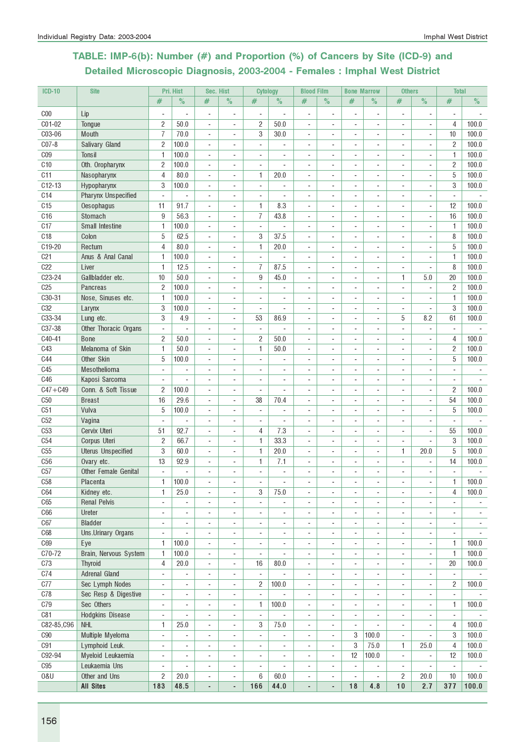# TABLE: IMP-6(b): Number (#) and Proportion (%) of Cancers by Site (ICD-9) and Detailed Microscopic Diagnosis, 2003-2004 - Females : Imphal West District

| <b>ICD-10</b>   | <b>Site</b>                |                                                      | Pri. Hist                | Sec. Hist                                                |                                                      | <b>Cytology</b>               |                | <b>Blood Film</b>                  |                          | <b>Bone Marrow</b>                 |                                            | <b>Others</b>                                        |                                   | <b>Total</b>                  |       |
|-----------------|----------------------------|------------------------------------------------------|--------------------------|----------------------------------------------------------|------------------------------------------------------|-------------------------------|----------------|------------------------------------|--------------------------|------------------------------------|--------------------------------------------|------------------------------------------------------|-----------------------------------|-------------------------------|-------|
|                 |                            | #                                                    | $\%$                     | #                                                        | $\%$                                                 | $\#$                          | $\%$           | #                                  | $\%$                     | $\#$                               | $\%$                                       | #                                                    | $\%$                              | #                             | $\%$  |
| C <sub>00</sub> | Lip                        |                                                      |                          | ÷,                                                       | $\overline{\phantom{a}}$                             | $\blacksquare$                |                | ÷,                                 | ÷,                       |                                    | $\overline{\phantom{a}}$                   | ÷,                                                   | ÷,                                | $\blacksquare$                |       |
| C01-02          | Tongue                     | $\overline{\mathbf{c}}$                              | 50.0                     | ÷                                                        | $\overline{a}$                                       | $\overline{c}$                | 50.0           | $\overline{\phantom{a}}$           |                          |                                    | $\overline{\phantom{a}}$                   | ٠                                                    | ٠                                 | $\overline{4}$                | 100.0 |
| C03-06          | Mouth                      | $\overline{I}$                                       | 70.0                     | $\blacksquare$                                           | $\blacksquare$                                       | 3                             | 30.0           |                                    |                          |                                    | $\blacksquare$                             | $\overline{\phantom{a}}$                             | ٠                                 | 10                            | 100.0 |
| $C07-8$         | Salivary Gland             | $\overline{2}$                                       | 100.0                    | ÷,                                                       |                                                      |                               |                |                                    |                          |                                    | $\overline{\phantom{a}}$                   |                                                      |                                   | $\overline{2}$                | 100.0 |
| C <sub>09</sub> | Tonsil                     | $\mathbf{1}$                                         | 100.0                    | $\blacksquare$                                           | $\blacksquare$                                       | $\blacksquare$                | ä,             |                                    |                          |                                    | $\blacksquare$                             | $\overline{\phantom{a}}$                             |                                   | $\mathbf{1}$                  | 100.0 |
| C <sub>10</sub> | Oth. Oropharynx            | $\overline{c}$                                       | 100.0                    | $\overline{\phantom{a}}$                                 | $\overline{a}$                                       | ÷                             |                |                                    |                          | $\overline{a}$                     | $\sim$                                     | ÷.                                                   | ٠                                 | $\overline{2}$                | 100.0 |
| C11             | Nasopharynx                | 4                                                    | 80.0                     | $\overline{\phantom{a}}$                                 | ä,                                                   | 1                             | 20.0           |                                    |                          |                                    | $\sim$                                     | ä,                                                   |                                   | 5                             | 100.0 |
| $C12-13$        | Hypopharynx                | 3                                                    | 100.0                    | $\blacksquare$                                           | $\overline{a}$                                       | $\blacksquare$                |                |                                    |                          |                                    | $\blacksquare$                             | ٠                                                    |                                   | 3                             | 100.0 |
| C14             | <b>Pharynx Unspecified</b> | $\overline{\phantom{a}}$                             |                          | $\overline{\phantom{a}}$                                 | ÷                                                    |                               |                |                                    |                          |                                    |                                            | ٠                                                    |                                   | $\overline{\phantom{a}}$      |       |
| C <sub>15</sub> | Oesophagus                 | 11                                                   | 91.7                     | $\overline{a}$                                           | $\blacksquare$                                       | $\mathbf{1}$                  | 8.3            | ÷.                                 |                          | $\overline{a}$                     | ÷                                          | ÷                                                    | ÷                                 | 12                            | 100.0 |
| C16             | Stomach                    | 9                                                    | 56.3                     | ÷,                                                       | ÷,                                                   | $\overline{7}$                | 43.8           |                                    |                          |                                    | $\sim$                                     |                                                      |                                   | 16                            | 100.0 |
| C17             | Small Intestine            | 1                                                    | 100.0                    | ÷,                                                       | ä,                                                   |                               |                |                                    |                          |                                    | $\sim$                                     |                                                      |                                   | 1                             | 100.0 |
| C <sub>18</sub> | Colon                      | 5                                                    | 62.5                     | ÷                                                        | ÷,                                                   | 3                             | 37.5           | ä,                                 |                          |                                    | $\overline{\phantom{a}}$                   | ÷                                                    |                                   | 8                             | 100.0 |
| C19-20          | Rectum                     | $\overline{4}$                                       | 80.0                     | ÷,                                                       | ä,                                                   | $\mathbf{1}$                  | 20.0           | ÷.                                 | ÷                        | $\sim$                             | $\sim$                                     | ÷                                                    | ä,                                | 5                             | 100.0 |
| C <sub>21</sub> | Anus & Anal Canal          | 1                                                    | 100.0                    | ÷,                                                       | ä,                                                   | $\blacksquare$                | $\overline{a}$ | ÷.                                 |                          |                                    | $\overline{a}$                             | ä,                                                   | ÷,                                | 1                             | 100.0 |
| C22             | Liver                      | 1                                                    | 12.5                     | $\blacksquare$                                           | ä,                                                   | 7                             | 87.5           |                                    |                          |                                    | $\overline{\phantom{a}}$                   | ä,                                                   | ä,                                | 8                             | 100.0 |
| C23-24          | Gallbladder etc.           | 10                                                   | 50.0                     | $\qquad \qquad \blacksquare$                             | ÷                                                    | 9                             | 45.0           |                                    |                          |                                    | $\overline{\phantom{a}}$                   | 1                                                    | 5.0                               | 20                            | 100.0 |
| C <sub>25</sub> | Pancreas                   | $\overline{2}$                                       | 100.0                    | $\blacksquare$                                           | $\overline{a}$                                       | $\overline{\phantom{a}}$      |                |                                    |                          |                                    | $\blacksquare$                             | ä,                                                   |                                   | $\overline{2}$                | 100.0 |
| C30-31          | Nose, Sinuses etc.         | $\mathbf{1}$                                         | 100.0                    | ÷,                                                       | L.                                                   | ÷.                            | L,             |                                    |                          |                                    | ÷.                                         | L.                                                   |                                   | $\mathbf{1}$                  | 100.0 |
| <b>C32</b>      | Larynx                     | 3                                                    | 100.0                    | $\overline{\phantom{a}}$                                 |                                                      |                               | ä,             |                                    |                          |                                    |                                            |                                                      |                                   | 3                             | 100.0 |
| C33-34          | Lung etc.                  | 3                                                    | 4.9                      | $\overline{a}$                                           | $\blacksquare$                                       | 53                            | 86.9           |                                    |                          |                                    | $\overline{\phantom{a}}$                   | 5                                                    | 8.2                               | 61                            | 100.0 |
| C37-38          | Other Thoracic Organs      | $\sim$                                               |                          | $\overline{\phantom{a}}$                                 | $\overline{\phantom{a}}$                             | $\overline{a}$                |                |                                    |                          |                                    | $\blacksquare$                             | ÷,                                                   | ÷                                 | $\blacksquare$                |       |
| C40-41          | <b>Bone</b>                | $\overline{c}$                                       | 50.0                     | ÷,                                                       | ÷,                                                   | $\overline{c}$                | 50.0           |                                    |                          |                                    | ÷.                                         | ÷                                                    | ä,                                | 4                             | 100.0 |
| C43             | Melanoma of Skin           | $\mathbf{1}$                                         | 50.0                     | ÷,                                                       | $\overline{a}$                                       | $\mathbf{1}$                  | 50.0           |                                    |                          |                                    |                                            | ÷                                                    |                                   | $\overline{2}$                | 100.0 |
| <b>C44</b>      | Other Skin                 | 5                                                    | 100.0                    | $\overline{\phantom{a}}$                                 | $\overline{a}$                                       |                               |                |                                    |                          |                                    | $\overline{\phantom{a}}$                   | ٠                                                    |                                   | 5                             | 100.0 |
| C45             | Mesothelioma               |                                                      |                          | ÷,                                                       | ÷,                                                   |                               |                |                                    |                          |                                    | $\overline{a}$                             | ÷,                                                   |                                   |                               |       |
| C46             | Kaposi Sarcoma             | $\blacksquare$                                       |                          | ÷,                                                       | ÷,                                                   | ÷.                            | ä,             | ä,                                 |                          |                                    | $\overline{\phantom{a}}$                   | L,                                                   |                                   | $\blacksquare$                |       |
| $C47 + C49$     | Conn. & Soft Tissue        | 2                                                    | 100.0                    | $\blacksquare$                                           | ä,                                                   | $\overline{\phantom{a}}$      | ä,             | ä,                                 |                          |                                    | $\overline{\phantom{a}}$                   | ٠                                                    | ä,                                | $\overline{2}$                | 100.0 |
| C50             | <b>Breast</b>              | 16                                                   | 29.6                     | ÷                                                        | $\overline{a}$                                       | 38                            | 70.4           | $\sim$                             |                          |                                    | $\overline{\phantom{a}}$                   | $\overline{a}$                                       | ä,                                | 54                            | 100.0 |
| C51             | Vulva                      | 5                                                    | 100.0                    | $\blacksquare$                                           | $\blacksquare$                                       | $\overline{\phantom{a}}$      | ÷,             | $\sim$                             | $\sim$                   |                                    | $\sim$                                     | ٠                                                    | ٠                                 | 5                             | 100.0 |
| C52             | Vagina                     | $\blacksquare$                                       | ÷,                       | $\overline{\phantom{a}}$                                 | ä,                                                   | $\overline{\phantom{a}}$      | ÷,             | ä,                                 |                          |                                    | $\sim$                                     | L,                                                   | ä,                                | $\blacksquare$                |       |
| C <sub>53</sub> | Cervix Uteri               | 51                                                   | 92.7                     | $\qquad \qquad \blacksquare$                             | $\overline{a}$                                       | 4                             | 7.3            | $\blacksquare$                     |                          |                                    | $\overline{\phantom{a}}$                   | ÷                                                    | ÷                                 | 55                            | 100.0 |
| C54             | Corpus Uteri               | $\overline{c}$                                       | 66.7                     | $\qquad \qquad \blacksquare$                             | ÷                                                    | $\mathbf{1}$                  | 33.3           |                                    |                          |                                    |                                            | ٠                                                    | ٠                                 | 3                             | 100.0 |
| C55             | <b>Uterus Unspecified</b>  | 3                                                    | 60.0                     | $\overline{a}$                                           |                                                      | 1                             | 20.0           |                                    |                          |                                    | $\blacksquare$                             | 1                                                    | 20.0                              | 5                             | 100.0 |
| C56             | Ovary etc.                 | 13                                                   | 92.9                     | ÷,                                                       |                                                      | 1                             | 7.1            |                                    |                          |                                    |                                            | ÷,                                                   |                                   | 14                            | 100.0 |
| C57             | Other Female Genital       | $\blacksquare$                                       | ٠                        | $\overline{\phantom{a}}$                                 | ÷,                                                   |                               | ÷,             | ÷,                                 |                          |                                    |                                            |                                                      |                                   | $\sim$                        |       |
| C <sub>58</sub> | Placenta                   | 1                                                    | 100.0                    | ٠                                                        | $\overline{\phantom{a}}$                             | ٠                             | ٠              |                                    |                          |                                    |                                            | ۰                                                    |                                   | 1                             | 100.0 |
| C64             | Kidney etc.                | 1                                                    | 25.0                     | $\blacksquare$                                           | $\overline{\phantom{a}}$                             | 3                             | 75.0           | $\overline{\phantom{a}}$           |                          |                                    | $\sim$                                     | ÷,                                                   | ä,                                | 4                             | 100.0 |
| C65             | <b>Renal Pelvis</b>        | $\overline{\phantom{a}}$                             |                          | $\blacksquare$                                           | ä,                                                   | $\blacksquare$                |                |                                    |                          |                                    | $\blacksquare$                             | ÷,                                                   |                                   |                               |       |
| C66             | Ureter                     | $\overline{\phantom{a}}$                             |                          | $\overline{a}$                                           | ÷,                                                   | $\overline{\phantom{a}}$      |                | ÷,                                 |                          | $\overline{\phantom{a}}$           |                                            | ÷,                                                   |                                   | $\overline{\phantom{a}}$      |       |
| C67             | <b>Bladder</b>             | $\blacksquare$                                       | ٠                        | $\blacksquare$                                           | $\overline{\phantom{a}}$                             | $\blacksquare$                | ÷,             | $\sim$                             | $\sim$                   | $\overline{\phantom{a}}$           | $\overline{\phantom{a}}$                   | ÷,                                                   | ÷,                                | $\overline{\phantom{a}}$      |       |
| <b>C68</b>      | Uns.Urinary Organs         | ÷,                                                   |                          | ÷,                                                       | ÷,                                                   |                               |                |                                    |                          |                                    | $\blacksquare$                             | ÷,                                                   |                                   | $\blacksquare$                |       |
| C69             | Eye                        | 1                                                    | 100.0                    | $\blacksquare$                                           | $\overline{\phantom{a}}$                             | $\overline{\phantom{a}}$      | ÷,             | ä,                                 | ٠                        | $\overline{\phantom{a}}$           | $\overline{\phantom{a}}$                   | ÷,                                                   | ÷,                                | $\mathbf{1}$                  | 100.0 |
| C70-72<br>C73   | Brain, Nervous System      | 1                                                    | 100.0                    | $\blacksquare$                                           | $\overline{\phantom{a}}$                             | $\overline{\phantom{a}}$      | ÷,             | $\sim$                             | $\blacksquare$           | $\blacksquare$                     | $\blacksquare$                             | ٠                                                    | ÷.                                | $\mathbf{1}$                  | 100.0 |
| C74             | Thyroid<br>Adrenal Gland   | 4                                                    | 20.0                     | $\blacksquare$                                           | $\blacksquare$                                       | 16                            | 80.0<br>÷,     | $\blacksquare$                     | $\overline{\phantom{a}}$ | ÷.                                 | $\overline{\phantom{a}}$                   | $\overline{\phantom{a}}$                             | ÷,                                | 20                            | 100.0 |
| C77             | Sec Lymph Nodes            | $\overline{\phantom{a}}$                             |                          | $\blacksquare$                                           | ÷,                                                   | $\overline{\phantom{a}}$<br>2 |                | $\overline{\phantom{a}}$           | $\overline{\phantom{a}}$ | $\overline{\phantom{a}}$           | $\overline{\phantom{a}}$                   | ÷,                                                   | $\overline{\phantom{a}}$          | $\overline{\phantom{a}}$<br>2 | 100.0 |
| C78             | Sec Resp & Digestive       | $\overline{\phantom{a}}$<br>$\overline{\phantom{a}}$ | ۰<br>÷                   | $\qquad \qquad \blacksquare$<br>$\overline{\phantom{a}}$ | $\overline{\phantom{a}}$<br>$\overline{\phantom{a}}$ | $\overline{\phantom{a}}$      | 100.0          | $\overline{\phantom{a}}$<br>$\sim$ |                          | $\overline{\phantom{a}}$<br>$\sim$ | $\overline{\phantom{a}}$<br>$\blacksquare$ | $\overline{\phantom{a}}$<br>$\overline{\phantom{a}}$ | $\qquad \qquad \blacksquare$<br>٠ | $\blacksquare$                |       |
| C79             | Sec Others                 |                                                      | ÷,                       | $\overline{\phantom{a}}$                                 | $\overline{\phantom{a}}$                             | 1                             | 100.0          |                                    |                          |                                    | $\sim$                                     | ä,                                                   | ä,                                | $\mathbf{1}$                  | 100.0 |
| C81             | Hodgkins Disease           | $\overline{\phantom{a}}$<br>$\overline{\phantom{a}}$ |                          | ÷,                                                       | ÷,                                                   | $\blacksquare$                |                |                                    |                          |                                    |                                            | ÷,                                                   |                                   | $\blacksquare$                |       |
| C82-85, C96     | <b>NHL</b>                 | 1                                                    | 25.0                     | $\overline{a}$                                           | $\overline{a}$                                       | 3                             | 75.0           |                                    |                          | $\overline{\phantom{a}}$           |                                            | $\overline{a}$                                       |                                   | $\overline{4}$                | 100.0 |
| C90             | Multiple Myeloma           | $\overline{\phantom{a}}$                             | $\overline{\phantom{a}}$ | $\blacksquare$                                           | $\sim$                                               | $\blacksquare$                | ÷,             | ä,                                 | $\sim$                   | 3                                  | 100.0                                      | $\overline{\phantom{a}}$                             |                                   | 3                             | 100.0 |
| C91             | Lymphoid Leuk.             | $\blacksquare$                                       |                          | $\overline{\phantom{a}}$                                 | $\sim$                                               | $\overline{a}$                |                | $\overline{\phantom{a}}$           | $\blacksquare$           | 3                                  | 75.0                                       | $\mathbf{1}$                                         | 25.0                              | $\overline{4}$                | 100.0 |
| C92-94          | Myeloid Leukaemia          | $\overline{\phantom{a}}$                             |                          | $\overline{\phantom{a}}$                                 | ä,                                                   | $\overline{\phantom{a}}$      |                |                                    | $\sim$                   | 12                                 | 100.0                                      | $\overline{\phantom{a}}$                             |                                   | 12                            | 100.0 |
| C95             | Leukaemia Uns              | $\overline{\phantom{a}}$                             |                          | $\overline{a}$                                           | $\overline{a}$                                       |                               |                |                                    |                          |                                    |                                            | $\overline{\phantom{a}}$                             |                                   | $\overline{\phantom{a}}$      |       |
| 0&U             | Other and Uns              | $\overline{c}$                                       | 20.0                     | ÷                                                        | $\overline{\phantom{a}}$                             | 6                             | 60.0           |                                    |                          | ÷,                                 | ÷,                                         | $\overline{c}$                                       | 20.0                              | 10                            | 100.0 |
|                 | <b>All Sites</b>           | 183                                                  | 48.5                     | $\centerdot$                                             | $\qquad \qquad \blacksquare$                         | 166                           | 44.0           | $\overline{a}$                     | $\blacksquare$           | 18                                 | 4.8                                        | 10                                                   | 2.7                               | 377                           | 100.0 |
|                 |                            |                                                      |                          |                                                          |                                                      |                               |                |                                    |                          |                                    |                                            |                                                      |                                   |                               |       |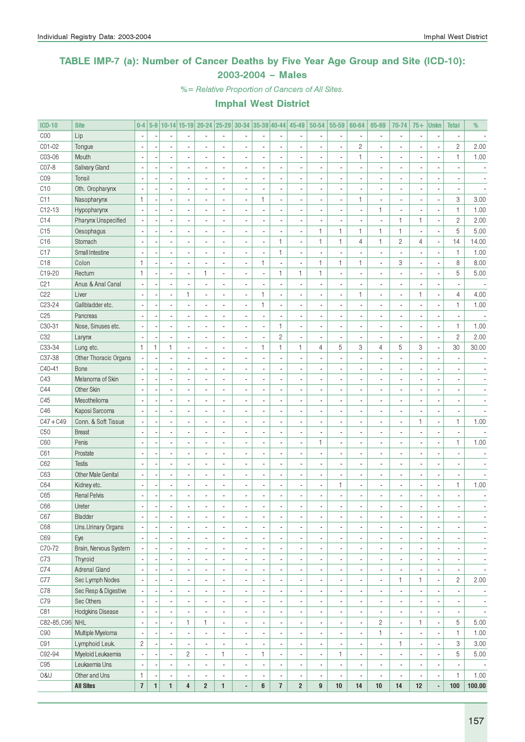### TABLE IMP-7 (a): Number of Cancer Deaths by Five Year Age Group and Site (ICD-10): 2003-2004 – Males

%= Relative Proportion of Cancers of All Sites.

| <b>ICD-10</b>   | <b>Site</b>               | $0-4$                   |              |                          |                          | 5-9 10-14 15-19 20-24 25-29 30-34 35-39 40-44 45-49 |                |                          |              |                          |                          | $50 - 54$                | 55-59                    | 60-64                    | 65-69                                      | 70-74                    | $75+$          | <b>Unkn</b>              | <b>Total</b>             | %                        |
|-----------------|---------------------------|-------------------------|--------------|--------------------------|--------------------------|-----------------------------------------------------|----------------|--------------------------|--------------|--------------------------|--------------------------|--------------------------|--------------------------|--------------------------|--------------------------------------------|--------------------------|----------------|--------------------------|--------------------------|--------------------------|
| COO             | Lip                       |                         |              |                          |                          |                                                     |                |                          |              |                          |                          |                          | ×,                       |                          |                                            | $\blacksquare$           |                |                          |                          |                          |
| CO1-02          | Tongue                    |                         |              |                          |                          |                                                     |                |                          |              | ÷,                       |                          |                          | ÷,                       | $\sqrt{2}$               |                                            | $\overline{\phantom{a}}$ |                | Ĭ.                       | $\sqrt{2}$               | 2.00                     |
| C03-06          | Mouth                     |                         |              | ä,                       |                          |                                                     | $\overline{a}$ |                          |              | $\frac{1}{2}$            |                          |                          | ÷,                       | 1                        | $\overline{\phantom{a}}$                   | $\overline{\phantom{a}}$ |                | ÷,                       | $\mathbf{1}$             | 1.00                     |
| C07-8           | Salivary Gland            |                         |              |                          |                          |                                                     | $\overline{a}$ |                          |              | $\overline{a}$           |                          |                          | ÷,                       |                          |                                            | $\overline{\phantom{a}}$ |                |                          |                          |                          |
| CO <sub>9</sub> | Tonsil                    |                         |              | ä,                       |                          |                                                     |                |                          |              | i,                       |                          |                          | ÷,                       |                          |                                            | $\overline{\phantom{a}}$ |                |                          |                          |                          |
| C10             | Oth. Oropharynx           |                         |              | ä,                       |                          |                                                     |                |                          |              | i,                       |                          |                          | $\overline{a}$           |                          |                                            | $\overline{\phantom{a}}$ |                | ÷,                       |                          |                          |
| C11             | Nasopharynx               | $\mathbf{1}$            |              | ä,                       |                          |                                                     | $\overline{a}$ | ä,                       | $\mathbf{1}$ | $\overline{a}$           |                          |                          | ÷,                       | 1                        |                                            | $\overline{\phantom{a}}$ |                | ÷,                       | 3                        | 3.00                     |
| $C12-13$        | Hypopharynx               |                         |              | ä,                       |                          |                                                     |                |                          |              | i,                       |                          |                          | ÷,                       |                          | $\mathbf{1}$                               | $\overline{\phantom{a}}$ |                | ÷,                       | $\mathbf{1}$             | 1.00                     |
| C14             | Pharynx Unspecified       |                         |              | ÷,                       |                          |                                                     |                |                          |              | ÷,                       |                          |                          | Ĭ.                       |                          |                                            | $\mathbf{1}$             | $\mathbf{1}$   | ÷,                       | $\sqrt{2}$               | 2.00                     |
| C15             | Oesophagus                |                         |              | ÷,                       |                          |                                                     | Ĭ.             |                          |              | $\overline{a}$           | ä,                       | $\mathbf{1}$             | $\mathbf{1}$             | 1                        | $\mathbf{1}$                               | $\mathbf{1}$             |                | ÷,                       | 5                        | 5.00                     |
| C16             | Stomach                   |                         |              | ÷,                       |                          |                                                     | Ĭ.             | ÷,                       | Ĭ.           | $\mathbf{1}$             | ٠                        | $\mathbf{1}$             | $\mathbf{1}$             | $\overline{4}$           | $\mathbf{1}$                               | $\sqrt{2}$               | $\overline{4}$ | ÷,                       | 14                       | 14.00                    |
| C <sub>17</sub> | Small Intestine           |                         |              | ÷,                       |                          |                                                     | Ĭ.             | ÷,                       |              | $\mathbf{1}$             | ä,                       |                          | ÷,                       |                          |                                            | ÷,                       |                | ł,                       | $\mathbf{1}$             | 1.00                     |
| C18             | Colon                     | $\mathbf{1}$            |              | ÷,                       |                          |                                                     | Ĭ.             | ÷,                       | $\mathbf{1}$ | $\overline{\phantom{a}}$ |                          | $\mathbf{1}$             | $\mathbf{1}$             | $\mathbf{1}$             | ä,                                         | 3                        |                | ł,                       | 8                        | 8.00                     |
| C19-20          | Rectum                    | $\mathbf{1}$            |              | ÷,                       |                          | 1                                                   | ä,             |                          |              | $\mathbf{1}$             | $\mathbf{1}$             | $\mathbf{1}$             | ÷,                       |                          |                                            | ÷,                       |                | ÷,                       | 5                        | 5.00                     |
| C <sub>21</sub> | Anus & Anal Canal         |                         |              | ä,                       |                          |                                                     | ä,             |                          |              | Ĭ.                       |                          |                          | l,                       |                          |                                            | $\overline{\phantom{a}}$ |                | ÷,                       |                          |                          |
|                 |                           |                         |              |                          | $\mathbf{1}$             |                                                     |                | ÷,                       | $\mathbf{1}$ | $\overline{a}$           |                          |                          | ÷,                       |                          |                                            | ÷,                       |                |                          |                          | 4.00                     |
| C22             | Liver                     |                         |              | ä,                       |                          |                                                     |                |                          |              |                          |                          |                          |                          | 1                        |                                            |                          | 1              | ł,                       | $\overline{4}$           |                          |
| C23-24          | Gallbladder etc.          |                         |              |                          |                          |                                                     |                |                          | $\mathbf{1}$ | $\overline{a}$           |                          |                          | ÷,                       |                          |                                            | $\overline{\phantom{a}}$ |                | ÷,                       | $\mathbf{1}$             | 1.00                     |
| C <sub>25</sub> | Pancreas                  |                         |              |                          |                          |                                                     |                |                          |              | i,                       |                          |                          | ÷,                       |                          |                                            | $\overline{\phantom{a}}$ |                | ÷,                       |                          |                          |
| C30-31          | Nose, Sinuses etc.        |                         |              | ä,                       |                          |                                                     |                |                          |              | $\mathbf{1}$             |                          |                          | ÷,                       |                          |                                            | $\overline{\phantom{a}}$ |                | ÷,                       | $\mathbf{1}$             | 1.00                     |
| C <sub>32</sub> | Larynx                    |                         |              | ä,                       |                          |                                                     |                |                          |              | $\sqrt{2}$               |                          |                          | ÷,                       |                          |                                            | $\overline{\phantom{a}}$ |                | ł,                       | $\overline{c}$           | 2.00                     |
| C33-34          | Lung etc.                 | $\mathbf{1}$            | $\mathbf{1}$ | $\mathbf{1}$             |                          |                                                     |                | ä,                       | $\mathbf{1}$ | $\mathbf{1}$             | $\mathbf{1}$             | 4                        | 5                        | 3                        | $\overline{4}$                             | 5                        | 3              | ÷,                       | 30                       | 30.00                    |
| C37-38          | Other Thoracic Organs     |                         |              | ÷,                       |                          |                                                     |                |                          |              | i,                       |                          |                          | ÷,                       |                          |                                            |                          |                | ÷,                       |                          |                          |
| C40-41          | Bone                      |                         |              | ä,                       |                          |                                                     |                |                          |              | $\overline{a}$           |                          |                          | ÷,                       |                          |                                            | $\overline{\phantom{a}}$ |                |                          |                          |                          |
| C43             | Melanoma of Skin          |                         |              | ä,                       |                          |                                                     | Ĭ.             |                          |              | $\overline{a}$           |                          |                          | $\overline{a}$           |                          |                                            | $\blacksquare$           |                | ×,                       |                          |                          |
| C44             | Other Skin                |                         |              | ä,                       |                          |                                                     |                |                          |              | $\overline{a}$           |                          |                          | ÷,                       |                          |                                            | $\overline{\phantom{a}}$ |                | ×,                       |                          |                          |
| C45             | Mesothelioma              |                         |              | ä,                       |                          |                                                     |                |                          |              | $\overline{a}$           |                          |                          | l,                       |                          |                                            | $\overline{\phantom{a}}$ |                | ×,                       |                          |                          |
| C46             | Kaposi Sarcoma            |                         |              | ä,                       |                          |                                                     |                |                          |              | $\overline{a}$           |                          |                          | l,                       |                          |                                            | $\overline{\phantom{a}}$ |                | ÷,                       |                          |                          |
| $C47 + C49$     | Conn. & Soft Tissue       |                         |              | ä,                       |                          |                                                     |                |                          |              | $\overline{a}$           |                          |                          | ÷,                       |                          |                                            | ÷,                       | $\mathbf{1}$   | ÷,                       | $\mathbf{1}$             | 1.00                     |
| C50             | <b>Breast</b>             |                         |              | ä,                       |                          |                                                     |                |                          |              | $\overline{a}$           |                          |                          | ÷,                       |                          |                                            | $\overline{\phantom{a}}$ |                | ÷,                       | ÷,                       |                          |
| C60             | Penis                     |                         |              | ä,                       |                          |                                                     |                |                          |              | $\overline{a}$           |                          | $\mathbf{1}$             | ÷,                       |                          |                                            | $\overline{\phantom{a}}$ |                | Ĭ.                       | $\mathbf{1}$             | 1.00                     |
| C61             | Prostate                  |                         |              | ä,                       |                          |                                                     |                |                          |              | i,                       |                          |                          | ÷,                       |                          |                                            | $\overline{\phantom{a}}$ |                |                          |                          |                          |
| C62             | <b>Testis</b>             |                         |              | ä,                       |                          |                                                     |                |                          |              | i,                       |                          |                          | ÷,                       |                          |                                            | $\overline{\phantom{a}}$ |                |                          |                          |                          |
| C63             | <b>Other Male Genital</b> |                         |              | ä,                       |                          |                                                     |                |                          |              | $\overline{a}$           |                          |                          | $\overline{a}$           |                          |                                            | $\overline{\phantom{a}}$ |                | ×,                       | ×,                       |                          |
| C64             | Kidney etc.               |                         |              | ÷,                       |                          |                                                     |                | Ĭ.                       |              | $\overline{a}$           |                          |                          | $\mathbf{1}$             | ä,                       |                                            | ÷,                       |                | ×,                       | $\mathbf{1}$             | 1.00                     |
| C65             | <b>Renal Pelvis</b>       |                         |              | $\overline{\phantom{a}}$ |                          |                                                     |                | Ĭ.                       |              | i,                       |                          |                          | $\overline{a}$           |                          |                                            | $\overline{\phantom{a}}$ |                |                          |                          |                          |
| C66             | Ureter                    |                         |              |                          |                          |                                                     | Ĭ.             | ä,                       |              | $\overline{a}$           |                          |                          | ÷,                       |                          |                                            | $\blacksquare$           |                |                          |                          |                          |
| C67             | Bladder                   |                         |              |                          |                          |                                                     |                |                          |              |                          |                          |                          |                          |                          |                                            |                          |                |                          |                          |                          |
| C68             | Uns.Urinary Organs        | ÷,                      |              | $\overline{\phantom{a}}$ | $\blacksquare$           |                                                     | ٠              | ×,                       |              | $\overline{\phantom{a}}$ | ٠                        | $\overline{\phantom{a}}$ | $\overline{\phantom{a}}$ | $\overline{\phantom{a}}$ |                                            | $\overline{\phantom{a}}$ |                | $\overline{\phantom{a}}$ | ٠                        | $\overline{\phantom{a}}$ |
| C69             | Eye                       |                         |              | $\overline{\phantom{a}}$ | $\overline{\phantom{a}}$ |                                                     | ä,             | ×,                       |              | $\blacksquare$           | ٠                        | ٠                        | $\overline{\phantom{a}}$ | ٠                        | ٠                                          | $\overline{\phantom{a}}$ |                | $\overline{\phantom{a}}$ | $\overline{\phantom{a}}$ | $\overline{\phantom{a}}$ |
| C70-72          | Brain, Nervous System     |                         |              | $\overline{\phantom{a}}$ | $\blacksquare$           |                                                     | ä,             | ÷,                       |              | $\overline{\phantom{a}}$ | ٠                        | $\blacksquare$           | $\overline{\phantom{a}}$ | ٠                        | $\blacksquare$                             | $\overline{\phantom{a}}$ |                | $\overline{\phantom{a}}$ | $\overline{\phantom{a}}$ | $\overline{\phantom{a}}$ |
| C73             | Thyroid                   |                         |              | $\overline{\phantom{a}}$ | $\blacksquare$           |                                                     | ä,             | ×,                       |              | $\overline{\phantom{a}}$ | ٠                        | $\blacksquare$           | $\overline{\phantom{a}}$ | ٠                        | $\overline{\phantom{a}}$                   | $\overline{\phantom{a}}$ |                | $\overline{\phantom{a}}$ | $\overline{\phantom{a}}$ | $\overline{\phantom{a}}$ |
| C74             | <b>Adrenal Gland</b>      |                         |              | $\overline{\phantom{a}}$ | $\blacksquare$           |                                                     | ä,             | ×,                       |              | $\blacksquare$           | ٠                        | $\blacksquare$           | $\overline{\phantom{a}}$ | ٠                        | $\overline{\phantom{a}}$                   | $\overline{\phantom{a}}$ |                | $\overline{\phantom{a}}$ | $\blacksquare$           | $\overline{\phantom{a}}$ |
| C77             | Sec Lymph Nodes           |                         |              | $\overline{\phantom{a}}$ | $\blacksquare$           |                                                     | ä,             | ×,                       |              | $\blacksquare$           | ٠                        | $\blacksquare$           | $\overline{\phantom{a}}$ | $\overline{\phantom{a}}$ | $\overline{\phantom{a}}$                   | 1                        | $\mathbf{1}$   | $\overline{\phantom{a}}$ | $\mathbf{2}$             | 2.00                     |
| C78             | Sec Resp & Digestive      |                         |              | $\overline{\phantom{a}}$ | $\blacksquare$           |                                                     | ä,             | ×,                       |              | $\blacksquare$           | ٠                        | $\blacksquare$           | $\overline{\phantom{a}}$ | ٠                        | $\overline{\phantom{a}}$                   | $\blacksquare$           |                | $\overline{\phantom{a}}$ | ×,                       | $\overline{\phantom{a}}$ |
| C79             | Sec Others                |                         |              | $\overline{\phantom{a}}$ | $\blacksquare$           |                                                     | ä,             | ×,                       |              | $\blacksquare$           | ٠                        | $\blacksquare$           | $\overline{\phantom{a}}$ | ٠                        |                                            | $\overline{\phantom{a}}$ |                | $\overline{\phantom{a}}$ |                          |                          |
| C81             | Hodgkins Disease          |                         |              |                          |                          |                                                     | $\overline{a}$ |                          |              |                          |                          |                          |                          |                          | $\overline{\phantom{a}}$<br>$\blacksquare$ |                          |                |                          | $\overline{\phantom{a}}$ | $\overline{\phantom{a}}$ |
|                 |                           |                         |              | $\overline{\phantom{a}}$ |                          |                                                     |                | ×,                       |              | $\blacksquare$           |                          | $\blacksquare$           | $\overline{\phantom{a}}$ | ٠                        |                                            | $\overline{\phantom{a}}$ |                | $\overline{\phantom{a}}$ | $\overline{\phantom{a}}$ | $\overline{\phantom{a}}$ |
| C82-85, C96 NHL |                           |                         |              | $\overline{\phantom{a}}$ | $\mathbf{1}$             | 1                                                   | ٠              | ×,                       |              | $\blacksquare$           |                          | $\blacksquare$           | $\overline{\phantom{a}}$ | ٠                        | $\overline{c}$                             | $\blacksquare$           | 1              | $\overline{\phantom{a}}$ | 5                        | 5.00                     |
| C90             | Multiple Myeloma          |                         |              | $\overline{\phantom{a}}$ |                          |                                                     | ä,             | ×,                       |              | $\blacksquare$           |                          | $\blacksquare$           | $\overline{\phantom{a}}$ | ٠                        | 1                                          | $\overline{\phantom{a}}$ |                | ٠                        | $\mathbf{1}$             | 1.00                     |
| C91             | Lymphoid Leuk.            | $\overline{c}$          |              | $\overline{\phantom{a}}$ | $\blacksquare$           |                                                     | ä,             | $\blacksquare$           |              | $\overline{\phantom{a}}$ | $\overline{\phantom{a}}$ | $\overline{\phantom{a}}$ | $\overline{\phantom{a}}$ | ٠                        | $\overline{\phantom{a}}$                   | $\mathbf{1}$             |                | $\overline{\phantom{a}}$ | 3                        | 3.00                     |
| C92-94          | Myeloid Leukaemia         |                         |              | $\overline{\phantom{a}}$ | $\mathbf{2}$             | $\overline{\phantom{a}}$                            | 1              | $\overline{\phantom{a}}$ | $\mathbf{1}$ | $\overline{\phantom{a}}$ | ٠                        | $\overline{\phantom{a}}$ | 1                        | ٠                        | $\overline{\phantom{a}}$                   | $\overline{\phantom{a}}$ |                | $\overline{\phantom{a}}$ | 5                        | 5.00                     |
| C95             | Leukaemia Uns             |                         |              | $\overline{\phantom{a}}$ | $\overline{\phantom{a}}$ | $\blacksquare$                                      | $\overline{a}$ | $\blacksquare$           |              | $\overline{\phantom{a}}$ | $\overline{\phantom{a}}$ | $\overline{\phantom{a}}$ | $\overline{\phantom{a}}$ | $\overline{\phantom{a}}$ | $\overline{\phantom{a}}$                   | $\overline{\phantom{a}}$ |                | $\overline{\phantom{a}}$ |                          | $\overline{\phantom{a}}$ |
| 0&U             | Other and Uns             | 1                       |              | $\overline{\phantom{a}}$ | $\overline{\phantom{a}}$ |                                                     | $\overline{a}$ | $\blacksquare$           |              | $\overline{\phantom{a}}$ | $\overline{\phantom{a}}$ | $\overline{\phantom{a}}$ | $\overline{\phantom{a}}$ | $\overline{\phantom{a}}$ | $\overline{\phantom{a}}$                   | $\overline{\phantom{a}}$ | ٠              | $\overline{\phantom{a}}$ | $\mathbf{1}$             | 1.00                     |
|                 | <b>All Sites</b>          | $\overline{\mathbf{r}}$ | $\mathbf{1}$ | $\mathbf{1}$             | 4                        | $\overline{2}$                                      | $\mathbf{1}$   | ÷                        | 6            | $\overline{1}$           | $\overline{2}$           | $\boldsymbol{9}$         | 10                       | 14                       | $10$                                       | 14                       | 12             | $\blacksquare$           | 100                      | 100.00                   |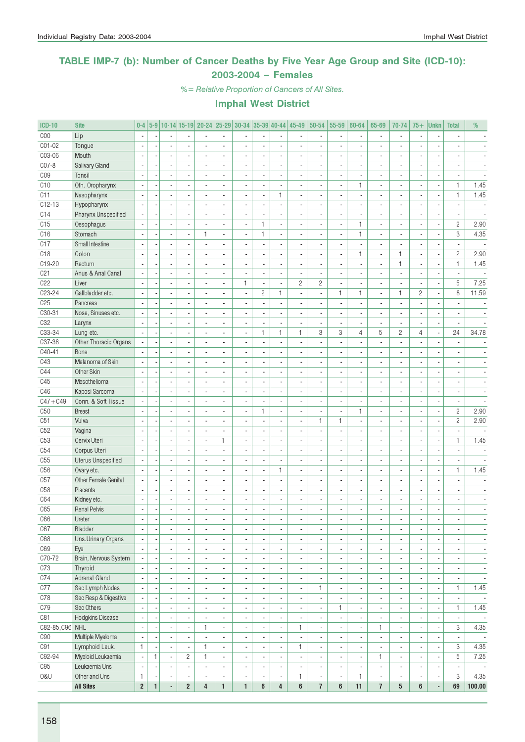### TABLE IMP-7 (b): Number of Cancer Deaths by Five Year Age Group and Site (ICD-10): 2003-2004 – Females

%= Relative Proportion of Cancers of All Sites.

| <b>ICD-10</b>   | <b>Site</b>               |                          |                          |                                            |                                            |                                  |                             |                                                      |                                  |                                | 0-4 5-9 10-14 15-19 20-24 25-29 30-34 35-39 40-44 45-49 50-54 |                                                      | 55-59                          | 60-64                            | 65-69                                                | 70-74                                                | $75+$                    | <b>Unkn</b>              | <b>Total</b>             | %                        |
|-----------------|---------------------------|--------------------------|--------------------------|--------------------------------------------|--------------------------------------------|----------------------------------|-----------------------------|------------------------------------------------------|----------------------------------|--------------------------------|---------------------------------------------------------------|------------------------------------------------------|--------------------------------|----------------------------------|------------------------------------------------------|------------------------------------------------------|--------------------------|--------------------------|--------------------------|--------------------------|
| COO             | Lip                       |                          |                          |                                            |                                            |                                  |                             |                                                      |                                  |                                |                                                               |                                                      |                                |                                  |                                                      | ×,                                                   |                          |                          |                          |                          |
| C01-02          | Tongue                    |                          |                          |                                            |                                            |                                  |                             |                                                      |                                  | ÷,                             |                                                               |                                                      |                                |                                  |                                                      |                                                      |                          |                          |                          |                          |
| C03-06          | Mouth                     | $\overline{\phantom{a}}$ |                          | $\blacksquare$                             |                                            | $\blacksquare$                   | ÷,                          | $\overline{a}$                                       | $\blacksquare$                   | ÷,                             | $\overline{\phantom{a}}$                                      | $\overline{a}$                                       | ä,                             | $\blacksquare$                   | $\overline{a}$                                       | $\overline{\phantom{a}}$                             | ÷,                       | ÷,                       | $\overline{\phantom{a}}$ |                          |
| C07-8           | Salivary Gland            | ÷,                       |                          | $\blacksquare$                             |                                            | $\overline{a}$                   | $\overline{a}$              | $\overline{\phantom{a}}$                             | $\blacksquare$                   | $\blacksquare$                 | ä,                                                            |                                                      | $\blacksquare$                 | $\blacksquare$                   |                                                      | $\overline{a}$                                       | $\blacksquare$           | $\overline{\phantom{a}}$ | $\blacksquare$           |                          |
| C <sub>09</sub> | Tonsil                    |                          |                          | $\blacksquare$                             |                                            |                                  | ٠                           | $\overline{a}$                                       |                                  | ٠                              | ٠                                                             |                                                      | $\overline{\phantom{a}}$       | $\overline{a}$                   |                                                      | $\overline{a}$                                       | ٠                        | $\overline{\phantom{a}}$ |                          |                          |
| C10             | Oth. Oropharynx           | ÷,                       |                          | $\overline{a}$                             |                                            |                                  |                             | $\overline{a}$                                       |                                  | ä,                             |                                                               |                                                      | ä,                             | $\mathbf{1}$                     |                                                      | ÷,                                                   |                          | ä,                       | $\mathbf{1}$             | 1.45                     |
| C11             | Nasopharynx               | $\overline{\phantom{a}}$ |                          | $\mathbf{r}$                               |                                            | $\overline{a}$                   | ÷,                          | $\overline{a}$                                       | $\blacksquare$                   | $\mathbf{1}$                   | $\overline{a}$                                                |                                                      | ä,                             | $\overline{a}$                   | $\overline{a}$                                       | $\overline{a}$                                       | ٠                        | ×,                       | $\mathbf{1}$             | 1.45                     |
| $C12-13$        | Hypopharynx               |                          |                          | $\blacksquare$                             |                                            |                                  | $\overline{a}$              |                                                      |                                  | $\blacksquare$                 |                                                               |                                                      | ä,                             |                                  |                                                      | ä,                                                   |                          | ×,                       | $\blacksquare$           | $\overline{\phantom{a}}$ |
| C14             | Pharynx Unspecified       |                          |                          | $\blacksquare$                             |                                            |                                  | ä,                          |                                                      |                                  | $\blacksquare$                 |                                                               |                                                      | $\blacksquare$                 |                                  |                                                      | $\overline{\phantom{a}}$                             |                          | ×,                       | $\blacksquare$           |                          |
| C15             | Oesophagus                | $\overline{\phantom{a}}$ |                          | $\blacksquare$                             |                                            | ÷,                               | $\overline{a}$              | ä,                                                   | $\mathbf{1}$                     | $\frac{1}{2}$                  |                                                               |                                                      | ÷,                             | $\mathbf{1}$                     | ÷.                                                   | ä,                                                   | $\blacksquare$           | ÷,                       | $\overline{2}$           | 2.90                     |
| C16             | Stomach                   | ÷,                       |                          | $\overline{\phantom{a}}$                   | $\overline{\phantom{a}}$                   | 1                                | $\overline{\phantom{a}}$    | $\overline{\phantom{a}}$                             | $\mathbf{1}$                     | $\overline{a}$                 | $\overline{\phantom{a}}$                                      | $\overline{a}$                                       | $\blacksquare$                 | $\mathbf{1}$                     |                                                      | ä,                                                   | $\overline{\phantom{a}}$ | $\blacksquare$           | 3                        | 4.35                     |
| C17             | Small Intestine           |                          |                          | $\blacksquare$                             |                                            | $\overline{a}$                   | ä,                          | $\overline{a}$                                       |                                  | ٠                              | ٠                                                             |                                                      | $\overline{\phantom{a}}$       | $\overline{a}$                   |                                                      | $\overline{a}$                                       | ٠                        | $\overline{\phantom{a}}$ | $\overline{\phantom{a}}$ |                          |
| C <sub>18</sub> | Colon                     |                          |                          | $\overline{a}$                             |                                            |                                  |                             | $\overline{a}$                                       |                                  | ÷,                             |                                                               |                                                      | ä,                             | 1                                |                                                      | $\mathbf{1}$                                         |                          | ä,                       | $\overline{c}$           | 2.90                     |
| C19-20          | Rectum                    | $\overline{\phantom{a}}$ |                          | $\blacksquare$                             |                                            | $\overline{a}$                   | ä,                          | $\overline{a}$                                       | $\overline{a}$                   | ä,                             | $\overline{\phantom{a}}$                                      |                                                      | $\overline{\phantom{a}}$       | $\overline{a}$                   | $\overline{a}$                                       | $\mathbf{1}$                                         | ٠                        | ×,                       | $\mathbf{1}$             | 1.45                     |
| C21             | Anus & Anal Canal         |                          |                          | $\blacksquare$                             |                                            |                                  |                             |                                                      |                                  | $\frac{1}{2}$                  |                                                               |                                                      | ä,                             |                                  |                                                      | ÷,                                                   |                          | ×,                       | $\blacksquare$           |                          |
| C22             | Liver                     |                          |                          | $\blacksquare$                             |                                            |                                  | ä,                          | $\mathbf{1}$                                         | ×,                               | $\blacksquare$                 | $\overline{c}$                                                | $\overline{c}$                                       | $\blacksquare$                 |                                  |                                                      | ÷,                                                   |                          | ×,                       | 5                        | 7.25                     |
| C23-24          | Gallbladder etc.          | ÷,                       |                          | $\blacksquare$                             |                                            | $\blacksquare$                   | $\overline{a}$              | ÷,                                                   | $\overline{c}$                   | $\mathbf{1}$                   |                                                               | $\overline{a}$                                       | $\mathbf{1}$                   | $\mathbf{1}$                     | $\overline{\phantom{a}}$                             | $\mathbf{1}$                                         | $\overline{c}$           | ä,                       | 8                        | 11.59                    |
| C <sub>25</sub> | Pancreas                  | ÷,                       |                          | $\overline{\phantom{a}}$                   |                                            | $\overline{a}$                   | $\overline{a}$              | $\overline{\phantom{a}}$                             | $\overline{\phantom{a}}$         | $\overline{a}$                 | $\overline{\phantom{a}}$                                      | $\overline{a}$                                       | ä,                             | $\overline{a}$                   | $\overline{\phantom{a}}$                             | $\overline{\phantom{a}}$                             | ÷,                       | ä,                       | $\overline{a}$           | $\blacksquare$           |
| $C30-31$        | Nose, Sinuses etc.        |                          |                          | $\blacksquare$                             |                                            | $\overline{a}$                   | $\overline{a}$              | $\blacksquare$                                       | $\blacksquare$                   | ٠                              | $\blacksquare$                                                |                                                      | ÷,                             | ä,                               |                                                      | $\overline{a}$                                       |                          | $\overline{\phantom{a}}$ | ٠                        |                          |
| C32             | Larynx                    | $\overline{\phantom{a}}$ |                          | $\overline{a}$                             |                                            |                                  |                             | ÷,                                                   |                                  | $\overline{a}$                 |                                                               | L.                                                   | ÷,                             |                                  |                                                      | $\overline{a}$                                       |                          |                          | $\mathbf{r}$             |                          |
| C33-34          | Lung etc.                 | $\overline{\phantom{a}}$ |                          | $\overline{a}$                             |                                            | $\overline{a}$                   | Ĭ.                          | $\blacksquare$                                       | $\mathbf{1}$                     | $\mathbf{1}$                   | 1                                                             | 3                                                    | 3                              | 4                                | 5                                                    | $\overline{c}$                                       | 4                        | ä,                       | 24                       | 34.78                    |
| C37-38          | Other Thoracic Organs     |                          |                          | $\blacksquare$                             |                                            |                                  |                             |                                                      |                                  | $\overline{a}$                 |                                                               |                                                      | ä,                             |                                  |                                                      | ÷,                                                   |                          | ä,                       |                          |                          |
| C40-41          | Bone                      |                          |                          | $\blacksquare$                             |                                            |                                  |                             |                                                      |                                  | $\blacksquare$                 |                                                               |                                                      | ÷                              |                                  |                                                      | $\overline{a}$                                       |                          | $\overline{\phantom{a}}$ |                          |                          |
| C43             | Melanoma of Skin          | ÷,                       |                          | $\blacksquare$                             |                                            | ä,                               | ä,                          | $\overline{a}$                                       |                                  | $\frac{1}{2}$                  |                                                               |                                                      | ÷,                             |                                  |                                                      | ä,                                                   |                          | ä,                       | ÷,                       |                          |
| C44             | Other Skin                | $\overline{\phantom{a}}$ |                          | $\blacksquare$                             | $\overline{a}$                             | ٠                                | ÷,                          | $\overline{\phantom{a}}$                             | $\overline{a}$                   | ÷,                             | $\overline{\phantom{a}}$                                      | $\overline{a}$                                       | $\overline{\phantom{a}}$       | ٠                                | $\overline{\phantom{a}}$                             | $\overline{\phantom{a}}$                             | ٠                        | $\overline{\phantom{a}}$ | $\blacksquare$           | $\blacksquare$           |
| C45             | Mesothelioma              | ×,                       |                          | $\blacksquare$                             |                                            |                                  | $\overline{a}$              | $\overline{a}$                                       |                                  | $\frac{1}{2}$                  |                                                               |                                                      | $\overline{\phantom{a}}$       | ä,                               |                                                      | $\overline{a}$                                       |                          | ×,                       | $\overline{a}$           | $\overline{a}$           |
| C46             | Kaposi Sarcoma            |                          |                          |                                            |                                            |                                  |                             |                                                      |                                  | ä,                             |                                                               |                                                      | ä,                             |                                  |                                                      |                                                      |                          |                          |                          |                          |
| $C47 + C49$     | Conn. & Soft Tissue       | $\overline{\phantom{a}}$ |                          | $\overline{\phantom{a}}$                   |                                            | $\overline{a}$                   | $\overline{a}$              | $\overline{a}$                                       |                                  | $\overline{\phantom{a}}$       | ÷,                                                            |                                                      | $\overline{\phantom{a}}$       | $\overline{a}$                   | $\overline{a}$                                       | $\overline{a}$                                       | ٠                        | $\overline{a}$           | ä,                       |                          |
| C <sub>50</sub> | <b>Breast</b>             |                          |                          | $\overline{\phantom{a}}$                   |                                            |                                  |                             |                                                      | $\mathbf{1}$                     | $\overline{a}$                 |                                                               |                                                      | ä,                             | $\mathbf{1}$                     |                                                      | $\overline{a}$                                       |                          | ä,                       | $\overline{c}$           | 2.90                     |
| C51             | Vulva                     |                          |                          | $\blacksquare$                             |                                            |                                  |                             |                                                      |                                  | ٠                              |                                                               | $\mathbf{1}$                                         | $\mathbf{1}$                   |                                  |                                                      | $\overline{a}$                                       |                          | ×,                       | $\mathbf{2}$             | 2.90                     |
| C52             | Vagina                    | ÷,                       |                          | $\blacksquare$                             |                                            | $\overline{a}$                   | $\overline{a}$              | ÷,                                                   | $\overline{\phantom{a}}$         | L.                             |                                                               | $\overline{a}$                                       | $\overline{\phantom{a}}$       | $\blacksquare$                   |                                                      | ÷,                                                   |                          | ÷,                       | $\overline{\phantom{a}}$ | $\overline{\phantom{a}}$ |
| C <sub>53</sub> | Cervix Uteri              | ÷,                       |                          | $\overline{\phantom{a}}$                   | $\overline{a}$                             | $\overline{\phantom{a}}$         | $\mathbf{1}$                | $\overline{\phantom{a}}$                             | $\blacksquare$                   | ÷,                             | $\overline{a}$                                                | $\overline{\phantom{a}}$                             | $\overline{\phantom{a}}$       | $\blacksquare$                   | $\overline{\phantom{a}}$                             | $\overline{a}$                                       | ٠                        | $\overline{\phantom{a}}$ | 1                        | 1.45                     |
| C54             | Corpus Uteri              | ä,                       |                          | $\blacksquare$                             |                                            | $\blacksquare$                   | $\overline{a}$              | $\overline{a}$                                       | $\blacksquare$                   | $\frac{1}{2}$                  | $\overline{\phantom{a}}$                                      |                                                      | $\overline{\phantom{a}}$       | $\blacksquare$                   |                                                      | ä,                                                   | ٠                        | ×,                       | $\overline{\phantom{a}}$ |                          |
| C55             | <b>Uterus Unspecified</b> |                          |                          | $\overline{a}$                             |                                            |                                  |                             |                                                      |                                  | ä,                             |                                                               |                                                      | ٠                              | $\overline{a}$                   |                                                      | $\overline{a}$                                       |                          | $\blacksquare$           |                          |                          |
| C <sub>56</sub> | Ovary etc.                | $\overline{\phantom{a}}$ |                          | $\overline{\phantom{a}}$                   |                                            | $\overline{a}$                   | $\overline{a}$              | $\overline{a}$                                       | $\blacksquare$                   | $\mathbf{1}$                   | $\overline{\phantom{a}}$                                      |                                                      | $\overline{\phantom{a}}$       | ä,                               |                                                      | $\overline{a}$                                       | ٠                        | ×,                       | $\mathbf{1}$             | 1.45                     |
| C57             | Other Female Genital      |                          |                          | $\overline{\phantom{a}}$                   |                                            | ÷,                               | $\overline{a}$              | $\overline{a}$                                       | ÷,                               | $\overline{\phantom{a}}$       | ÷,                                                            |                                                      | ÷,                             | ÷,                               |                                                      | ÷,                                                   | ÷,                       | ä,                       |                          |                          |
| C <sub>58</sub> | Placenta                  |                          |                          | $\blacksquare$                             |                                            |                                  |                             |                                                      |                                  | ÷,                             |                                                               |                                                      | ٠                              |                                  |                                                      | $\blacksquare$                                       |                          |                          |                          |                          |
| C64             | Kidney etc.               | ÷,                       |                          | $\blacksquare$                             |                                            |                                  | Ĭ.                          | ä,                                                   |                                  | $\overline{a}$                 |                                                               |                                                      | ä,                             | ä,                               |                                                      | ä,                                                   | $\blacksquare$           | ×<br>ä,                  | $\overline{a}$           |                          |
| C65             | <b>Renal Pelvis</b>       | ÷,                       |                          | $\overline{a}$                             |                                            |                                  |                             |                                                      |                                  | $\overline{a}$                 |                                                               |                                                      | $\overline{a}$                 | $\overline{a}$                   |                                                      |                                                      | $\overline{a}$           |                          | $\overline{\phantom{a}}$ | $\blacksquare$           |
|                 | Ureter                    |                          |                          |                                            |                                            |                                  |                             |                                                      |                                  |                                |                                                               |                                                      |                                |                                  |                                                      |                                                      |                          |                          |                          |                          |
| C66             |                           | $\overline{\phantom{a}}$ | $\overline{\phantom{a}}$ | $\overline{\phantom{a}}$                   | $\overline{\phantom{a}}$                   | $\overline{\phantom{a}}$         | $\overline{\phantom{a}}$    | $\overline{\phantom{a}}$                             | $\overline{\phantom{a}}$         | $\overline{\phantom{a}}$       | $\overline{\phantom{a}}$                                      | $\overline{\phantom{a}}$                             | $\overline{\phantom{a}}$       | $\overline{\phantom{a}}$         | $\overline{\phantom{a}}$                             | $\overline{\phantom{a}}$                             | $\overline{\phantom{a}}$ | $\overline{\phantom{a}}$ | $\overline{\phantom{a}}$ | $\overline{\phantom{a}}$ |
| C67             | Bladder                   | $\overline{\phantom{a}}$ |                          | $\overline{\phantom{a}}$                   | $\overline{\phantom{a}}$                   | $\blacksquare$<br>$\blacksquare$ | $\frac{1}{2}$<br>ä,         | $\blacksquare$                                       | $\overline{\phantom{a}}$         | $\overline{\phantom{a}}$       | $\qquad \qquad \blacksquare$                                  | $\blacksquare$                                       | $\overline{\phantom{a}}$       | $\overline{\phantom{a}}$         | $\blacksquare$                                       | $\overline{\phantom{a}}$                             | ٠                        | $\overline{\phantom{a}}$ | $\overline{\phantom{a}}$ | $\overline{\phantom{a}}$ |
| C68<br>C69      | Uns.Urinary Organs<br>Eye | $\blacksquare$<br>$\sim$ |                          | $\overline{\phantom{a}}$<br>$\blacksquare$ | $\overline{\phantom{a}}$<br>$\blacksquare$ | $\blacksquare$                   | $\blacksquare$              | $\overline{\phantom{a}}$<br>$\overline{\phantom{a}}$ | $\blacksquare$<br>$\blacksquare$ | $\overline{\phantom{a}}$<br>÷, | $\overline{\phantom{a}}$<br>$\overline{\phantom{a}}$          | $\overline{\phantom{a}}$<br>$\overline{\phantom{a}}$ | ÷,<br>$\overline{\phantom{a}}$ | $\blacksquare$<br>$\blacksquare$ | $\overline{\phantom{a}}$<br>$\overline{\phantom{a}}$ | $\overline{\phantom{a}}$<br>$\overline{\phantom{a}}$ | ٠<br>٠                   | ÷,                       | $\overline{\phantom{a}}$ | $\overline{\phantom{a}}$ |
| C70-72          |                           |                          |                          |                                            |                                            |                                  |                             |                                                      |                                  |                                |                                                               |                                                      |                                |                                  |                                                      |                                                      |                          | $\blacksquare$           | $\overline{\phantom{a}}$ | $\overline{\phantom{a}}$ |
|                 | Brain, Nervous System     | $\overline{\phantom{a}}$ |                          | $\overline{\phantom{a}}$                   |                                            | $\overline{\phantom{a}}$         | $\blacksquare$              | $\overline{a}$                                       |                                  | $\overline{\phantom{a}}$       | $\blacksquare$                                                | $\blacksquare$                                       | $\overline{\phantom{a}}$       | ٠                                | ٠                                                    | $\overline{\phantom{a}}$                             |                          | ×,                       | $\overline{\phantom{a}}$ | $\overline{\phantom{a}}$ |
| C73             | Thyroid                   | $\overline{\phantom{a}}$ |                          | $\blacksquare$                             |                                            | $\blacksquare$                   | $\blacksquare$              | ÷,                                                   | Ĭ.                               | $\overline{\phantom{a}}$       |                                                               | $\overline{\phantom{a}}$                             | $\blacksquare$                 | $\blacksquare$                   | $\overline{\phantom{a}}$                             | $\overline{\phantom{a}}$                             |                          | ÷,                       | $\overline{\phantom{a}}$ | $\blacksquare$           |
| C74             | Adrenal Gland             | $\overline{\phantom{a}}$ |                          | $\overline{\phantom{a}}$                   | $\overline{\phantom{a}}$                   | $\overline{\phantom{a}}$         | $\overline{\phantom{a}}$    | $\overline{\phantom{a}}$                             | $\overline{\phantom{a}}$         | $\overline{\phantom{a}}$       | ٠                                                             | $\overline{\phantom{a}}$                             | $\overline{\phantom{a}}$       | $\overline{\phantom{a}}$         | $\overline{\phantom{a}}$                             | $\overline{\phantom{a}}$                             | ٠                        | $\blacksquare$           | $\overline{\phantom{a}}$ | $\overline{\phantom{a}}$ |
| C77             | Sec Lymph Nodes           | $\blacksquare$           |                          | $\overline{\phantom{a}}$                   | $\overline{\phantom{a}}$                   | $\overline{\phantom{a}}$         | $\overline{\phantom{a}}$    | $\overline{\phantom{a}}$                             | $\overline{\phantom{a}}$         | $\overline{\phantom{a}}$       | $\overline{\phantom{a}}$                                      | 1                                                    | $\overline{\phantom{a}}$       | $\overline{\phantom{a}}$         | $\overline{\phantom{a}}$                             | $\overline{\phantom{a}}$                             | $\overline{\phantom{a}}$ | $\overline{\phantom{a}}$ | $\mathbf{1}$             | 1.45                     |
| C78             | Sec Resp & Digestive      | $\overline{\phantom{a}}$ |                          | $\overline{\phantom{a}}$                   | $\blacksquare$                             | $\overline{\phantom{a}}$         | $\overline{\phantom{a}}$    | $\overline{\phantom{a}}$                             | $\overline{\phantom{a}}$         | $\overline{\phantom{a}}$       | $\qquad \qquad \blacksquare$                                  | $\overline{\phantom{a}}$                             | $\overline{\phantom{a}}$       | $\overline{\phantom{a}}$         | $\overline{\phantom{a}}$                             | $\overline{\phantom{a}}$                             | ٠                        | $\overline{\phantom{a}}$ | $\overline{\phantom{a}}$ | $\overline{\phantom{a}}$ |
| C79             | Sec Others                | $\overline{\phantom{a}}$ |                          | $\blacksquare$                             | $\overline{\phantom{a}}$                   | $\blacksquare$                   | ä,                          | $\overline{\phantom{a}}$                             | $\blacksquare$                   | $\overline{\phantom{a}}$       |                                                               | $\overline{\phantom{a}}$                             | $\mathbf{1}$                   | $\overline{\phantom{a}}$         | $\overline{\phantom{a}}$                             | $\overline{\phantom{a}}$                             | ٠                        | $\blacksquare$           | $\mathbf{1}$             | 1.45                     |
| C81             | Hodgkins Disease          | $\blacksquare$           |                          | $\blacksquare$                             | $\blacksquare$                             | $\blacksquare$                   | $\blacksquare$              | $\overline{\phantom{a}}$                             | $\blacksquare$                   | ÷,                             |                                                               | $\blacksquare$                                       | $\blacksquare$                 | $\blacksquare$                   | ٠                                                    | $\overline{\phantom{a}}$                             |                          | $\blacksquare$           | $\overline{\phantom{a}}$ | $\sim$                   |
| C82-85, C96 NHL |                           | $\overline{\phantom{a}}$ |                          | $\overline{\phantom{a}}$                   | $\blacksquare$                             | 1                                | $\overline{\phantom{a}}$    | ×,                                                   |                                  | $\overline{\phantom{a}}$       | 1                                                             | $\blacksquare$                                       | $\overline{\phantom{a}}$       | ÷,                               | $\mathbf{1}$                                         | $\overline{\phantom{a}}$                             |                          | ×,                       | 3                        | 4.35                     |
| C90             | Multiple Myeloma          | $\overline{\phantom{a}}$ |                          | $\blacksquare$                             | $\overline{\phantom{a}}$                   | ä,                               | ÷.                          | $\overline{a}$                                       | $\blacksquare$                   | $\overline{\phantom{a}}$       |                                                               | $\overline{\phantom{a}}$                             | $\blacksquare$                 |                                  | ä,                                                   | $\overline{a}$                                       |                          | $\blacksquare$           | $\blacksquare$           | $\overline{\phantom{a}}$ |
| C91             | Lymphoid Leuk.            | $\mathbf{1}$             |                          | $\overline{\phantom{a}}$                   | $\overline{\phantom{a}}$                   | 1                                | $\mathcal{L}_{\mathcal{A}}$ | $\overline{\phantom{a}}$                             | $\overline{\phantom{a}}$         | ÷.                             | 1                                                             | $\blacksquare$                                       | $\overline{\phantom{a}}$       | $\overline{\phantom{a}}$         | $\overline{\phantom{a}}$                             | $\overline{\phantom{a}}$                             | ٠                        | $\blacksquare$           | 3                        | 4.35                     |
| C92-94          | Myeloid Leukaemia         | $\overline{\phantom{a}}$ | $\mathbf{1}$             | $\overline{\phantom{a}}$                   | $\overline{c}$                             | 1                                | $\blacksquare$              | $\overline{\phantom{a}}$                             | $\overline{\phantom{a}}$         | $\overline{\phantom{a}}$       | $\blacksquare$                                                | $\blacksquare$                                       | $\overline{\phantom{a}}$       | $\overline{\phantom{a}}$         | 1                                                    | $\blacksquare$                                       | $\blacksquare$           | $\overline{\phantom{a}}$ | 5                        | 7.25                     |
| C95             | Leukaemia Uns             | $\overline{\phantom{a}}$ |                          | $\overline{\phantom{a}}$                   | $\overline{\phantom{a}}$                   | $\overline{\phantom{a}}$         | $\overline{\phantom{a}}$    | $\overline{\phantom{a}}$                             | $\overline{\phantom{a}}$         | $\overline{\phantom{a}}$       | $\qquad \qquad \blacksquare$                                  | $\overline{\phantom{a}}$                             | $\overline{\phantom{a}}$       | $\overline{\phantom{a}}$         | $\overline{\phantom{a}}$                             | $\overline{\phantom{a}}$                             | ٠                        | ٠                        | $\overline{\phantom{a}}$ | $\overline{\phantom{a}}$ |
| 0&U             | Other and Uns             | $\mathbf{1}$             |                          | $\overline{\phantom{a}}$                   | $\overline{\phantom{a}}$                   | $\blacksquare$                   | ä,                          | $\overline{\phantom{a}}$                             | $\blacksquare$                   | ÷,                             | 1                                                             | $\overline{\phantom{a}}$                             | $\overline{\phantom{a}}$       | 1                                | $\overline{\phantom{a}}$                             | $\overline{\phantom{a}}$                             | $\overline{\phantom{a}}$ | $\blacksquare$           | 3                        | 4.35                     |
|                 | <b>All Sites</b>          | $\boldsymbol{2}$         | $\mathbf{1}$             | ä,                                         | $\overline{2}$                             | 4                                | $\mathbf{1}$                | $\mathbf{1}$                                         | 6                                | $\overline{\mathbf{4}}$        | 6                                                             | $\overline{1}$                                       | 6                              | 11                               | $\overline{1}$                                       | $5\phantom{.0}$                                      | 6                        | ÷,                       | 69                       | 100.00                   |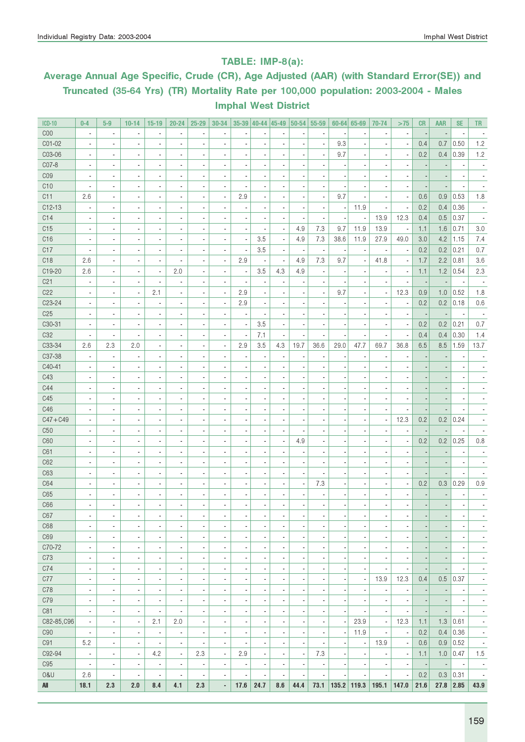### TABLE: IMP-8(a):

# Average Annual Age Specific, Crude (CR), Age Adjusted (AAR) (with Standard Error(SE)) and Truncated (35-64 Yrs) (TR) Mortality Rate per 100,000 population: 2003-2004 - Males Imphal West District

| <b>ICD-10</b>   | $0-4$                                                    | $5-9$                    | $10 - 14$                | $15-19$                       | $20 - 24$                     | 25-29                    | 30-34                    |                          | $35-39$ 40-44 45-49                                  |                              | $ 50-54 $                | 55-59                    |                              | $60 - 64$ 65-69          | 70-74                                                | >75                      | CR                       | <b>AAR</b>               | <b>SE</b>                | <b>TR</b>                    |
|-----------------|----------------------------------------------------------|--------------------------|--------------------------|-------------------------------|-------------------------------|--------------------------|--------------------------|--------------------------|------------------------------------------------------|------------------------------|--------------------------|--------------------------|------------------------------|--------------------------|------------------------------------------------------|--------------------------|--------------------------|--------------------------|--------------------------|------------------------------|
| C <sub>00</sub> | $\overline{\phantom{a}}$                                 | $\overline{\phantom{a}}$ | $\blacksquare$           | $\overline{\phantom{a}}$      | $\blacksquare$                |                          | $\blacksquare$           |                          |                                                      |                              |                          | $\overline{a}$           |                              | $\blacksquare$           |                                                      | $\overline{\phantom{a}}$ |                          |                          |                          |                              |
| C01-02          | $\overline{\phantom{a}}$                                 | $\overline{\phantom{a}}$ | $\blacksquare$           | $\overline{\phantom{a}}$      | $\overline{\phantom{a}}$      |                          | $\overline{a}$           |                          |                                                      |                              |                          | ÷,                       | 9.3                          | $\overline{\phantom{a}}$ |                                                      | $\overline{\phantom{a}}$ | 0.4                      | 0.7                      | 0.50                     | 1.2                          |
| C03-06          | $\overline{\phantom{a}}$                                 | ä,                       |                          | $\overline{\phantom{a}}$      | $\overline{a}$                |                          |                          |                          |                                                      |                              |                          | ä,                       | 9.7                          | $\overline{\phantom{a}}$ | $\overline{\phantom{a}}$                             | $\blacksquare$           | 0.2                      | 0.4                      | 0.39                     | $1.2$                        |
| C07-8           | $\overline{\phantom{a}}$                                 | ä,                       | $\blacksquare$           | $\overline{\phantom{a}}$      | $\overline{\phantom{a}}$      |                          |                          |                          |                                                      |                              |                          |                          |                              | $\overline{a}$           | $\overline{\phantom{a}}$                             | ä,                       |                          |                          |                          |                              |
| C <sub>09</sub> | $\overline{\phantom{a}}$                                 | ä,                       |                          | $\overline{\phantom{a}}$      | $\blacksquare$                |                          |                          |                          |                                                      |                              |                          |                          |                              | $\overline{a}$           | $\overline{a}$                                       | ä,                       |                          |                          |                          |                              |
| C10             | $\overline{\phantom{a}}$                                 | ä,                       |                          | $\overline{\phantom{a}}$      | $\blacksquare$                |                          | $\overline{a}$           |                          |                                                      |                              |                          | $\overline{a}$           |                              | ÷.                       | $\overline{a}$                                       | $\blacksquare$           |                          |                          |                          |                              |
| C11             | 2.6                                                      | ä,                       | $\blacksquare$           | $\overline{\phantom{a}}$      | $\overline{\phantom{a}}$      |                          | $\blacksquare$           | 2.9                      | $\overline{a}$                                       | $\overline{a}$               | $\overline{a}$           | $\blacksquare$           | 9.7                          | ä,                       | $\overline{a}$                                       | $\blacksquare$           | 0.6                      | 0.9                      | 0.53                     | 1.8                          |
| $C12-13$        | $\overline{\phantom{a}}$                                 | ä,                       |                          | $\overline{\phantom{a}}$      | ä,                            |                          |                          |                          |                                                      |                              |                          | ÷,                       |                              | 11.9                     | ä,                                                   | $\blacksquare$           | 0.2                      | 0.4                      | 0.36                     |                              |
| C14             | $\overline{\phantom{a}}$                                 |                          |                          | $\overline{\phantom{a}}$      | ä,                            |                          |                          |                          |                                                      |                              |                          | ÷,                       |                              | $\overline{\phantom{a}}$ | 13.9                                                 | 12.3                     | 0.4                      | 0.5                      | 0.37                     |                              |
| C15             | $\overline{\phantom{a}}$                                 |                          |                          | $\overline{\phantom{a}}$      | ä,                            |                          |                          |                          |                                                      | $\overline{\phantom{a}}$     | 4.9                      | 7.3                      | 9.7                          | 11.9                     | 13.9                                                 | $\overline{\phantom{a}}$ | 1.1                      | 1.6                      | 0.71                     | 3.0                          |
| C <sub>16</sub> | ä,                                                       |                          |                          | $\overline{\phantom{a}}$      | $\overline{\phantom{a}}$      |                          |                          | Ĭ.                       | 3.5                                                  | ä,                           | 4.9                      | 7.3                      | 38.6                         | 11.9                     | 27.9                                                 | 49.0                     | 3.0                      | 4.2                      | 1.15                     | 7.4                          |
| C17             | ä,                                                       | ä,                       |                          | $\overline{\phantom{a}}$      | ä,                            |                          |                          |                          | 3.5                                                  | $\overline{\phantom{a}}$     | Ĭ.                       | $\overline{\phantom{a}}$ |                              | $\overline{\phantom{a}}$ |                                                      | $\overline{\phantom{a}}$ | 0.2                      | 0.2                      | 0.21                     | 0.7                          |
| C <sub>18</sub> | 2.6                                                      | ä,                       |                          | $\overline{\phantom{a}}$      | ä,                            |                          | $\blacksquare$           | 2.9                      | $\blacksquare$                                       | $\overline{\phantom{a}}$     | 4.9                      | 7.3                      | 9.7                          | ä,                       | 41.8                                                 | $\overline{\phantom{a}}$ | 1.7                      | 2.2                      | 0.81                     | 3.6                          |
| C19-20          | 2.6                                                      | $\overline{\phantom{a}}$ | $\overline{\phantom{a}}$ | $\overline{\phantom{a}}$      | 2.0                           |                          |                          | ÷,                       | 3.5                                                  | 4.3                          | 4.9                      | ä,                       |                              |                          |                                                      | $\overline{\phantom{a}}$ | 1.1                      | 1.2                      | 0.54                     | 2.3                          |
| C <sub>21</sub> | $\overline{\phantom{a}}$                                 | $\overline{\phantom{a}}$ | $\overline{\phantom{a}}$ | $\overline{\phantom{a}}$      | $\overline{\phantom{a}}$      | $\blacksquare$           | $\overline{a}$           | $\overline{a}$           | ÷,                                                   | $\overline{\phantom{a}}$     |                          | ÷,                       |                              | $\overline{\phantom{a}}$ |                                                      | $\overline{\phantom{a}}$ | ÷,                       |                          |                          |                              |
| C22             | $\overline{\phantom{a}}$                                 | ä,                       | $\overline{\phantom{a}}$ | 2.1                           | $\overline{\phantom{a}}$      | $\overline{\phantom{a}}$ | $\overline{\phantom{a}}$ | 2.9                      |                                                      |                              |                          | ä,                       | 9.7                          | $\overline{\phantom{a}}$ | $\overline{\phantom{a}}$                             | 12.3                     | 0.9                      | 1.0                      | 0.52                     | 1.8                          |
| C23-24          | $\overline{\phantom{a}}$                                 | ä,                       | $\overline{\phantom{a}}$ | $\overline{\phantom{a}}$      | $\overline{\phantom{a}}$      | $\blacksquare$           | $\overline{\phantom{a}}$ | 2.9                      | $\overline{\phantom{a}}$                             |                              |                          | ä,                       |                              | $\blacksquare$           |                                                      | $\overline{\phantom{a}}$ | 0.2                      | 0.2                      | 0.18                     | 0.6                          |
| C25             | $\overline{\phantom{a}}$                                 | ä,                       | $\blacksquare$           | $\overline{\phantom{a}}$      | $\blacksquare$                |                          |                          | Ĭ.                       |                                                      | ×,                           |                          | $\overline{a}$           |                              | ×,                       |                                                      | ÷,                       | $\overline{\phantom{a}}$ |                          | ×,                       |                              |
| C30-31          | ä,                                                       | ä,                       | $\blacksquare$           | $\overline{\phantom{a}}$      | $\blacksquare$                |                          |                          | Ĭ.                       | 3.5                                                  | $\overline{\phantom{a}}$     |                          | ä,                       |                              | ×,                       |                                                      | $\overline{\phantom{a}}$ | 0.2                      | 0.2                      | 0.21                     | 0.7                          |
| C <sub>32</sub> | ÷,                                                       | $\overline{\phantom{a}}$ | $\blacksquare$           | $\overline{\phantom{a}}$      | ä,                            |                          |                          | ÷,                       | 7.1                                                  | $\overline{\phantom{a}}$     | $\overline{a}$           | ÷,                       |                              | ä,                       | $\overline{\phantom{a}}$                             | $\overline{\phantom{a}}$ | 0.4                      | 0.4                      | 0.30                     | 1.4                          |
| C33-34          | 2.6                                                      | 2.3                      | 2.0                      | $\overline{\phantom{a}}$      | $\blacksquare$                | ٠                        | $\blacksquare$           | 2.9                      | 3.5                                                  | 4.3                          | 19.7                     | 36.6                     | 29.0                         | 47.7                     | 69.7                                                 | 36.8                     | 6.5                      | 8.5                      | 1.59                     | 13.7                         |
| C37-38          | $\overline{\phantom{a}}$                                 | $\overline{\phantom{a}}$ | $\overline{\phantom{m}}$ | $\overline{\phantom{a}}$      | $\blacksquare$                | ٠                        | $\blacksquare$           | $\overline{a}$           | ٠                                                    | $\overline{\phantom{a}}$     |                          | ٠                        |                              | $\overline{\phantom{a}}$ |                                                      | ×,                       |                          |                          |                          |                              |
| C40-41          | $\overline{\phantom{a}}$                                 | ٠                        | $\overline{\phantom{m}}$ | $\overline{\phantom{a}}$      | $\blacksquare$                | ٠                        |                          |                          | ٠                                                    | $\blacksquare$               |                          | ٠                        |                              | $\blacksquare$           | ٠                                                    |                          |                          |                          |                          |                              |
| C43             | $\qquad \qquad \blacksquare$                             | ٠                        | $\overline{\phantom{m}}$ | $\overline{\phantom{a}}$      | $\overline{\phantom{a}}$      |                          |                          |                          | $\overline{a}$                                       |                              | ٠                        | ٠                        |                              | $\blacksquare$           | $\overline{\phantom{a}}$                             |                          |                          |                          |                          |                              |
| C44             | $\qquad \qquad \blacksquare$                             | ٠                        | $\blacksquare$           | $\overline{\phantom{a}}$      | $\overline{\phantom{a}}$      | ٠                        |                          |                          | $\overline{a}$                                       |                              | ٠                        | ٠                        |                              | $\blacksquare$           | $\overline{\phantom{a}}$                             | $\overline{a}$           |                          |                          |                          |                              |
| C45             | $\qquad \qquad \blacksquare$                             | ٠                        |                          | $\overline{\phantom{a}}$      | $\overline{\phantom{a}}$      | ٠                        | $\blacksquare$           |                          | $\overline{a}$                                       |                              | ٠                        | ٠                        |                              | $\blacksquare$           | $\blacksquare$                                       | ٠                        |                          | $\overline{\phantom{a}}$ |                          |                              |
| C46             | $\qquad \qquad \blacksquare$                             | ٠                        | $\blacksquare$           | $\overline{\phantom{a}}$      | $\overline{\phantom{a}}$      | $\overline{\phantom{a}}$ | $\overline{\phantom{a}}$ | $\overline{a}$           | $\blacksquare$                                       |                              |                          | $\overline{a}$           |                              | $\blacksquare$           | $\blacksquare$                                       | ×,                       | ٠                        |                          |                          |                              |
| $C47 + C49$     | $\overline{\phantom{a}}$                                 | ٠                        | $\frac{1}{2}$            | $\overline{\phantom{a}}$      | $\overline{\phantom{a}}$      |                          |                          | $\overline{a}$           | $\frac{1}{2}$                                        |                              |                          | ٠                        |                              | $\overline{\phantom{a}}$ | $\overline{\phantom{a}}$                             | 12.3                     | 0.2                      | 0.2                      | 0.24                     |                              |
| C50             | $\qquad \qquad \blacksquare$                             | ٠                        | $\frac{1}{2}$            | $\overline{\phantom{a}}$      | $\overline{\phantom{a}}$      |                          |                          | $\overline{a}$           | $\frac{1}{2}$                                        | $\qquad \qquad \blacksquare$ | $\overline{a}$           |                          |                              | $\overline{\phantom{a}}$ | $\overline{\phantom{a}}$                             | ×,                       | $\overline{\phantom{a}}$ |                          |                          | $\qquad \qquad \blacksquare$ |
| C60             | $\frac{1}{2}$                                            | ٠                        | $\frac{1}{2}$            | $\overline{\phantom{a}}$      | ٠                             | $\overline{a}$           |                          |                          | $\frac{1}{2}$                                        | ٠                            | 4.9                      | $\overline{a}$           |                              | $\overline{\phantom{a}}$ | $\overline{\phantom{a}}$                             | ×,                       | 0.2                      | 0.2                      | 0.25                     | 0.8                          |
| C61<br>C62      | ÷,                                                       | ٠                        | $\frac{1}{2}$            | $\overline{\phantom{a}}$      | $\overline{\phantom{a}}$      | $\overline{\phantom{a}}$ |                          |                          | $\frac{1}{2}$                                        |                              |                          | $\frac{1}{2}$            |                              | $\overline{\phantom{a}}$ | $\blacksquare$                                       | $\overline{\phantom{a}}$ |                          |                          |                          |                              |
| C63             | ÷,                                                       | ٠                        |                          | $\overline{\phantom{a}}$      | $\overline{\phantom{a}}$      | $\overline{\phantom{a}}$ |                          |                          | $\frac{1}{2}$                                        |                              |                          | $\frac{1}{2}$            |                              | ×,                       | $\overline{\phantom{a}}$                             | ٠                        |                          |                          |                          |                              |
| C64             | ٠                                                        | ٠                        |                          | $\overline{\phantom{a}}$      | $\overline{\phantom{a}}$<br>٠ |                          |                          | $\overline{a}$           | $\frac{1}{2}$                                        |                              | $\overline{a}$<br>×,     | $\overline{a}$<br>7.3    |                              | $\overline{\phantom{a}}$ | $\overline{\phantom{a}}$                             | ٠<br>×,                  | $\overline{a}$<br>0.2    | 0.3                      | 0.29                     | ÷,<br>0.9                    |
| C65             | $\overline{\phantom{m}}$<br>$\qquad \qquad \blacksquare$ | ٠<br>٠                   |                          | $\overline{\phantom{a}}$<br>٠ | $\overline{\phantom{a}}$      |                          |                          | $\overline{a}$           | $\overline{\phantom{m}}$<br>$\overline{\phantom{m}}$ |                              |                          | i.                       |                              | $\overline{\phantom{a}}$ | $\overline{\phantom{a}}$<br>$\overline{\phantom{a}}$ | ٠                        |                          |                          |                          |                              |
| C66             | $\overline{\phantom{a}}$                                 | ÷,                       |                          | $\overline{\phantom{a}}$      |                               |                          |                          |                          |                                                      |                              |                          |                          |                              | $\blacksquare$           |                                                      |                          |                          |                          |                          |                              |
| C67             | $\overline{\phantom{a}}$                                 | $\overline{\phantom{a}}$ | $\overline{\phantom{a}}$ | $\overline{\phantom{a}}$      | $\overline{\phantom{a}}$      | $\overline{\phantom{a}}$ | $\overline{\phantom{a}}$ | $\overline{\phantom{a}}$ | $\overline{\phantom{a}}$                             | $\overline{\phantom{a}}$     | $\overline{\phantom{a}}$ | $\overline{\phantom{a}}$ | ٠                            | $\overline{\phantom{a}}$ | $\overline{\phantom{a}}$                             | $\overline{\phantom{a}}$ | ٠                        | $\overline{\phantom{a}}$ | $\overline{\phantom{a}}$ | $\overline{\phantom{a}}$     |
| C68             | $\overline{\phantom{a}}$                                 | $\overline{\phantom{a}}$ | $\overline{\phantom{a}}$ | $\overline{\phantom{a}}$      | $\overline{\phantom{a}}$      | $\overline{\phantom{a}}$ | $\overline{\phantom{a}}$ | $\overline{\phantom{a}}$ | $\overline{\phantom{a}}$                             | $\overline{\phantom{a}}$     | $\overline{\phantom{a}}$ | $\overline{\phantom{a}}$ | $\overline{\phantom{a}}$     | $\overline{\phantom{a}}$ | $\overline{\phantom{a}}$                             | $\overline{\phantom{a}}$ | $\overline{\phantom{a}}$ | $\overline{\phantom{a}}$ | $\overline{\phantom{a}}$ | $\qquad \qquad \blacksquare$ |
| C69             | $\overline{\phantom{a}}$                                 | $\overline{\phantom{a}}$ | $\overline{\phantom{a}}$ | $\overline{\phantom{a}}$      | $\overline{\phantom{a}}$      | $\overline{\phantom{a}}$ | $\overline{\phantom{a}}$ | $\overline{\phantom{a}}$ | $\overline{\phantom{a}}$                             | $\overline{\phantom{a}}$     | $\overline{\phantom{a}}$ | $\overline{\phantom{a}}$ |                              | $\overline{\phantom{a}}$ | $\overline{\phantom{a}}$                             | $\overline{\phantom{a}}$ | $\overline{\phantom{a}}$ | $\blacksquare$           | $\overline{\phantom{a}}$ | $\qquad \qquad \blacksquare$ |
| C70-72          | $\overline{\phantom{a}}$                                 | $\overline{\phantom{a}}$ | $\overline{\phantom{a}}$ | $\overline{\phantom{a}}$      | $\overline{\phantom{a}}$      | $\overline{\phantom{a}}$ | $\overline{\phantom{a}}$ | $\overline{\phantom{a}}$ | $\overline{\phantom{a}}$                             | $\overline{\phantom{a}}$     | $\overline{\phantom{a}}$ | $\overline{\phantom{a}}$ | $\overline{\phantom{a}}$     | $\overline{\phantom{a}}$ | $\overline{\phantom{a}}$                             | $\overline{\phantom{a}}$ | $\overline{\phantom{a}}$ | $\overline{\phantom{a}}$ | $\overline{\phantom{a}}$ | ٠                            |
| C73             | $\overline{\phantom{a}}$                                 | $\overline{\phantom{a}}$ | $\overline{\phantom{a}}$ | $\overline{\phantom{a}}$      | $\overline{\phantom{a}}$      | $\overline{\phantom{a}}$ | $\overline{\phantom{a}}$ | $\overline{\phantom{a}}$ | $\overline{\phantom{a}}$                             | $\overline{\phantom{a}}$     | $\overline{\phantom{a}}$ | $\overline{\phantom{a}}$ | $\overline{\phantom{a}}$     | $\overline{\phantom{a}}$ | $\overline{\phantom{a}}$                             | $\overline{\phantom{a}}$ | $\overline{\phantom{a}}$ | $\overline{\phantom{a}}$ | $\overline{\phantom{a}}$ | $\overline{\phantom{a}}$     |
| C74             | $\overline{\phantom{a}}$                                 | $\overline{\phantom{a}}$ | $\overline{\phantom{a}}$ | $\overline{\phantom{a}}$      | $\overline{\phantom{a}}$      | $\overline{\phantom{a}}$ | $\blacksquare$           | $\overline{\phantom{a}}$ | $\blacksquare$                                       | $\blacksquare$               | $\overline{\phantom{a}}$ | $\overline{\phantom{a}}$ | $\qquad \qquad \blacksquare$ | $\overline{\phantom{a}}$ | $\blacksquare$                                       | $\blacksquare$           | $\frac{1}{2}$            | $\blacksquare$           | $\blacksquare$           | $\overline{\phantom{a}}$     |
| C77             | $\overline{\phantom{a}}$                                 | $\overline{\phantom{a}}$ | $\blacksquare$           | $\overline{\phantom{a}}$      | $\overline{\phantom{a}}$      | $\overline{\phantom{a}}$ | $\blacksquare$           | $\overline{\phantom{a}}$ | $\blacksquare$                                       | $\blacksquare$               | $\overline{\phantom{a}}$ | $\overline{\phantom{a}}$ | $\blacksquare$               | $\overline{\phantom{a}}$ | 13.9                                                 | 12.3                     | 0.4                      | 0.5                      | 0.37                     | $\overline{\phantom{a}}$     |
| C78             | $\overline{\phantom{a}}$                                 | $\overline{\phantom{a}}$ | $\overline{\phantom{a}}$ | $\overline{\phantom{a}}$      | $\overline{\phantom{a}}$      | $\overline{\phantom{a}}$ | $\blacksquare$           | $\overline{\phantom{a}}$ | $\blacksquare$                                       | $\overline{\phantom{a}}$     | $\overline{\phantom{a}}$ | $\overline{\phantom{a}}$ | $\qquad \qquad \blacksquare$ | $\overline{\phantom{a}}$ | $\overline{\phantom{a}}$                             | $\overline{\phantom{a}}$ | $\overline{\phantom{a}}$ | $\blacksquare$           | $\blacksquare$           | $\overline{\phantom{a}}$     |
| C79             | $\overline{\phantom{a}}$                                 | $\overline{\phantom{a}}$ | $\overline{\phantom{a}}$ | $\overline{\phantom{a}}$      | $\overline{\phantom{a}}$      | $\overline{\phantom{a}}$ | $\blacksquare$           | $\overline{\phantom{a}}$ | $\blacksquare$                                       | $\overline{\phantom{a}}$     | $\overline{\phantom{a}}$ | $\overline{\phantom{a}}$ | ٠                            | $\overline{\phantom{a}}$ | $\blacksquare$                                       | $\blacksquare$           | $\overline{\phantom{a}}$ | $\blacksquare$           | $\blacksquare$           | $\overline{\phantom{a}}$     |
| C81             | $\overline{\phantom{a}}$                                 | $\overline{\phantom{a}}$ | $\overline{\phantom{a}}$ | $\overline{\phantom{a}}$      | $\overline{\phantom{a}}$      | $\overline{\phantom{a}}$ | $\blacksquare$           | $\overline{\phantom{a}}$ | $\blacksquare$                                       | $\overline{\phantom{a}}$     | $\overline{\phantom{a}}$ | $\overline{\phantom{a}}$ | $\blacksquare$               | $\overline{\phantom{a}}$ | $\blacksquare$                                       | $\overline{\phantom{a}}$ | $\frac{1}{2}$            | $\blacksquare$           | $\blacksquare$           | $\overline{\phantom{a}}$     |
| C82-85, C96     | $\overline{\phantom{a}}$                                 | $\overline{\phantom{a}}$ | $\overline{\phantom{a}}$ | 2.1                           | 2.0                           | $\overline{\phantom{a}}$ | $\blacksquare$           | $\overline{\phantom{a}}$ | $\blacksquare$                                       | $\blacksquare$               | $\overline{\phantom{a}}$ | $\overline{\phantom{a}}$ |                              | 23.9                     | $\overline{\phantom{a}}$                             | 12.3                     | 1.1                      | 1.3                      | 0.61                     | $\overline{\phantom{a}}$     |
| C90             | $\overline{\phantom{a}}$                                 | $\overline{\phantom{a}}$ | $\overline{\phantom{a}}$ | $\overline{\phantom{a}}$      | $\overline{\phantom{a}}$      | $\overline{\phantom{a}}$ | $\blacksquare$           | $\overline{\phantom{a}}$ | $\blacksquare$                                       | $\blacksquare$               | $\overline{\phantom{a}}$ | $\overline{\phantom{a}}$ |                              | 11.9                     | $\blacksquare$                                       | $\overline{\phantom{a}}$ | 0.2                      | 0.4                      | 0.36                     | $\overline{\phantom{a}}$     |
| C91             | 5.2                                                      | $\overline{\phantom{a}}$ | $\blacksquare$           | $\overline{\phantom{a}}$      | $\blacksquare$                | $\overline{\phantom{a}}$ | $\overline{\phantom{a}}$ | $\overline{\phantom{a}}$ | $\blacksquare$                                       | $\blacksquare$               | $\overline{\phantom{a}}$ | $\blacksquare$           | ×,                           | $\overline{\phantom{a}}$ | 13.9                                                 | $\overline{\phantom{a}}$ | 0.6                      | 0.9                      | 0.52                     | $\overline{\phantom{a}}$     |
| C92-94          | $\overline{\phantom{a}}$                                 | $\overline{\phantom{a}}$ | $\overline{\phantom{a}}$ | 4.2                           | $\overline{\phantom{a}}$      | 2.3                      | $\blacksquare$           | 2.9                      | $\blacksquare$                                       | $\overline{\phantom{a}}$     | $\overline{\phantom{a}}$ | 7.3                      | ٠                            | $\overline{\phantom{a}}$ | $\blacksquare$                                       | $\overline{\phantom{a}}$ | 1.1                      | 1.0                      | 0.47                     | 1.5                          |
| C <sub>95</sub> | $\overline{\phantom{a}}$                                 | $\overline{\phantom{a}}$ | $\overline{\phantom{a}}$ | $\overline{\phantom{a}}$      | $\overline{\phantom{a}}$      | $\overline{\phantom{a}}$ | $\overline{\phantom{a}}$ | $\overline{\phantom{a}}$ | $\blacksquare$                                       | $\overline{\phantom{a}}$     | $\overline{\phantom{a}}$ | $\overline{\phantom{a}}$ |                              | $\overline{\phantom{a}}$ | $\blacksquare$                                       | $\overline{\phantom{a}}$ | $\overline{a}$           | $\blacksquare$           | $\blacksquare$           | $\overline{\phantom{a}}$     |
| 0&U             | 2.6                                                      | $\overline{\phantom{a}}$ | $\overline{\phantom{a}}$ | $\overline{\phantom{a}}$      | $\blacksquare$                | $\overline{\phantom{a}}$ | $\overline{\phantom{a}}$ | $\overline{\phantom{a}}$ | $\blacksquare$                                       | $\blacksquare$               | $\overline{\phantom{a}}$ | ÷,                       |                              | $\blacksquare$           | $\blacksquare$                                       | $\overline{\phantom{a}}$ | 0.2                      | 0.3                      | 0.31                     | ٠                            |
| All             | 18.1                                                     | 2.3                      | 2.0                      | 8.4                           | 4.1                           | 2.3                      | $\blacksquare$           | 17.6                     | 24.7                                                 | 8.6                          | 44.4                     | 73.1                     |                              | $135.2$ 119.3            | 195.1                                                | 147.0                    | 21.6                     | 27.8                     | 2.85                     | 43.9                         |